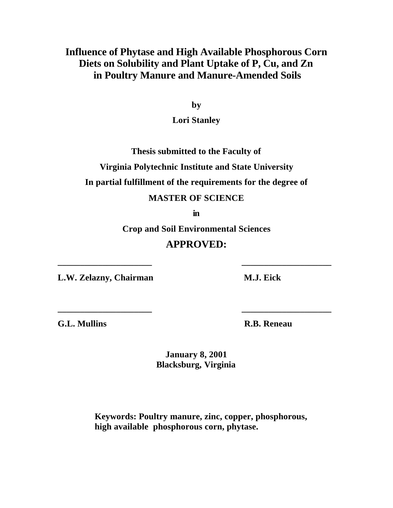# **Influence of Phytase and High Available Phosphorous Corn Diets on Solubility and Plant Uptake of P, Cu, and Zn in Poultry Manure and Manure-Amended Soils**

**by**

**Lori Stanley**

**Thesis submitted to the Faculty of Virginia Polytechnic Institute and State University**

**In partial fulfillment of the requirements for the degree of**

### **MASTER OF SCIENCE**

**in**

**Crop and Soil Environmental Sciences**

## **APPROVED:**

**\_\_\_\_\_\_\_\_\_\_\_\_\_\_\_\_\_\_\_\_\_ \_\_\_\_\_\_\_\_\_\_\_\_\_\_\_\_\_\_\_\_**

**\_\_\_\_\_\_\_\_\_\_\_\_\_\_\_\_\_\_\_\_\_ \_\_\_\_\_\_\_\_\_\_\_\_\_\_\_\_\_\_\_\_**

**L.W. Zelazny, Chairman M.J. Eick** 

**G.L. Mullins R.B. Reneau**

**January 8, 2001 Blacksburg, Virginia**

**Keywords: Poultry manure, zinc, copper, phosphorous, high available phosphorous corn, phytase.**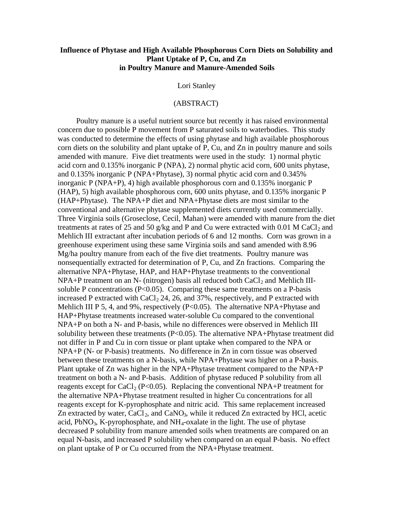### **Influence of Phytase and High Available Phosphorous Corn Diets on Solubility and Plant Uptake of P, Cu, and Zn in Poultry Manure and Manure-Amended Soils**

Lori Stanley

### (ABSTRACT)

Poultry manure is a useful nutrient source but recently it has raised environmental concern due to possible P movement from P saturated soils to waterbodies. This study was conducted to determine the effects of using phytase and high available phosphorous corn diets on the solubility and plant uptake of P, Cu, and Zn in poultry manure and soils amended with manure. Five diet treatments were used in the study: 1) normal phytic acid corn and 0.135% inorganic P (NPA), 2) normal phytic acid corn, 600 units phytase, and 0.135% inorganic P (NPA+Phytase), 3) normal phytic acid corn and 0.345% inorganic P (NPA+P), 4) high available phosphorous corn and 0.135% inorganic P (HAP), 5) high available phosphorous corn, 600 units phytase, and 0.135% inorganic P (HAP+Phytase). The NPA+P diet and NPA+Phytase diets are most similar to the conventional and alternative phytase supplemented diets currently used commercially. Three Virginia soils (Groseclose, Cecil, Mahan) were amended with manure from the diet treatments at rates of 25 and 50 g/kg and P and Cu were extracted with 0.01 M CaCl<sub>2</sub> and Mehlich III extractant after incubation periods of 6 and 12 months. Corn was grown in a greenhouse experiment using these same Virginia soils and sand amended with 8.96 Mg/ha poultry manure from each of the five diet treatments. Poultry manure was nonsequentially extracted for determination of P, Cu, and Zn fractions. Comparing the alternative NPA+Phytase, HAP, and HAP+Phytase treatments to the conventional  $NPA+P$  treatment on an N- (nitrogen) basis all reduced both  $CaCl<sub>2</sub>$  and Mehlich IIIsoluble P concentrations ( $P<0.05$ ). Comparing these same treatments on a P-basis increased P extracted with  $CaCl<sub>2</sub> 24$ , 26, and 37%, respectively, and P extracted with Mehlich III P 5, 4, and 9%, respectively (P<0.05). The alternative NPA+Phytase and HAP+Phytase treatments increased water-soluble Cu compared to the conventional NPA+P on both a N- and P-basis, while no differences were observed in Mehlich III solubility between these treatments ( $P<0.05$ ). The alternative NPA+Phytase treatment did not differ in P and Cu in corn tissue or plant uptake when compared to the NPA or NPA+P (N- or P-basis) treatments. No difference in Zn in corn tissue was observed between these treatments on a N-basis, while NPA+Phytase was higher on a P-basis. Plant uptake of Zn was higher in the NPA+Phytase treatment compared to the NPA+P treatment on both a N- and P-basis. Addition of phytase reduced P solubility from all reagents except for CaCl<sub>2</sub> (P<0.05). Replacing the conventional NPA+P treatment for the alternative NPA+Phytase treatment resulted in higher Cu concentrations for all reagents except for K-pyrophosphate and nitric acid. This same replacement increased Zn extracted by water,  $CaCl<sub>2</sub>$ , and  $CaNO<sub>3</sub>$ , while it reduced Zn extracted by HCl, acetic acid, PbNO<sub>3</sub>, K-pyrophosphate, and  $NH_4$ -oxalate in the light. The use of phytase decreased P solubility from manure amended soils when treatments are compared on an equal N-basis, and increased P solubility when compared on an equal P-basis. No effect on plant uptake of P or Cu occurred from the NPA+Phytase treatment.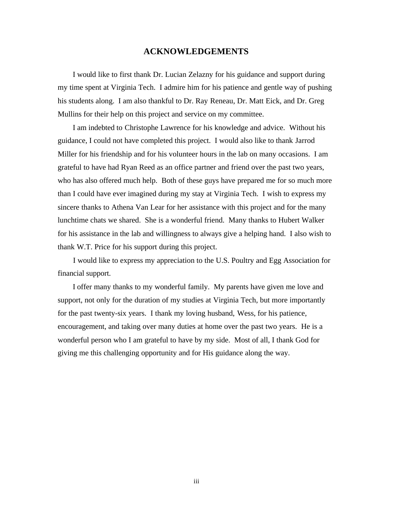#### **ACKNOWLEDGEMENTS**

 I would like to first thank Dr. Lucian Zelazny for his guidance and support during my time spent at Virginia Tech. I admire him for his patience and gentle way of pushing his students along. I am also thankful to Dr. Ray Reneau, Dr. Matt Eick, and Dr. Greg Mullins for their help on this project and service on my committee.

 I am indebted to Christophe Lawrence for his knowledge and advice. Without his guidance, I could not have completed this project. I would also like to thank Jarrod Miller for his friendship and for his volunteer hours in the lab on many occasions. I am grateful to have had Ryan Reed as an office partner and friend over the past two years, who has also offered much help. Both of these guys have prepared me for so much more than I could have ever imagined during my stay at Virginia Tech. I wish to express my sincere thanks to Athena Van Lear for her assistance with this project and for the many lunchtime chats we shared. She is a wonderful friend. Many thanks to Hubert Walker for his assistance in the lab and willingness to always give a helping hand. I also wish to thank W.T. Price for his support during this project.

 I would like to express my appreciation to the U.S. Poultry and Egg Association for financial support.

 I offer many thanks to my wonderful family. My parents have given me love and support, not only for the duration of my studies at Virginia Tech, but more importantly for the past twenty-six years. I thank my loving husband, Wess, for his patience, encouragement, and taking over many duties at home over the past two years. He is a wonderful person who I am grateful to have by my side. Most of all, I thank God for giving me this challenging opportunity and for His guidance along the way.

iii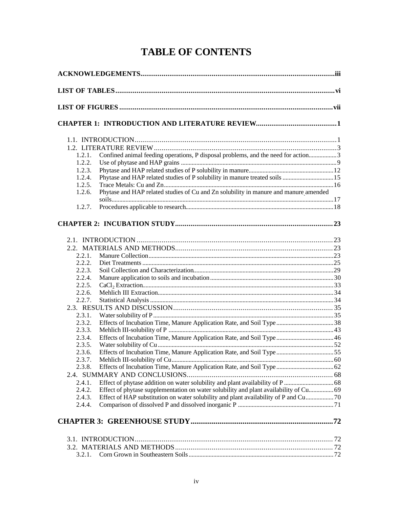# **TABLE OF CONTENTS**

| Confined animal feeding operations, P disposal problems, and the need for action3<br>1.2.1.<br>1.2.2.<br>1.2.3.<br>1.2.4.<br>1.2.5.<br>Phytase and HAP related studies of Cu and Zn solubility in manure and manure amended<br>1.2.6.<br>1.2.7.<br>2.2.1<br>2.2.2.<br>2.2.3.<br>2.2.4.<br>2.2.5.<br>2.2.6.<br>2.2.7.<br>2.3.1.<br>2.3.2.<br>2.3.3.<br>Effects of Incubation Time, Manure Application Rate, and Soil Type 46<br>2.3.4.<br>2.3.5.<br>Effects of Incubation Time, Manure Application Rate, and Soil Type55<br>2.3.6.<br>2.3.7.<br>2.3.8.<br>2.4.1. |
|-----------------------------------------------------------------------------------------------------------------------------------------------------------------------------------------------------------------------------------------------------------------------------------------------------------------------------------------------------------------------------------------------------------------------------------------------------------------------------------------------------------------------------------------------------------------|
|                                                                                                                                                                                                                                                                                                                                                                                                                                                                                                                                                                 |
|                                                                                                                                                                                                                                                                                                                                                                                                                                                                                                                                                                 |
|                                                                                                                                                                                                                                                                                                                                                                                                                                                                                                                                                                 |
|                                                                                                                                                                                                                                                                                                                                                                                                                                                                                                                                                                 |
|                                                                                                                                                                                                                                                                                                                                                                                                                                                                                                                                                                 |
|                                                                                                                                                                                                                                                                                                                                                                                                                                                                                                                                                                 |
|                                                                                                                                                                                                                                                                                                                                                                                                                                                                                                                                                                 |
|                                                                                                                                                                                                                                                                                                                                                                                                                                                                                                                                                                 |
|                                                                                                                                                                                                                                                                                                                                                                                                                                                                                                                                                                 |
|                                                                                                                                                                                                                                                                                                                                                                                                                                                                                                                                                                 |
|                                                                                                                                                                                                                                                                                                                                                                                                                                                                                                                                                                 |
|                                                                                                                                                                                                                                                                                                                                                                                                                                                                                                                                                                 |
|                                                                                                                                                                                                                                                                                                                                                                                                                                                                                                                                                                 |
|                                                                                                                                                                                                                                                                                                                                                                                                                                                                                                                                                                 |
|                                                                                                                                                                                                                                                                                                                                                                                                                                                                                                                                                                 |
|                                                                                                                                                                                                                                                                                                                                                                                                                                                                                                                                                                 |
|                                                                                                                                                                                                                                                                                                                                                                                                                                                                                                                                                                 |
|                                                                                                                                                                                                                                                                                                                                                                                                                                                                                                                                                                 |
|                                                                                                                                                                                                                                                                                                                                                                                                                                                                                                                                                                 |
|                                                                                                                                                                                                                                                                                                                                                                                                                                                                                                                                                                 |
|                                                                                                                                                                                                                                                                                                                                                                                                                                                                                                                                                                 |
|                                                                                                                                                                                                                                                                                                                                                                                                                                                                                                                                                                 |
|                                                                                                                                                                                                                                                                                                                                                                                                                                                                                                                                                                 |
|                                                                                                                                                                                                                                                                                                                                                                                                                                                                                                                                                                 |
|                                                                                                                                                                                                                                                                                                                                                                                                                                                                                                                                                                 |
|                                                                                                                                                                                                                                                                                                                                                                                                                                                                                                                                                                 |
|                                                                                                                                                                                                                                                                                                                                                                                                                                                                                                                                                                 |
|                                                                                                                                                                                                                                                                                                                                                                                                                                                                                                                                                                 |
|                                                                                                                                                                                                                                                                                                                                                                                                                                                                                                                                                                 |
|                                                                                                                                                                                                                                                                                                                                                                                                                                                                                                                                                                 |
|                                                                                                                                                                                                                                                                                                                                                                                                                                                                                                                                                                 |
|                                                                                                                                                                                                                                                                                                                                                                                                                                                                                                                                                                 |
|                                                                                                                                                                                                                                                                                                                                                                                                                                                                                                                                                                 |
|                                                                                                                                                                                                                                                                                                                                                                                                                                                                                                                                                                 |
| 2.4.2.<br>Effect of phytase supplementation on water solubility and plant availability of Cu 69                                                                                                                                                                                                                                                                                                                                                                                                                                                                 |
| Effect of HAP substitution on water solubility and plant availability of P and Cu 70<br>2.4.3.<br>2.4.4.                                                                                                                                                                                                                                                                                                                                                                                                                                                        |
|                                                                                                                                                                                                                                                                                                                                                                                                                                                                                                                                                                 |
|                                                                                                                                                                                                                                                                                                                                                                                                                                                                                                                                                                 |
|                                                                                                                                                                                                                                                                                                                                                                                                                                                                                                                                                                 |
|                                                                                                                                                                                                                                                                                                                                                                                                                                                                                                                                                                 |
|                                                                                                                                                                                                                                                                                                                                                                                                                                                                                                                                                                 |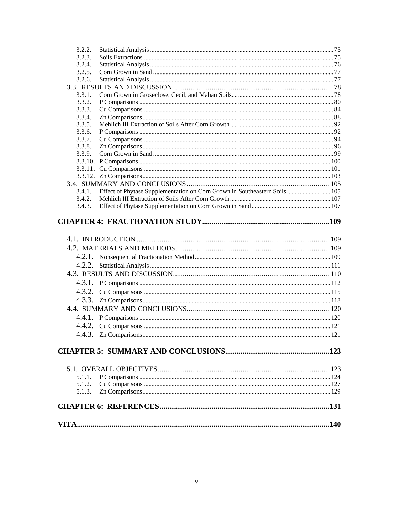| 3.2.2.           |                                                                                   |  |
|------------------|-----------------------------------------------------------------------------------|--|
| 3.2.3.           |                                                                                   |  |
| 3.2.4.           |                                                                                   |  |
| 3.2.5.           |                                                                                   |  |
| 3.2.6.           |                                                                                   |  |
|                  |                                                                                   |  |
| 3.3.1.           |                                                                                   |  |
| 3.3.2.           |                                                                                   |  |
| 3.3.3.           |                                                                                   |  |
| 3.3.4.           |                                                                                   |  |
| 3.3.5.           |                                                                                   |  |
| 3.3.6.           |                                                                                   |  |
| 3.3.7.           |                                                                                   |  |
| 3.3.8.<br>3.3.9. |                                                                                   |  |
|                  |                                                                                   |  |
|                  |                                                                                   |  |
|                  |                                                                                   |  |
|                  |                                                                                   |  |
|                  | 3.4.1. Effect of Phytase Supplementation on Corn Grown in Southeastern Soils  105 |  |
| 3.4.2.           |                                                                                   |  |
| 3.4.3.           |                                                                                   |  |
|                  |                                                                                   |  |
|                  |                                                                                   |  |
|                  |                                                                                   |  |
|                  |                                                                                   |  |
|                  |                                                                                   |  |
|                  |                                                                                   |  |
|                  |                                                                                   |  |
|                  |                                                                                   |  |
|                  |                                                                                   |  |
|                  |                                                                                   |  |
|                  |                                                                                   |  |
|                  |                                                                                   |  |
|                  |                                                                                   |  |
|                  |                                                                                   |  |
|                  |                                                                                   |  |
|                  |                                                                                   |  |
|                  |                                                                                   |  |
|                  |                                                                                   |  |
|                  |                                                                                   |  |
|                  |                                                                                   |  |
|                  |                                                                                   |  |
| 5.1.1.           |                                                                                   |  |
| 5.1.2.           |                                                                                   |  |
| 5.1.3.           |                                                                                   |  |
|                  |                                                                                   |  |
|                  |                                                                                   |  |
|                  |                                                                                   |  |
|                  |                                                                                   |  |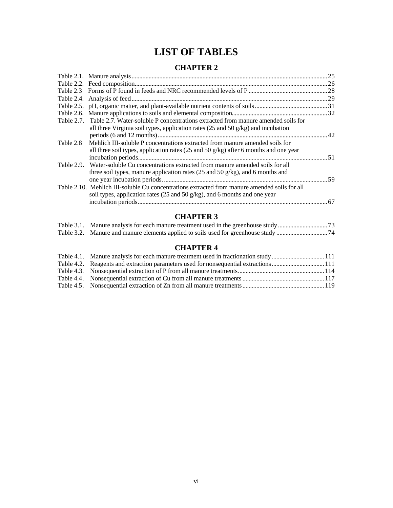# **LIST OF TABLES**

### **CHAPTER 2**

|           | Table 2.7. Table 2.7. Water-soluble P concentrations extracted from manure amended soils for<br>all three Virginia soil types, application rates $(25 \text{ and } 50 \text{ g/kg})$ and incubation |  |
|-----------|-----------------------------------------------------------------------------------------------------------------------------------------------------------------------------------------------------|--|
| Table 2.8 | Mehlich III-soluble P concentrations extracted from manure amended soils for<br>all three soil types, application rates (25 and 50 $g/kg$ ) after 6 months and one year                             |  |
|           | Table 2.9. Water-soluble Cu concentrations extracted from manure amended soils for all<br>three soil types, manure application rates (25 and 50 g/kg), and 6 months and                             |  |
|           | Table 2.10. Mehlich III-soluble Cu concentrations extracted from manure amended soils for all<br>soil types, application rates (25 and 50 $g/kg$ ), and 6 months and one year                       |  |

### **CHAPTER 3**

### **CHAPTER 4**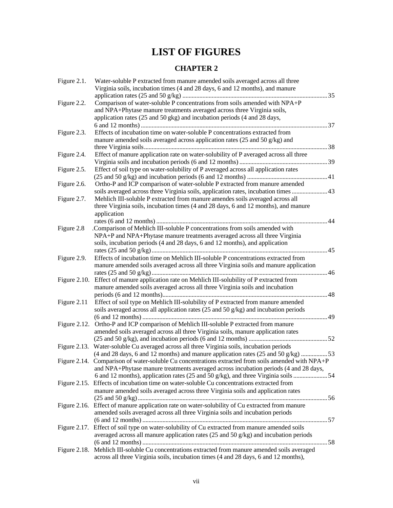# **LIST OF FIGURES**

### **CHAPTER 2**

| Figure 2.1. | Water-soluble P extracted from manure amended soils averaged across all three<br>Virginia soils, incubation times (4 and 28 days, 6 and 12 months), and manure             |  |
|-------------|----------------------------------------------------------------------------------------------------------------------------------------------------------------------------|--|
| Figure 2.2. | Comparison of water-soluble P concentrations from soils amended with NPA+P<br>and NPA+Phytase manure treatments averaged across three Virginia soils,                      |  |
|             | application rates (25 and 50 gkg) and incubation periods (4 and 28 days,                                                                                                   |  |
| Figure 2.3. | Effects of incubation time on water-soluble P concentrations extracted from                                                                                                |  |
|             | manure amended soils averaged across application rates (25 and 50 g/kg) and                                                                                                |  |
|             |                                                                                                                                                                            |  |
| Figure 2.4. | Effect of manure application rate on water-solubility of P averaged across all three                                                                                       |  |
|             |                                                                                                                                                                            |  |
| Figure 2.5. | Effect of soil type on water-solubility of P averaged across all application rates                                                                                         |  |
|             |                                                                                                                                                                            |  |
| Figure 2.6. | Ortho-P and ICP comparison of water-soluble P extracted from manure amended                                                                                                |  |
|             | soils averaged across three Virginia soils, application rates, incubation times  43                                                                                        |  |
| Figure 2.7. | Mehlich III-soluble P extracted from manure amendes soils averaged across all                                                                                              |  |
|             | three Virginia soils, incubation times (4 and 28 days, 6 and 12 months), and manure                                                                                        |  |
|             | application                                                                                                                                                                |  |
| Figure 2.8  | .Comparison of Mehlich III-soluble P concentrations from soils amended with                                                                                                |  |
|             | NPA+P and NPA+Phytase manure treatments averaged across all three Virginia                                                                                                 |  |
|             | soils, incubation periods (4 and 28 days, 6 and 12 months), and application                                                                                                |  |
|             |                                                                                                                                                                            |  |
| Figure 2.9. | Effects of incubation time on Mehlich III-soluble P concentrations extracted from                                                                                          |  |
|             | manure amended soils averaged across all three Virginia soils and manure application                                                                                       |  |
|             |                                                                                                                                                                            |  |
|             | Figure 2.10. Effect of manure application rate on Mehlich III-solubility of P extracted from                                                                               |  |
|             | manure amended soils averaged across all three Virginia soils and incubation                                                                                               |  |
|             |                                                                                                                                                                            |  |
| Figure 2.11 | Effect of soil type on Mehlich III-solubility of P extracted from manure amended                                                                                           |  |
|             | soils averaged across all application rates (25 and 50 g/kg) and incubation periods                                                                                        |  |
|             |                                                                                                                                                                            |  |
|             | Figure 2.12. Ortho-P and ICP comparison of Mehlich III-soluble P extracted from manure<br>amended soils averaged across all three Virginia soils, manure application rates |  |
|             |                                                                                                                                                                            |  |
|             | Figure 2.13. Water-soluble Cu averaged across all three Virginia soils, incubation periods                                                                                 |  |
|             | $(4 \text{ and } 28 \text{ days}, 6 \text{ and } 12 \text{ months})$ and manure application rates $(25 \text{ and } 50 \text{ g/kg})$ 53                                   |  |
|             | Figure 2.14. Comparison of water-soluble Cu concentrations extracted from soils amended with NPA+P                                                                         |  |
|             | and NPA+Phytase manure treatments averaged across incubation periods (4 and 28 days,                                                                                       |  |
|             |                                                                                                                                                                            |  |
|             | Figure 2.15. Effects of incubation time on water-soluble Cu concentrations extracted from                                                                                  |  |
|             | manure amended soils averaged across three Virginia soils and application rates                                                                                            |  |
|             |                                                                                                                                                                            |  |
|             | Figure 2.16. Effect of manure application rate on water-solubility of Cu extracted from manure                                                                             |  |
|             | amended soils averaged across all three Virginia soils and incubation periods                                                                                              |  |
|             |                                                                                                                                                                            |  |
|             | Figure 2.17. Effect of soil type on water-solubility of Cu extracted from manure amended soils                                                                             |  |
|             | averaged across all manure application rates $(25 \text{ and } 50 \text{ g/kg})$ and incubation periods                                                                    |  |
|             | Figure 2.18. Mehlich III-soluble Cu concentrations extracted from manure amended soils averaged                                                                            |  |
|             | across all three Virginia soils, incubation times (4 and 28 days, 6 and 12 months),                                                                                        |  |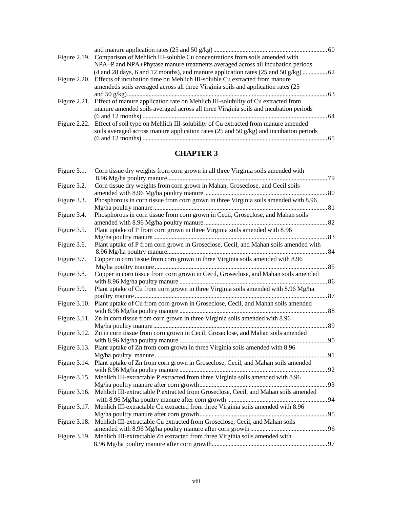## **CHAPTER 3**

| Figure 3.1.  | Corn tissue dry weights from corn grown in all three Virginia soils amended with                 |  |
|--------------|--------------------------------------------------------------------------------------------------|--|
| Figure 3.2.  | Corn tissue dry weights from corn grown in Mahan, Groseclose, and Cecil soils                    |  |
| Figure 3.3.  | Phosphorous in corn tissue from corn grown in three Virginia soils amended with 8.96             |  |
| Figure 3.4.  | Phosphorous in corn tissue from corn grown in Cecil, Groseclose, and Mahan soils                 |  |
| Figure 3.5.  | Plant uptake of P from corn grown in three Virginia soils amended with 8.96                      |  |
| Figure 3.6.  | Plant uptake of P from corn grown in Groseclose, Cecil, and Mahan soils amended with             |  |
| Figure 3.7.  | Copper in corn tissue from corn grown in three Virginia soils amended with 8.96                  |  |
| Figure 3.8.  | Copper in corn tissue from corn grown in Cecil, Groseclose, and Mahan soils amended              |  |
| Figure 3.9.  | Plant uptake of Cu from corn grown in three Virginia soils amended with 8.96 Mg/ha               |  |
|              | Figure 3.10. Plant uptake of Cu from corn grown in Groseclose, Cecil, and Mahan soils amended    |  |
|              | Figure 3.11. Zn in corn tissue from corn grown in three Virginia soils amended with 8.96         |  |
|              | Figure 3.12. Zn in corn tissue from corn grown in Cecil, Groseclose, and Mahan soils amended     |  |
|              | Figure 3.13. Plant uptake of Zn from corn grown in three Virginia soils amended with 8.96        |  |
|              | Figure 3.14. Plant uptake of Zn from corn grown in Groseclose, Cecil, and Mahan soils amended    |  |
|              | Figure 3.15. Mehlich III-extractable P extracted from three Virginia soils amended with 8.96     |  |
|              | Figure 3.16. Mehlich III-extractable P extracted from Groseclose, Cecil, and Mahan soils amended |  |
| Figure 3.17. | Mehlich III-extractable Cu extracted from three Virginia soils amended with 8.96                 |  |
| Figure 3.18. | Mehlich III-extractable Cu extracted from Groseclose, Cecil, and Mahan soils                     |  |
| Figure 3.19. | Mehlich III-extractable Zn extracted from three Virginia soils amended with                      |  |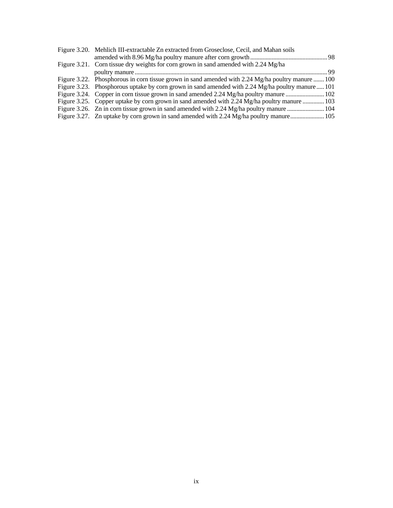| Figure 3.20. Mehlich III-extractable Zn extracted from Groseclose, Cecil, and Mahan soils         |  |
|---------------------------------------------------------------------------------------------------|--|
|                                                                                                   |  |
| Figure 3.21. Corn tissue dry weights for corn grown in sand amended with 2.24 Mg/ha               |  |
|                                                                                                   |  |
| Figure 3.22. Phosphorous in corn tissue grown in sand amended with 2.24 Mg/ha poultry manure  100 |  |
| Figure 3.23. Phosphorous uptake by corn grown in sand amended with 2.24 Mg/ha poultry manure  101 |  |
|                                                                                                   |  |
| Figure 3.25. Copper uptake by corn grown in sand amended with 2.24 Mg/ha poultry manure  103      |  |
|                                                                                                   |  |
| Figure 3.27. Zn uptake by corn grown in sand amended with 2.24 Mg/ha poultry manure 105           |  |
|                                                                                                   |  |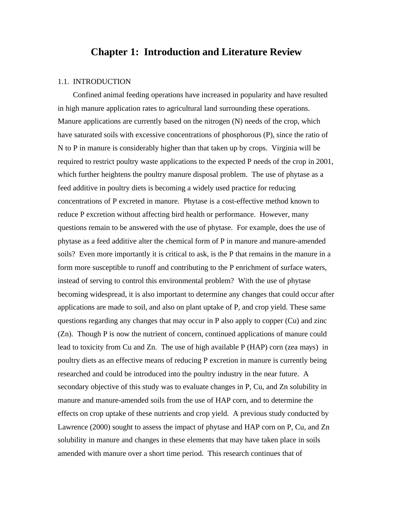### **Chapter 1: Introduction and Literature Review**

#### 1.1. INTRODUCTION

 Confined animal feeding operations have increased in popularity and have resulted in high manure application rates to agricultural land surrounding these operations. Manure applications are currently based on the nitrogen (N) needs of the crop, which have saturated soils with excessive concentrations of phosphorous (P), since the ratio of N to P in manure is considerably higher than that taken up by crops. Virginia will be required to restrict poultry waste applications to the expected P needs of the crop in 2001, which further heightens the poultry manure disposal problem. The use of phytase as a feed additive in poultry diets is becoming a widely used practice for reducing concentrations of P excreted in manure. Phytase is a cost-effective method known to reduce P excretion without affecting bird health or performance. However, many questions remain to be answered with the use of phytase. For example, does the use of phytase as a feed additive alter the chemical form of P in manure and manure-amended soils? Even more importantly it is critical to ask, is the P that remains in the manure in a form more susceptible to runoff and contributing to the P enrichment of surface waters, instead of serving to control this environmental problem? With the use of phytase becoming widespread, it is also important to determine any changes that could occur after applications are made to soil, and also on plant uptake of P, and crop yield. These same questions regarding any changes that may occur in P also apply to copper (Cu) and zinc (Zn). Though P is now the nutrient of concern, continued applications of manure could lead to toxicity from Cu and Zn. The use of high available P (HAP) corn (zea mays) in poultry diets as an effective means of reducing P excretion in manure is currently being researched and could be introduced into the poultry industry in the near future. A secondary objective of this study was to evaluate changes in P, Cu, and Zn solubility in manure and manure-amended soils from the use of HAP corn, and to determine the effects on crop uptake of these nutrients and crop yield. A previous study conducted by Lawrence (2000) sought to assess the impact of phytase and HAP corn on P, Cu, and Zn solubility in manure and changes in these elements that may have taken place in soils amended with manure over a short time period. This research continues that of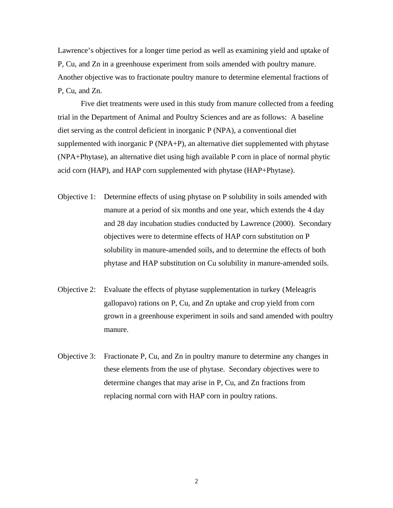Lawrence's objectives for a longer time period as well as examining yield and uptake of P, Cu, and Zn in a greenhouse experiment from soils amended with poultry manure. Another objective was to fractionate poultry manure to determine elemental fractions of P, Cu, and Zn.

Five diet treatments were used in this study from manure collected from a feeding trial in the Department of Animal and Poultry Sciences and are as follows: A baseline diet serving as the control deficient in inorganic P (NPA), a conventional diet supplemented with inorganic P (NPA+P), an alternative diet supplemented with phytase (NPA+Phytase), an alternative diet using high available P corn in place of normal phytic acid corn (HAP), and HAP corn supplemented with phytase (HAP+Phytase).

- Objective 1: Determine effects of using phytase on P solubility in soils amended with manure at a period of six months and one year, which extends the 4 day and 28 day incubation studies conducted by Lawrence (2000). Secondary objectives were to determine effects of HAP corn substitution on P solubility in manure-amended soils, and to determine the effects of both phytase and HAP substitution on Cu solubility in manure-amended soils.
- Objective 2: Evaluate the effects of phytase supplementation in turkey (Meleagris gallopavo) rations on P, Cu, and Zn uptake and crop yield from corn grown in a greenhouse experiment in soils and sand amended with poultry manure.
- Objective 3: Fractionate P, Cu, and Zn in poultry manure to determine any changes in these elements from the use of phytase. Secondary objectives were to determine changes that may arise in P, Cu, and Zn fractions from replacing normal corn with HAP corn in poultry rations.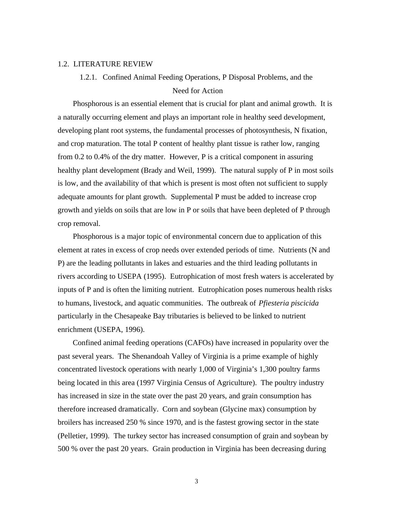#### 1.2. LITERATURE REVIEW

# 1.2.1. Confined Animal Feeding Operations, P Disposal Problems, and the Need for Action

 Phosphorous is an essential element that is crucial for plant and animal growth. It is a naturally occurring element and plays an important role in healthy seed development, developing plant root systems, the fundamental processes of photosynthesis, N fixation, and crop maturation. The total P content of healthy plant tissue is rather low, ranging from 0.2 to 0.4% of the dry matter. However, P is a critical component in assuring healthy plant development (Brady and Weil, 1999). The natural supply of P in most soils is low, and the availability of that which is present is most often not sufficient to supply adequate amounts for plant growth. Supplemental P must be added to increase crop growth and yields on soils that are low in P or soils that have been depleted of P through crop removal.

 Phosphorous is a major topic of environmental concern due to application of this element at rates in excess of crop needs over extended periods of time. Nutrients (N and P) are the leading pollutants in lakes and estuaries and the third leading pollutants in rivers according to USEPA (1995). Eutrophication of most fresh waters is accelerated by inputs of P and is often the limiting nutrient. Eutrophication poses numerous health risks to humans, livestock, and aquatic communities. The outbreak of *Pfiesteria piscicida* particularly in the Chesapeake Bay tributaries is believed to be linked to nutrient enrichment (USEPA, 1996).

 Confined animal feeding operations (CAFOs) have increased in popularity over the past several years. The Shenandoah Valley of Virginia is a prime example of highly concentrated livestock operations with nearly 1,000 of Virginia's 1,300 poultry farms being located in this area (1997 Virginia Census of Agriculture). The poultry industry has increased in size in the state over the past 20 years, and grain consumption has therefore increased dramatically. Corn and soybean (Glycine max) consumption by broilers has increased 250 % since 1970, and is the fastest growing sector in the state (Pelletier, 1999). The turkey sector has increased consumption of grain and soybean by 500 % over the past 20 years. Grain production in Virginia has been decreasing during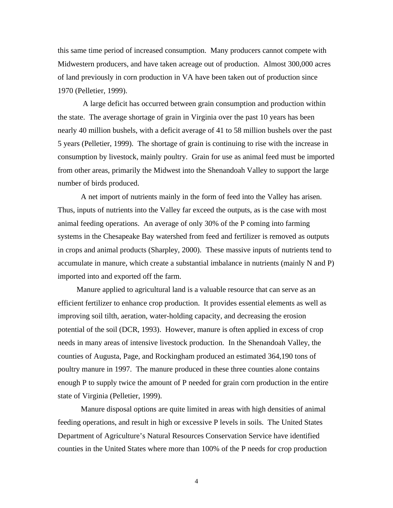this same time period of increased consumption. Many producers cannot compete with Midwestern producers, and have taken acreage out of production. Almost 300,000 acres of land previously in corn production in VA have been taken out of production since 1970 (Pelletier, 1999).

 A large deficit has occurred between grain consumption and production within the state. The average shortage of grain in Virginia over the past 10 years has been nearly 40 million bushels, with a deficit average of 41 to 58 million bushels over the past 5 years (Pelletier, 1999). The shortage of grain is continuing to rise with the increase in consumption by livestock, mainly poultry. Grain for use as animal feed must be imported from other areas, primarily the Midwest into the Shenandoah Valley to support the large number of birds produced.

A net import of nutrients mainly in the form of feed into the Valley has arisen. Thus, inputs of nutrients into the Valley far exceed the outputs, as is the case with most animal feeding operations. An average of only 30% of the P coming into farming systems in the Chesapeake Bay watershed from feed and fertilizer is removed as outputs in crops and animal products (Sharpley, 2000). These massive inputs of nutrients tend to accumulate in manure, which create a substantial imbalance in nutrients (mainly N and P) imported into and exported off the farm.

 Manure applied to agricultural land is a valuable resource that can serve as an efficient fertilizer to enhance crop production. It provides essential elements as well as improving soil tilth, aeration, water-holding capacity, and decreasing the erosion potential of the soil (DCR, 1993). However, manure is often applied in excess of crop needs in many areas of intensive livestock production. In the Shenandoah Valley, the counties of Augusta, Page, and Rockingham produced an estimated 364,190 tons of poultry manure in 1997. The manure produced in these three counties alone contains enough P to supply twice the amount of P needed for grain corn production in the entire state of Virginia (Pelletier, 1999).

Manure disposal options are quite limited in areas with high densities of animal feeding operations, and result in high or excessive P levels in soils. The United States Department of Agriculture's Natural Resources Conservation Service have identified counties in the United States where more than 100% of the P needs for crop production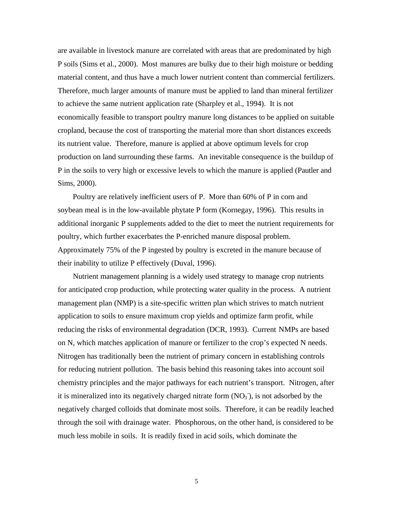are available in livestock manure are correlated with areas that are predominated by high P soils (Sims et al., 2000). Most manures are bulky due to their high moisture or bedding material content, and thus have a much lower nutrient content than commercial fertilizers. Therefore, much larger amounts of manure must be applied to land than mineral fertilizer to achieve the same nutrient application rate (Sharpley et al., 1994). It is not economically feasible to transport poultry manure long distances to be applied on suitable cropland, because the cost of transporting the material more than short distances exceeds its nutrient value. Therefore, manure is applied at above optimum levels for crop production on land surrounding these farms. An inevitable consequence is the buildup of P in the soils to very high or excessive levels to which the manure is applied (Pautler and Sims, 2000).

 Poultry are relatively inefficient users of P. More than 60% of P in corn and soybean meal is in the low-available phytate P form (Kornegay, 1996). This results in additional inorganic P supplements added to the diet to meet the nutrient requirements for poultry, which further exacerbates the P-enriched manure disposal problem. Approximately 75% of the P ingested by poultry is excreted in the manure because of their inability to utilize P effectively (Duval, 1996).

 Nutrient management planning is a widely used strategy to manage crop nutrients for anticipated crop production, while protecting water quality in the process. A nutrient management plan (NMP) is a site-specific written plan which strives to match nutrient application to soils to ensure maximum crop yields and optimize farm profit, while reducing the risks of environmental degradation (DCR, 1993). Current NMPs are based on N, which matches application of manure or fertilizer to the crop's expected N needs. Nitrogen has traditionally been the nutrient of primary concern in establishing controls for reducing nutrient pollution. The basis behind this reasoning takes into account soil chemistry principles and the major pathways for each nutrient's transport. Nitrogen, after it is mineralized into its negatively charged nitrate form  $(NO<sub>3</sub>)$ , is not adsorbed by the negatively charged colloids that dominate most soils. Therefore, it can be readily leached through the soil with drainage water. Phosphorous, on the other hand, is considered to be much less mobile in soils. It is readily fixed in acid soils, which dominate the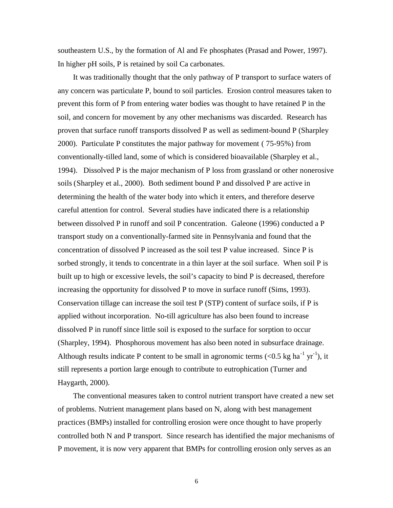southeastern U.S., by the formation of Al and Fe phosphates (Prasad and Power, 1997). In higher pH soils, P is retained by soil Ca carbonates.

 It was traditionally thought that the only pathway of P transport to surface waters of any concern was particulate P, bound to soil particles. Erosion control measures taken to prevent this form of P from entering water bodies was thought to have retained P in the soil, and concern for movement by any other mechanisms was discarded. Research has proven that surface runoff transports dissolved P as well as sediment-bound P (Sharpley 2000). Particulate P constitutes the major pathway for movement ( 75-95%) from conventionally-tilled land, some of which is considered bioavailable (Sharpley et al., 1994). Dissolved P is the major mechanism of P loss from grassland or other nonerosive soils (Sharpley et al., 2000). Both sediment bound P and dissolved P are active in determining the health of the water body into which it enters, and therefore deserve careful attention for control. Several studies have indicated there is a relationship between dissolved P in runoff and soil P concentration. Galeone (1996) conducted a P transport study on a conventionally-farmed site in Pennsylvania and found that the concentration of dissolved P increased as the soil test P value increased. Since P is sorbed strongly, it tends to concentrate in a thin layer at the soil surface. When soil P is built up to high or excessive levels, the soil's capacity to bind P is decreased, therefore increasing the opportunity for dissolved P to move in surface runoff (Sims, 1993). Conservation tillage can increase the soil test P (STP) content of surface soils, if P is applied without incorporation. No-till agriculture has also been found to increase dissolved P in runoff since little soil is exposed to the surface for sorption to occur (Sharpley, 1994). Phosphorous movement has also been noted in subsurface drainage. Although results indicate P content to be small in agronomic terms (<0.5 kg ha<sup>-1</sup> yr<sup>-1</sup>), it still represents a portion large enough to contribute to eutrophication (Turner and Haygarth, 2000).

 The conventional measures taken to control nutrient transport have created a new set of problems. Nutrient management plans based on N, along with best management practices (BMPs) installed for controlling erosion were once thought to have properly controlled both N and P transport. Since research has identified the major mechanisms of P movement, it is now very apparent that BMPs for controlling erosion only serves as an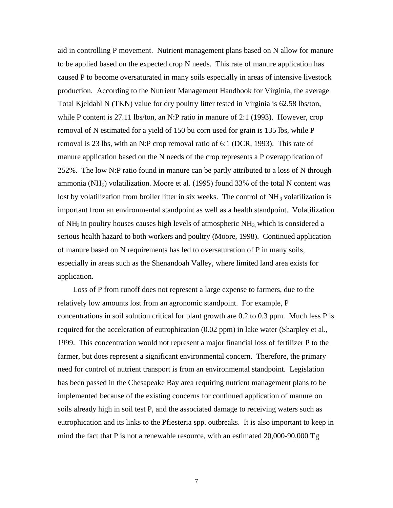aid in controlling P movement. Nutrient management plans based on N allow for manure to be applied based on the expected crop N needs. This rate of manure application has caused P to become oversaturated in many soils especially in areas of intensive livestock production. According to the Nutrient Management Handbook for Virginia, the average Total Kjeldahl N (TKN) value for dry poultry litter tested in Virginia is 62.58 lbs/ton, while P content is 27.11 lbs/ton, an N:P ratio in manure of 2:1 (1993). However, crop removal of N estimated for a yield of 150 bu corn used for grain is 135 lbs, while P removal is 23 lbs, with an N:P crop removal ratio of 6:1 (DCR, 1993). This rate of manure application based on the N needs of the crop represents a P overapplication of 252%. The low N:P ratio found in manure can be partly attributed to a loss of N through ammonia (NH<sub>3</sub>) volatilization. Moore et al. (1995) found 33% of the total N content was lost by volatilization from broiler litter in six weeks. The control of  $NH<sub>3</sub>$  volatilization is important from an environmental standpoint as well as a health standpoint. Volatilization of  $NH<sub>3</sub>$  in poultry houses causes high levels of atmospheric  $NH<sub>3</sub>$  which is considered a serious health hazard to both workers and poultry (Moore, 1998). Continued application of manure based on N requirements has led to oversaturation of P in many soils, especially in areas such as the Shenandoah Valley, where limited land area exists for application.

 Loss of P from runoff does not represent a large expense to farmers, due to the relatively low amounts lost from an agronomic standpoint. For example, P concentrations in soil solution critical for plant growth are 0.2 to 0.3 ppm. Much less P is required for the acceleration of eutrophication (0.02 ppm) in lake water (Sharpley et al., 1999. This concentration would not represent a major financial loss of fertilizer P to the farmer, but does represent a significant environmental concern. Therefore, the primary need for control of nutrient transport is from an environmental standpoint. Legislation has been passed in the Chesapeake Bay area requiring nutrient management plans to be implemented because of the existing concerns for continued application of manure on soils already high in soil test P, and the associated damage to receiving waters such as eutrophication and its links to the Pfiesteria spp. outbreaks. It is also important to keep in mind the fact that P is not a renewable resource, with an estimated 20,000-90,000 Tg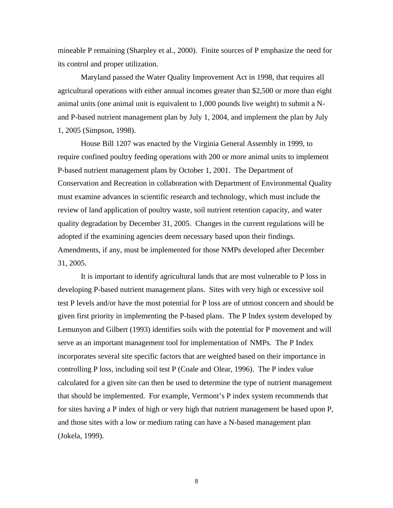mineable P remaining (Sharpley et al., 2000). Finite sources of P emphasize the need for its control and proper utilization.

Maryland passed the Water Quality Improvement Act in 1998, that requires all agricultural operations with either annual incomes greater than \$2,500 or more than eight animal units (one animal unit is equivalent to 1,000 pounds live weight) to submit a Nand P-based nutrient management plan by July 1, 2004, and implement the plan by July 1, 2005 (Simpson, 1998).

House Bill 1207 was enacted by the Virginia General Assembly in 1999, to require confined poultry feeding operations with 200 or more animal units to implement P-based nutrient management plans by October 1, 2001. The Department of Conservation and Recreation in collaboration with Department of Environmental Quality must examine advances in scientific research and technology, which must include the review of land application of poultry waste, soil nutrient retention capacity, and water quality degradation by December 31, 2005. Changes in the current regulations will be adopted if the examining agencies deem necessary based upon their findings. Amendments, if any, must be implemented for those NMPs developed after December 31, 2005.

It is important to identify agricultural lands that are most vulnerable to P loss in developing P-based nutrient management plans. Sites with very high or excessive soil test P levels and/or have the most potential for P loss are of utmost concern and should be given first priority in implementing the P-based plans. The P Index system developed by Lemunyon and Gilbert (1993) identifies soils with the potential for P movement and will serve as an important management tool for implementation of NMPs. The P Index incorporates several site specific factors that are weighted based on their importance in controlling P loss, including soil test P (Coale and Olear, 1996). The P index value calculated for a given site can then be used to determine the type of nutrient management that should be implemented. For example, Vermont's P index system recommends that for sites having a P index of high or very high that nutrient management be based upon P, and those sites with a low or medium rating can have a N-based management plan (Jokela, 1999).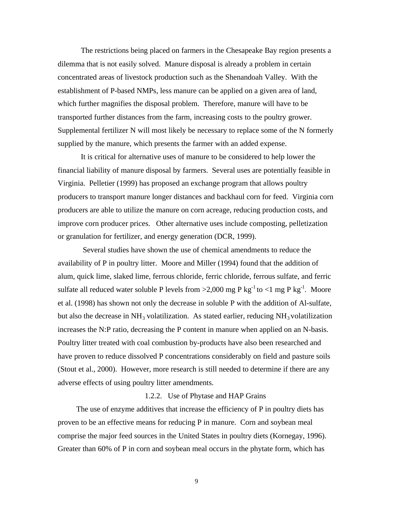The restrictions being placed on farmers in the Chesapeake Bay region presents a dilemma that is not easily solved. Manure disposal is already a problem in certain concentrated areas of livestock production such as the Shenandoah Valley. With the establishment of P-based NMPs, less manure can be applied on a given area of land, which further magnifies the disposal problem. Therefore, manure will have to be transported further distances from the farm, increasing costs to the poultry grower. Supplemental fertilizer N will most likely be necessary to replace some of the N formerly supplied by the manure, which presents the farmer with an added expense.

It is critical for alternative uses of manure to be considered to help lower the financial liability of manure disposal by farmers. Several uses are potentially feasible in Virginia. Pelletier (1999) has proposed an exchange program that allows poultry producers to transport manure longer distances and backhaul corn for feed. Virginia corn producers are able to utilize the manure on corn acreage, reducing production costs, and improve corn producer prices. Other alternative uses include composting, pelletization or granulation for fertilizer, and energy generation (DCR, 1999).

 Several studies have shown the use of chemical amendments to reduce the availability of P in poultry litter. Moore and Miller (1994) found that the addition of alum, quick lime, slaked lime, ferrous chloride, ferric chloride, ferrous sulfate, and ferric sulfate all reduced water soluble P levels from  $>2,000$  mg P kg<sup>-1</sup> to  $<1$  mg P kg<sup>-1</sup>. Moore et al. (1998) has shown not only the decrease in soluble P with the addition of Al-sulfate, but also the decrease in  $NH_3$  volatilization. As stated earlier, reducing  $NH_3$  volatilization increases the N:P ratio, decreasing the P content in manure when applied on an N-basis. Poultry litter treated with coal combustion by-products have also been researched and have proven to reduce dissolved P concentrations considerably on field and pasture soils (Stout et al., 2000). However, more research is still needed to determine if there are any adverse effects of using poultry litter amendments.

#### 1.2.2. Use of Phytase and HAP Grains

The use of enzyme additives that increase the efficiency of P in poultry diets has proven to be an effective means for reducing P in manure. Corn and soybean meal comprise the major feed sources in the United States in poultry diets (Kornegay, 1996). Greater than 60% of P in corn and soybean meal occurs in the phytate form, which has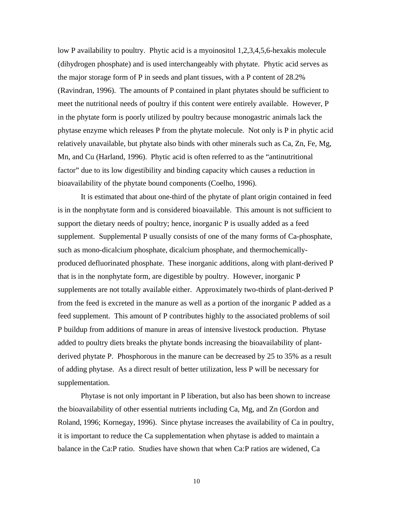low P availability to poultry. Phytic acid is a myoinositol 1,2,3,4,5,6-hexakis molecule (dihydrogen phosphate) and is used interchangeably with phytate. Phytic acid serves as the major storage form of P in seeds and plant tissues, with a P content of 28.2% (Ravindran, 1996). The amounts of P contained in plant phytates should be sufficient to meet the nutritional needs of poultry if this content were entirely available. However, P in the phytate form is poorly utilized by poultry because monogastric animals lack the phytase enzyme which releases P from the phytate molecule. Not only is P in phytic acid relatively unavailable, but phytate also binds with other minerals such as Ca, Zn, Fe, Mg, Mn, and Cu (Harland, 1996). Phytic acid is often referred to as the "antinutritional factor" due to its low digestibility and binding capacity which causes a reduction in bioavailability of the phytate bound components (Coelho, 1996).

It is estimated that about one-third of the phytate of plant origin contained in feed is in the nonphytate form and is considered bioavailable. This amount is not sufficient to support the dietary needs of poultry; hence, inorganic P is usually added as a feed supplement. Supplemental P usually consists of one of the many forms of Ca-phosphate, such as mono-dicalcium phosphate, dicalcium phosphate, and thermochemicallyproduced defluorinated phosphate. These inorganic additions, along with plant-derived P that is in the nonphytate form, are digestible by poultry. However, inorganic P supplements are not totally available either. Approximately two-thirds of plant-derived P from the feed is excreted in the manure as well as a portion of the inorganic P added as a feed supplement. This amount of P contributes highly to the associated problems of soil P buildup from additions of manure in areas of intensive livestock production. Phytase added to poultry diets breaks the phytate bonds increasing the bioavailability of plantderived phytate P. Phosphorous in the manure can be decreased by 25 to 35% as a result of adding phytase. As a direct result of better utilization, less P will be necessary for supplementation.

Phytase is not only important in P liberation, but also has been shown to increase the bioavailability of other essential nutrients including Ca, Mg, and Zn (Gordon and Roland, 1996; Kornegay, 1996). Since phytase increases the availability of Ca in poultry, it is important to reduce the Ca supplementation when phytase is added to maintain a balance in the Ca:P ratio. Studies have shown that when Ca:P ratios are widened, Ca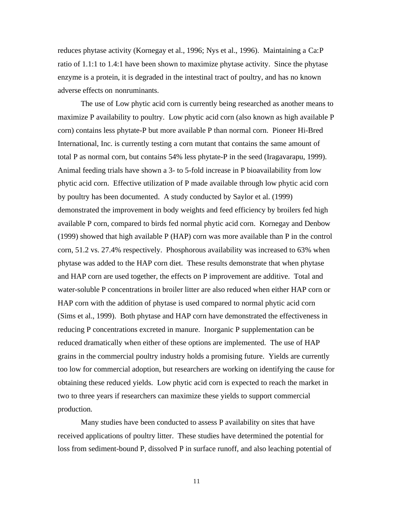reduces phytase activity (Kornegay et al., 1996; Nys et al., 1996). Maintaining a Ca:P ratio of 1.1:1 to 1.4:1 have been shown to maximize phytase activity. Since the phytase enzyme is a protein, it is degraded in the intestinal tract of poultry, and has no known adverse effects on nonruminants.

The use of Low phytic acid corn is currently being researched as another means to maximize P availability to poultry. Low phytic acid corn (also known as high available P corn) contains less phytate-P but more available P than normal corn. Pioneer Hi-Bred International, Inc. is currently testing a corn mutant that contains the same amount of total P as normal corn, but contains 54% less phytate-P in the seed (Iragavarapu, 1999). Animal feeding trials have shown a 3- to 5-fold increase in P bioavailability from low phytic acid corn. Effective utilization of P made available through low phytic acid corn by poultry has been documented. A study conducted by Saylor et al. (1999) demonstrated the improvement in body weights and feed efficiency by broilers fed high available P corn, compared to birds fed normal phytic acid corn. Kornegay and Denbow (1999) showed that high available P (HAP) corn was more available than P in the control corn, 51.2 vs. 27.4% respectively. Phosphorous availability was increased to 63% when phytase was added to the HAP corn diet. These results demonstrate that when phytase and HAP corn are used together, the effects on P improvement are additive. Total and water-soluble P concentrations in broiler litter are also reduced when either HAP corn or HAP corn with the addition of phytase is used compared to normal phytic acid corn (Sims et al., 1999). Both phytase and HAP corn have demonstrated the effectiveness in reducing P concentrations excreted in manure. Inorganic P supplementation can be reduced dramatically when either of these options are implemented. The use of HAP grains in the commercial poultry industry holds a promising future. Yields are currently too low for commercial adoption, but researchers are working on identifying the cause for obtaining these reduced yields. Low phytic acid corn is expected to reach the market in two to three years if researchers can maximize these yields to support commercial production.

Many studies have been conducted to assess P availability on sites that have received applications of poultry litter. These studies have determined the potential for loss from sediment-bound P, dissolved P in surface runoff, and also leaching potential of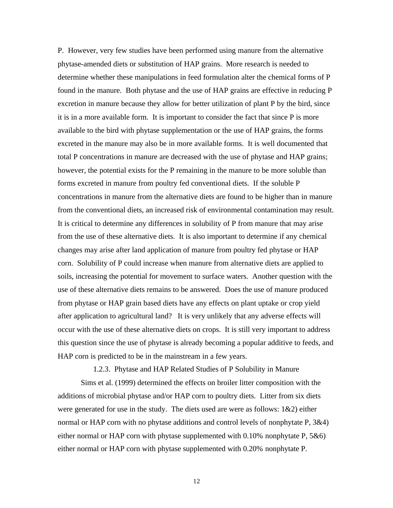P. However, very few studies have been performed using manure from the alternative phytase-amended diets or substitution of HAP grains. More research is needed to determine whether these manipulations in feed formulation alter the chemical forms of P found in the manure. Both phytase and the use of HAP grains are effective in reducing P excretion in manure because they allow for better utilization of plant P by the bird, since it is in a more available form. It is important to consider the fact that since P is more available to the bird with phytase supplementation or the use of HAP grains, the forms excreted in the manure may also be in more available forms. It is well documented that total P concentrations in manure are decreased with the use of phytase and HAP grains; however, the potential exists for the P remaining in the manure to be more soluble than forms excreted in manure from poultry fed conventional diets. If the soluble P concentrations in manure from the alternative diets are found to be higher than in manure from the conventional diets, an increased risk of environmental contamination may result. It is critical to determine any differences in solubility of P from manure that may arise from the use of these alternative diets. It is also important to determine if any chemical changes may arise after land application of manure from poultry fed phytase or HAP corn. Solubility of P could increase when manure from alternative diets are applied to soils, increasing the potential for movement to surface waters. Another question with the use of these alternative diets remains to be answered. Does the use of manure produced from phytase or HAP grain based diets have any effects on plant uptake or crop yield after application to agricultural land? It is very unlikely that any adverse effects will occur with the use of these alternative diets on crops. It is still very important to address this question since the use of phytase is already becoming a popular additive to feeds, and HAP corn is predicted to be in the mainstream in a few years.

1.2.3. Phytase and HAP Related Studies of P Solubility in Manure

Sims et al. (1999) determined the effects on broiler litter composition with the additions of microbial phytase and/or HAP corn to poultry diets. Litter from six diets were generated for use in the study. The diets used are were as follows: 1&2) either normal or HAP corn with no phytase additions and control levels of nonphytate P,  $3&4$ ) either normal or HAP corn with phytase supplemented with 0.10% nonphytate P, 5&6) either normal or HAP corn with phytase supplemented with 0.20% nonphytate P.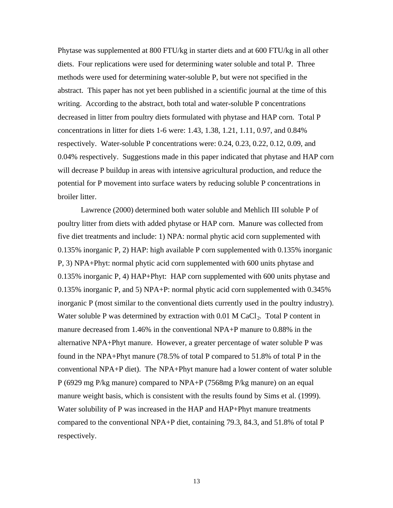Phytase was supplemented at 800 FTU/kg in starter diets and at 600 FTU/kg in all other diets. Four replications were used for determining water soluble and total P. Three methods were used for determining water-soluble P, but were not specified in the abstract. This paper has not yet been published in a scientific journal at the time of this writing. According to the abstract, both total and water-soluble P concentrations decreased in litter from poultry diets formulated with phytase and HAP corn. Total P concentrations in litter for diets 1-6 were: 1.43, 1.38, 1.21, 1.11, 0.97, and 0.84% respectively. Water-soluble P concentrations were: 0.24, 0.23, 0.22, 0.12, 0.09, and 0.04% respectively. Suggestions made in this paper indicated that phytase and HAP corn will decrease P buildup in areas with intensive agricultural production, and reduce the potential for P movement into surface waters by reducing soluble P concentrations in broiler litter.

Lawrence (2000) determined both water soluble and Mehlich III soluble P of poultry litter from diets with added phytase or HAP corn. Manure was collected from five diet treatments and include: 1) NPA: normal phytic acid corn supplemented with 0.135% inorganic P, 2) HAP: high available P corn supplemented with 0.135% inorganic P, 3) NPA+Phyt: normal phytic acid corn supplemented with 600 units phytase and 0.135% inorganic P, 4) HAP+Phyt: HAP corn supplemented with 600 units phytase and 0.135% inorganic P, and 5) NPA+P: normal phytic acid corn supplemented with 0.345% inorganic P (most similar to the conventional diets currently used in the poultry industry). Water soluble P was determined by extraction with  $0.01$  M CaCl<sub>2</sub>. Total P content in manure decreased from 1.46% in the conventional NPA+P manure to 0.88% in the alternative NPA+Phyt manure. However, a greater percentage of water soluble P was found in the NPA+Phyt manure (78.5% of total P compared to 51.8% of total P in the conventional NPA+P diet). The NPA+Phyt manure had a lower content of water soluble P (6929 mg P/kg manure) compared to NPA+P (7568mg P/kg manure) on an equal manure weight basis, which is consistent with the results found by Sims et al. (1999). Water solubility of P was increased in the HAP and HAP+Phyt manure treatments compared to the conventional NPA+P diet, containing 79.3, 84.3, and 51.8% of total P respectively.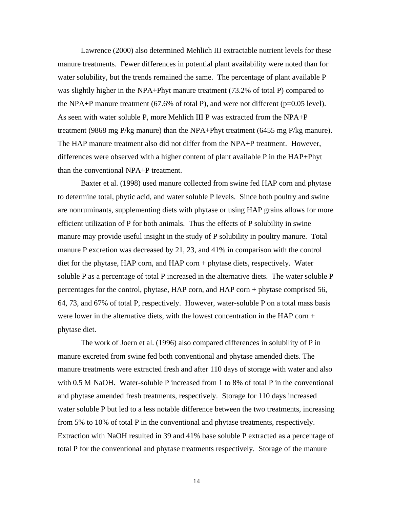Lawrence (2000) also determined Mehlich III extractable nutrient levels for these manure treatments. Fewer differences in potential plant availability were noted than for water solubility, but the trends remained the same. The percentage of plant available P was slightly higher in the NPA+Phyt manure treatment (73.2% of total P) compared to the NPA+P manure treatment  $(67.6\% \text{ of total P})$ , and were not different  $(p=0.05 \text{ level})$ . As seen with water soluble P, more Mehlich III P was extracted from the NPA+P treatment (9868 mg P/kg manure) than the NPA+Phyt treatment (6455 mg P/kg manure). The HAP manure treatment also did not differ from the NPA+P treatment. However, differences were observed with a higher content of plant available P in the HAP+Phyt than the conventional NPA+P treatment.

Baxter et al. (1998) used manure collected from swine fed HAP corn and phytase to determine total, phytic acid, and water soluble P levels. Since both poultry and swine are nonruminants, supplementing diets with phytase or using HAP grains allows for more efficient utilization of P for both animals. Thus the effects of P solubility in swine manure may provide useful insight in the study of P solubility in poultry manure. Total manure P excretion was decreased by 21, 23, and 41% in comparison with the control diet for the phytase, HAP corn, and HAP corn + phytase diets, respectively. Water soluble P as a percentage of total P increased in the alternative diets. The water soluble P percentages for the control, phytase, HAP corn, and HAP corn + phytase comprised 56, 64, 73, and 67% of total P, respectively. However, water-soluble P on a total mass basis were lower in the alternative diets, with the lowest concentration in the HAP corn + phytase diet.

The work of Joern et al. (1996) also compared differences in solubility of P in manure excreted from swine fed both conventional and phytase amended diets. The manure treatments were extracted fresh and after 110 days of storage with water and also with 0.5 M NaOH. Water-soluble P increased from 1 to 8% of total P in the conventional and phytase amended fresh treatments, respectively. Storage for 110 days increased water soluble P but led to a less notable difference between the two treatments, increasing from 5% to 10% of total P in the conventional and phytase treatments, respectively. Extraction with NaOH resulted in 39 and 41% base soluble P extracted as a percentage of total P for the conventional and phytase treatments respectively. Storage of the manure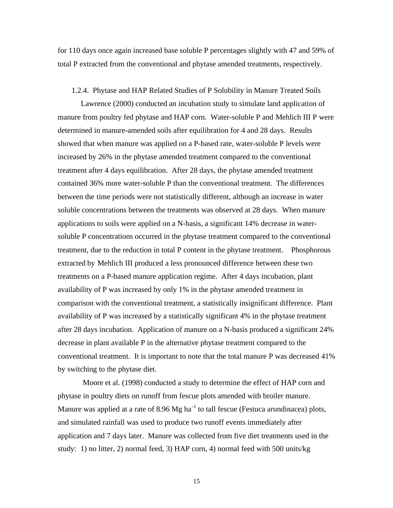for 110 days once again increased base soluble P percentages slightly with 47 and 59% of total P extracted from the conventional and phytase amended treatments, respectively.

#### 1.2.4. Phytase and HAP Related Studies of P Solubility in Manure Treated Soils

Lawrence (2000) conducted an incubation study to simulate land application of manure from poultry fed phytase and HAP corn. Water-soluble P and Mehlich III P were determined in manure-amended soils after equilibration for 4 and 28 days. Results showed that when manure was applied on a P-based rate, water-soluble P levels were increased by 26% in the phytase amended treatment compared to the conventional treatment after 4 days equilibration. After 28 days, the phytase amended treatment contained 36% more water-soluble P than the conventional treatment. The differences between the time periods were not statistically different, although an increase in water soluble concentrations between the treatments was observed at 28 days. When manure applications to soils were applied on a N-basis, a significant 14% decrease in watersoluble P concentrations occurred in the phytase treatment compared to the conventional treatment, due to the reduction in total P content in the phytase treatment. Phosphorous extracted by Mehlich III produced a less pronounced difference between these two treatments on a P-based manure application regime. After 4 days incubation, plant availability of P was increased by only 1% in the phytase amended treatment in comparison with the conventional treatment, a statistically insignificant difference. Plant availability of P was increased by a statistically significant 4% in the phytase treatment after 28 days incubation. Application of manure on a N-basis produced a significant 24% decrease in plant available P in the alternative phytase treatment compared to the conventional treatment. It is important to note that the total manure P was decreased 41% by switching to the phytase diet.

 Moore et al. (1998) conducted a study to determine the effect of HAP corn and phytase in poultry diets on runoff from fescue plots amended with broiler manure. Manure was applied at a rate of  $8.96$  Mg ha<sup>-1</sup> to tall fescue (Festuca arundinacea) plots, and simulated rainfall was used to produce two runoff events immediately after application and 7 days later. Manure was collected from five diet treatments used in the study: 1) no litter, 2) normal feed, 3) HAP corn, 4) normal feed with 500 units/kg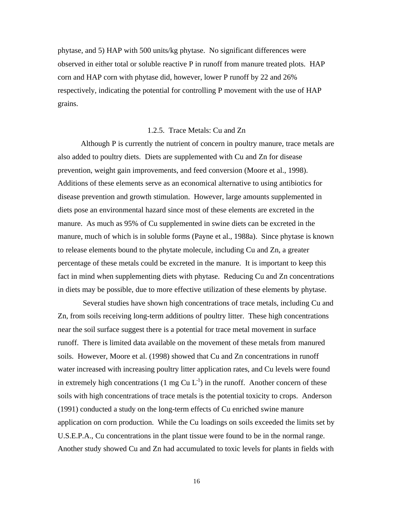phytase, and 5) HAP with 500 units/kg phytase. No significant differences were observed in either total or soluble reactive P in runoff from manure treated plots. HAP corn and HAP corn with phytase did, however, lower P runoff by 22 and 26% respectively, indicating the potential for controlling P movement with the use of HAP grains.

#### 1.2.5. Trace Metals: Cu and Zn

Although P is currently the nutrient of concern in poultry manure, trace metals are also added to poultry diets. Diets are supplemented with Cu and Zn for disease prevention, weight gain improvements, and feed conversion (Moore et al., 1998). Additions of these elements serve as an economical alternative to using antibiotics for disease prevention and growth stimulation. However, large amounts supplemented in diets pose an environmental hazard since most of these elements are excreted in the manure. As much as 95% of Cu supplemented in swine diets can be excreted in the manure, much of which is in soluble forms (Payne et al., 1988a). Since phytase is known to release elements bound to the phytate molecule, including Cu and Zn, a greater percentage of these metals could be excreted in the manure. It is important to keep this fact in mind when supplementing diets with phytase. Reducing Cu and Zn concentrations in diets may be possible, due to more effective utilization of these elements by phytase.

 Several studies have shown high concentrations of trace metals, including Cu and Zn, from soils receiving long-term additions of poultry litter. These high concentrations near the soil surface suggest there is a potential for trace metal movement in surface runoff. There is limited data available on the movement of these metals from manured soils. However, Moore et al. (1998) showed that Cu and Zn concentrations in runoff water increased with increasing poultry litter application rates, and Cu levels were found in extremely high concentrations (1 mg Cu  $L^{-1}$ ) in the runoff. Another concern of these soils with high concentrations of trace metals is the potential toxicity to crops. Anderson (1991) conducted a study on the long-term effects of Cu enriched swine manure application on corn production. While the Cu loadings on soils exceeded the limits set by U.S.E.P.A., Cu concentrations in the plant tissue were found to be in the normal range. Another study showed Cu and Zn had accumulated to toxic levels for plants in fields with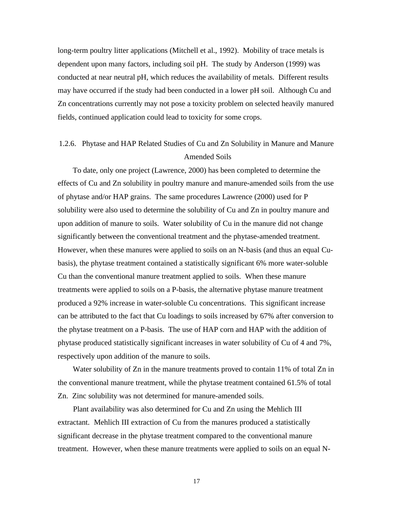long-term poultry litter applications (Mitchell et al., 1992). Mobility of trace metals is dependent upon many factors, including soil pH. The study by Anderson (1999) was conducted at near neutral pH, which reduces the availability of metals. Different results may have occurred if the study had been conducted in a lower pH soil. Although Cu and Zn concentrations currently may not pose a toxicity problem on selected heavily manured fields, continued application could lead to toxicity for some crops.

### 1.2.6. Phytase and HAP Related Studies of Cu and Zn Solubility in Manure and Manure Amended Soils

 To date, only one project (Lawrence, 2000) has been completed to determine the effects of Cu and Zn solubility in poultry manure and manure-amended soils from the use of phytase and/or HAP grains. The same procedures Lawrence (2000) used for P solubility were also used to determine the solubility of Cu and Zn in poultry manure and upon addition of manure to soils. Water solubility of Cu in the manure did not change significantly between the conventional treatment and the phytase-amended treatment. However, when these manures were applied to soils on an N-basis (and thus an equal Cubasis), the phytase treatment contained a statistically significant 6% more water-soluble Cu than the conventional manure treatment applied to soils. When these manure treatments were applied to soils on a P-basis, the alternative phytase manure treatment produced a 92% increase in water-soluble Cu concentrations. This significant increase can be attributed to the fact that Cu loadings to soils increased by 67% after conversion to the phytase treatment on a P-basis. The use of HAP corn and HAP with the addition of phytase produced statistically significant increases in water solubility of Cu of 4 and 7%, respectively upon addition of the manure to soils.

 Water solubility of Zn in the manure treatments proved to contain 11% of total Zn in the conventional manure treatment, while the phytase treatment contained 61.5% of total Zn. Zinc solubility was not determined for manure-amended soils.

 Plant availability was also determined for Cu and Zn using the Mehlich III extractant. Mehlich III extraction of Cu from the manures produced a statistically significant decrease in the phytase treatment compared to the conventional manure treatment. However, when these manure treatments were applied to soils on an equal N-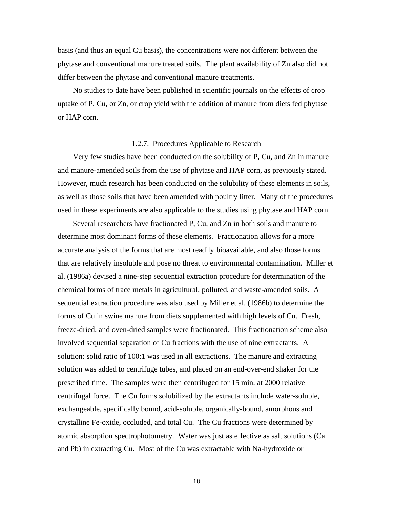basis (and thus an equal Cu basis), the concentrations were not different between the phytase and conventional manure treated soils. The plant availability of Zn also did not differ between the phytase and conventional manure treatments.

 No studies to date have been published in scientific journals on the effects of crop uptake of P, Cu, or Zn, or crop yield with the addition of manure from diets fed phytase or HAP corn.

#### 1.2.7. Procedures Applicable to Research

 Very few studies have been conducted on the solubility of P, Cu, and Zn in manure and manure-amended soils from the use of phytase and HAP corn, as previously stated. However, much research has been conducted on the solubility of these elements in soils, as well as those soils that have been amended with poultry litter. Many of the procedures used in these experiments are also applicable to the studies using phytase and HAP corn.

 Several researchers have fractionated P, Cu, and Zn in both soils and manure to determine most dominant forms of these elements. Fractionation allows for a more accurate analysis of the forms that are most readily bioavailable, and also those forms that are relatively insoluble and pose no threat to environmental contamination. Miller et al. (1986a) devised a nine-step sequential extraction procedure for determination of the chemical forms of trace metals in agricultural, polluted, and waste-amended soils. A sequential extraction procedure was also used by Miller et al. (1986b) to determine the forms of Cu in swine manure from diets supplemented with high levels of Cu. Fresh, freeze-dried, and oven-dried samples were fractionated. This fractionation scheme also involved sequential separation of Cu fractions with the use of nine extractants. A solution: solid ratio of 100:1 was used in all extractions. The manure and extracting solution was added to centrifuge tubes, and placed on an end-over-end shaker for the prescribed time. The samples were then centrifuged for 15 min. at 2000 relative centrifugal force. The Cu forms solubilized by the extractants include water-soluble, exchangeable, specifically bound, acid-soluble, organically-bound, amorphous and crystalline Fe-oxide, occluded, and total Cu. The Cu fractions were determined by atomic absorption spectrophotometry. Water was just as effective as salt solutions (Ca and Pb) in extracting Cu. Most of the Cu was extractable with Na-hydroxide or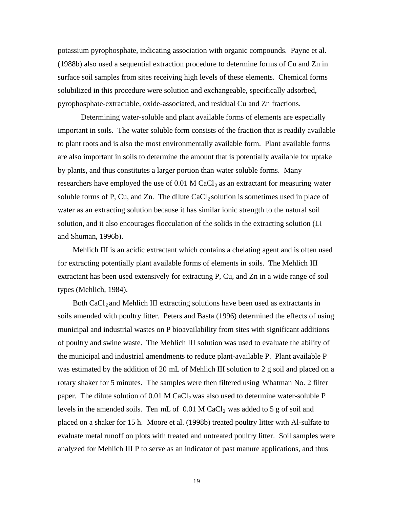potassium pyrophosphate, indicating association with organic compounds. Payne et al. (1988b) also used a sequential extraction procedure to determine forms of Cu and Zn in surface soil samples from sites receiving high levels of these elements. Chemical forms solubilized in this procedure were solution and exchangeable, specifically adsorbed, pyrophosphate-extractable, oxide-associated, and residual Cu and Zn fractions.

Determining water-soluble and plant available forms of elements are especially important in soils. The water soluble form consists of the fraction that is readily available to plant roots and is also the most environmentally available form. Plant available forms are also important in soils to determine the amount that is potentially available for uptake by plants, and thus constitutes a larger portion than water soluble forms. Many researchers have employed the use of  $0.01$  M CaCl<sub>2</sub> as an extractant for measuring water soluble forms of P, Cu, and Zn. The dilute  $CaCl<sub>2</sub>$  solution is sometimes used in place of water as an extracting solution because it has similar ionic strength to the natural soil solution, and it also encourages flocculation of the solids in the extracting solution (Li and Shuman, 1996b).

 Mehlich III is an acidic extractant which contains a chelating agent and is often used for extracting potentially plant available forms of elements in soils. The Mehlich III extractant has been used extensively for extracting P, Cu, and Zn in a wide range of soil types (Mehlich, 1984).

Both  $CaCl<sub>2</sub>$  and Mehlich III extracting solutions have been used as extractants in soils amended with poultry litter. Peters and Basta (1996) determined the effects of using municipal and industrial wastes on P bioavailability from sites with significant additions of poultry and swine waste. The Mehlich III solution was used to evaluate the ability of the municipal and industrial amendments to reduce plant-available P. Plant available P was estimated by the addition of 20 mL of Mehlich III solution to 2 g soil and placed on a rotary shaker for 5 minutes. The samples were then filtered using Whatman No. 2 filter paper. The dilute solution of  $0.01$  M CaCl<sub>2</sub> was also used to determine water-soluble P levels in the amended soils. Ten mL of  $0.01$  M CaCl<sub>2</sub> was added to 5 g of soil and placed on a shaker for 15 h. Moore et al. (1998b) treated poultry litter with Al-sulfate to evaluate metal runoff on plots with treated and untreated poultry litter. Soil samples were analyzed for Mehlich III P to serve as an indicator of past manure applications, and thus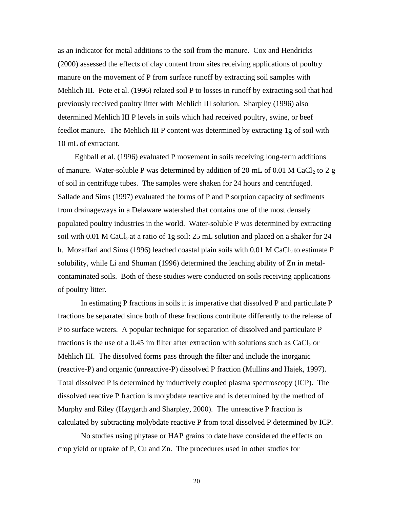as an indicator for metal additions to the soil from the manure. Cox and Hendricks (2000) assessed the effects of clay content from sites receiving applications of poultry manure on the movement of P from surface runoff by extracting soil samples with Mehlich III. Pote et al. (1996) related soil P to losses in runoff by extracting soil that had previously received poultry litter with Mehlich III solution. Sharpley (1996) also determined Mehlich III P levels in soils which had received poultry, swine, or beef feedlot manure. The Mehlich III P content was determined by extracting 1g of soil with 10 mL of extractant.

 Eghball et al. (1996) evaluated P movement in soils receiving long-term additions of manure. Water-soluble P was determined by addition of 20 mL of 0.01 M CaCl<sub>2</sub> to 2 g of soil in centrifuge tubes. The samples were shaken for 24 hours and centrifuged. Sallade and Sims (1997) evaluated the forms of P and P sorption capacity of sediments from drainageways in a Delaware watershed that contains one of the most densely populated poultry industries in the world. Water-soluble P was determined by extracting soil with 0.01 M CaCl<sub>2</sub> at a ratio of 1g soil: 25 mL solution and placed on a shaker for 24 h. Mozaffari and Sims (1996) leached coastal plain soils with  $0.01$  M CaCl<sub>2</sub> to estimate P solubility, while Li and Shuman (1996) determined the leaching ability of Zn in metalcontaminated soils. Both of these studies were conducted on soils receiving applications of poultry litter.

In estimating P fractions in soils it is imperative that dissolved P and particulate P fractions be separated since both of these fractions contribute differently to the release of P to surface waters. A popular technique for separation of dissolved and particulate P fractions is the use of a 0.45 im filter after extraction with solutions such as  $CaCl<sub>2</sub>$  or Mehlich III. The dissolved forms pass through the filter and include the inorganic (reactive-P) and organic (unreactive-P) dissolved P fraction (Mullins and Hajek, 1997). Total dissolved P is determined by inductively coupled plasma spectroscopy (ICP). The dissolved reactive P fraction is molybdate reactive and is determined by the method of Murphy and Riley (Haygarth and Sharpley, 2000). The unreactive P fraction is calculated by subtracting molybdate reactive P from total dissolved P determined by ICP.

No studies using phytase or HAP grains to date have considered the effects on crop yield or uptake of P, Cu and Zn. The procedures used in other studies for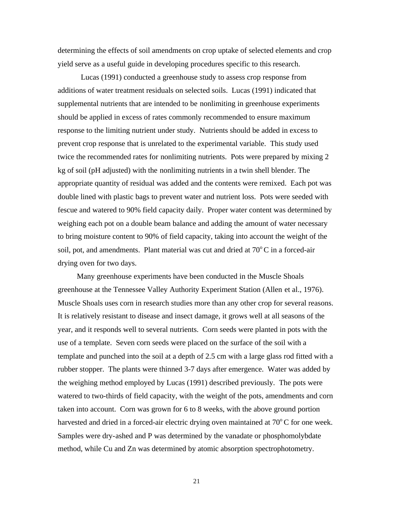determining the effects of soil amendments on crop uptake of selected elements and crop yield serve as a useful guide in developing procedures specific to this research.

Lucas (1991) conducted a greenhouse study to assess crop response from additions of water treatment residuals on selected soils. Lucas (1991) indicated that supplemental nutrients that are intended to be nonlimiting in greenhouse experiments should be applied in excess of rates commonly recommended to ensure maximum response to the limiting nutrient under study. Nutrients should be added in excess to prevent crop response that is unrelated to the experimental variable. This study used twice the recommended rates for nonlimiting nutrients. Pots were prepared by mixing 2 kg of soil (pH adjusted) with the nonlimiting nutrients in a twin shell blender. The appropriate quantity of residual was added and the contents were remixed. Each pot was double lined with plastic bags to prevent water and nutrient loss. Pots were seeded with fescue and watered to 90% field capacity daily. Proper water content was determined by weighing each pot on a double beam balance and adding the amount of water necessary to bring moisture content to 90% of field capacity, taking into account the weight of the soil, pot, and amendments. Plant material was cut and dried at  $70^{\circ}$ C in a forced-air drying oven for two days.

 Many greenhouse experiments have been conducted in the Muscle Shoals greenhouse at the Tennessee Valley Authority Experiment Station (Allen et al., 1976). Muscle Shoals uses corn in research studies more than any other crop for several reasons. It is relatively resistant to disease and insect damage, it grows well at all seasons of the year, and it responds well to several nutrients. Corn seeds were planted in pots with the use of a template. Seven corn seeds were placed on the surface of the soil with a template and punched into the soil at a depth of 2.5 cm with a large glass rod fitted with a rubber stopper. The plants were thinned 3-7 days after emergence. Water was added by the weighing method employed by Lucas (1991) described previously. The pots were watered to two-thirds of field capacity, with the weight of the pots, amendments and corn taken into account. Corn was grown for 6 to 8 weeks, with the above ground portion harvested and dried in a forced-air electric drying oven maintained at  $70^{\circ}$ C for one week. Samples were dry-ashed and P was determined by the vanadate or phosphomolybdate method, while Cu and Zn was determined by atomic absorption spectrophotometry.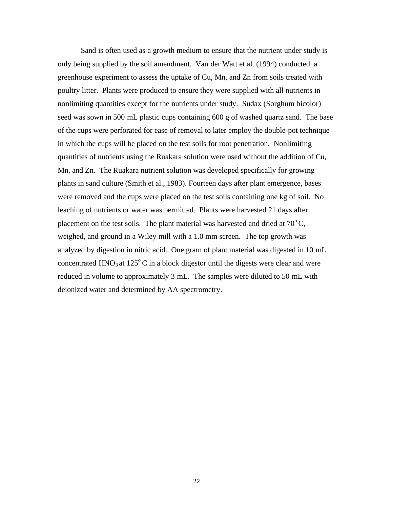Sand is often used as a growth medium to ensure that the nutrient under study is only being supplied by the soil amendment. Van der Watt et al. (1994) conducted a greenhouse experiment to assess the uptake of Cu, Mn, and Zn from soils treated with poultry litter. Plants were produced to ensure they were supplied with all nutrients in nonlimiting quantities except for the nutrients under study. Sudax (Sorghum bicolor) seed was sown in 500 mL plastic cups containing 600 g of washed quartz sand. The base of the cups were perforated for ease of removal to later employ the double-pot technique in which the cups will be placed on the test soils for root penetration. Nonlimiting quantities of nutrients using the Ruakara solution were used without the addition of Cu, Mn, and Zn. The Ruakara nutrient solution was developed specifically for growing plants in sand culture (Smith et al., 1983). Fourteen days after plant emergence, bases were removed and the cups were placed on the test soils containing one kg of soil. No leaching of nutrients or water was permitted. Plants were harvested 21 days after placement on the test soils. The plant material was harvested and dried at  $70^{\circ}$ C, weighed, and ground in a Wiley mill with a 1.0 mm screen. The top growth was analyzed by digestion in nitric acid. One gram of plant material was digested in 10 mL concentrated  $HNO<sub>3</sub>$  at 125<sup>o</sup>C in a block digestor until the digests were clear and were reduced in volume to approximately 3 mL. The samples were diluted to 50 mL with deionized water and determined by AA spectrometry.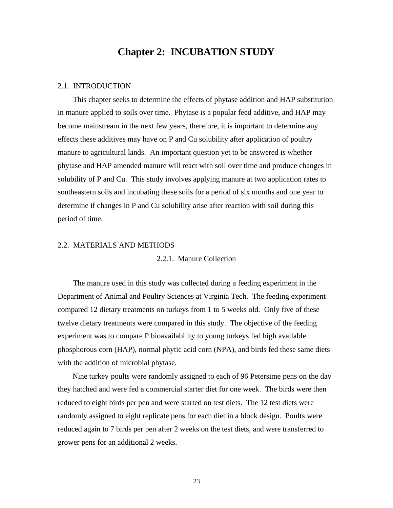## **Chapter 2: INCUBATION STUDY**

#### 2.1. INTRODUCTION

 This chapter seeks to determine the effects of phytase addition and HAP substitution in manure applied to soils over time. Phytase is a popular feed additive, and HAP may become mainstream in the next few years, therefore, it is important to determine any effects these additives may have on P and Cu solubility after application of poultry manure to agricultural lands. An important question yet to be answered is whether phytase and HAP amended manure will react with soil over time and produce changes in solubility of P and Cu. This study involves applying manure at two application rates to southeastern soils and incubating these soils for a period of six months and one year to determine if changes in P and Cu solubility arise after reaction with soil during this period of time.

#### 2.2. MATERIALS AND METHODS

#### 2.2.1. Manure Collection

 The manure used in this study was collected during a feeding experiment in the Department of Animal and Poultry Sciences at Virginia Tech. The feeding experiment compared 12 dietary treatments on turkeys from 1 to 5 weeks old. Only five of these twelve dietary treatments were compared in this study. The objective of the feeding experiment was to compare P bioavailability to young turkeys fed high available phosphorous corn (HAP), normal phytic acid corn (NPA), and birds fed these same diets with the addition of microbial phytase.

 Nine turkey poults were randomly assigned to each of 96 Petersime pens on the day they hatched and were fed a commercial starter diet for one week. The birds were then reduced to eight birds per pen and were started on test diets. The 12 test diets were randomly assigned to eight replicate pens for each diet in a block design. Poults were reduced again to 7 birds per pen after 2 weeks on the test diets, and were transferred to grower pens for an additional 2 weeks.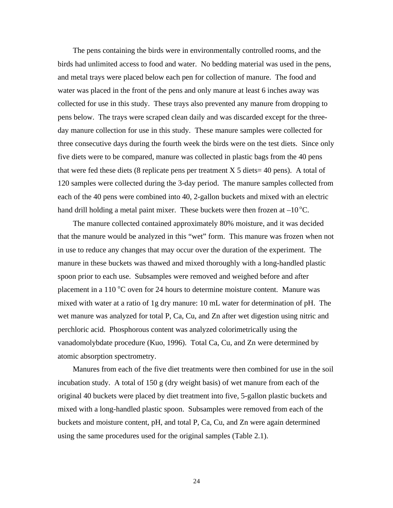The pens containing the birds were in environmentally controlled rooms, and the birds had unlimited access to food and water. No bedding material was used in the pens, and metal trays were placed below each pen for collection of manure. The food and water was placed in the front of the pens and only manure at least 6 inches away was collected for use in this study. These trays also prevented any manure from dropping to pens below. The trays were scraped clean daily and was discarded except for the threeday manure collection for use in this study. These manure samples were collected for three consecutive days during the fourth week the birds were on the test diets. Since only five diets were to be compared, manure was collected in plastic bags from the 40 pens that were fed these diets (8 replicate pens per treatment  $X$  5 diets= 40 pens). A total of 120 samples were collected during the 3-day period. The manure samples collected from each of the 40 pens were combined into 40, 2-gallon buckets and mixed with an electric hand drill holding a metal paint mixer. These buckets were then frozen at  $-10^{\circ}$ C.

 The manure collected contained approximately 80% moisture, and it was decided that the manure would be analyzed in this "wet" form. This manure was frozen when not in use to reduce any changes that may occur over the duration of the experiment. The manure in these buckets was thawed and mixed thoroughly with a long-handled plastic spoon prior to each use. Subsamples were removed and weighed before and after placement in a 110  $\degree$ C oven for 24 hours to determine moisture content. Manure was mixed with water at a ratio of 1g dry manure: 10 mL water for determination of pH. The wet manure was analyzed for total P, Ca, Cu, and Zn after wet digestion using nitric and perchloric acid. Phosphorous content was analyzed colorimetrically using the vanadomolybdate procedure (Kuo, 1996). Total Ca, Cu, and Zn were determined by atomic absorption spectrometry.

 Manures from each of the five diet treatments were then combined for use in the soil incubation study. A total of 150 g (dry weight basis) of wet manure from each of the original 40 buckets were placed by diet treatment into five, 5-gallon plastic buckets and mixed with a long-handled plastic spoon. Subsamples were removed from each of the buckets and moisture content, pH, and total P, Ca, Cu, and Zn were again determined using the same procedures used for the original samples (Table 2.1).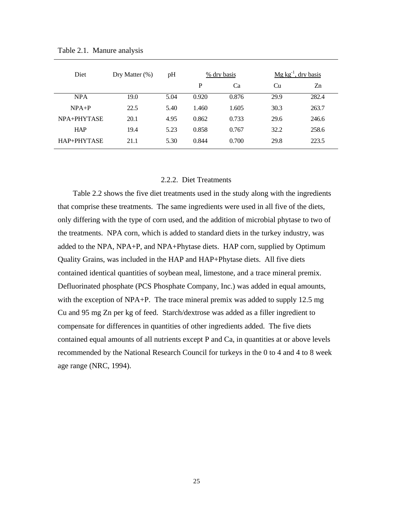| Diet        | Dry Matter $(\%)$ | pH   | % dry basis |       | $Mg kg^{-1}$ , dry basis |       |
|-------------|-------------------|------|-------------|-------|--------------------------|-------|
|             |                   |      | P           | Ca    | Cu                       | Zn    |
| <b>NPA</b>  | 19.0              | 5.04 | 0.920       | 0.876 | 29.9                     | 282.4 |
| $NPA+P$     | 22.5              | 5.40 | 1.460       | 1.605 | 30.3                     | 263.7 |
| NPA+PHYTASE | 20.1              | 4.95 | 0.862       | 0.733 | 29.6                     | 246.6 |
| <b>HAP</b>  | 19.4              | 5.23 | 0.858       | 0.767 | 32.2                     | 258.6 |
| HAP+PHYTASE | 21.1              | 5.30 | 0.844       | 0.700 | 29.8                     | 223.5 |

Table 2.1. Manure analysis

#### 2.2.2. Diet Treatments

 Table 2.2 shows the five diet treatments used in the study along with the ingredients that comprise these treatments. The same ingredients were used in all five of the diets, only differing with the type of corn used, and the addition of microbial phytase to two of the treatments. NPA corn, which is added to standard diets in the turkey industry, was added to the NPA, NPA+P, and NPA+Phytase diets. HAP corn, supplied by Optimum Quality Grains, was included in the HAP and HAP+Phytase diets. All five diets contained identical quantities of soybean meal, limestone, and a trace mineral premix. Defluorinated phosphate (PCS Phosphate Company, Inc.) was added in equal amounts, with the exception of NPA+P. The trace mineral premix was added to supply 12.5 mg Cu and 95 mg Zn per kg of feed. Starch/dextrose was added as a filler ingredient to compensate for differences in quantities of other ingredients added. The five diets contained equal amounts of all nutrients except P and Ca, in quantities at or above levels recommended by the National Research Council for turkeys in the 0 to 4 and 4 to 8 week age range (NRC, 1994).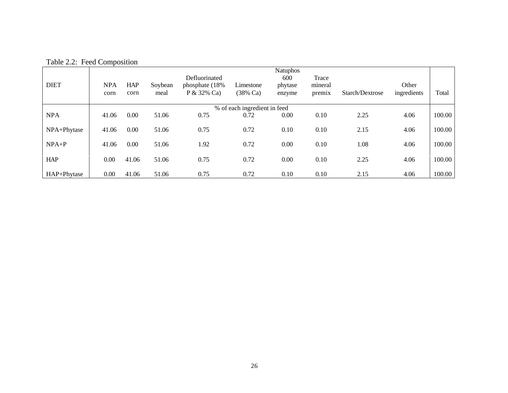| <b>DIET</b> | <b>NPA</b> | <b>HAP</b> | Soybean | Defluorinated<br>phosphate (18%) | Limestone                    | <b>Natuphos</b><br>600<br>phytase | Trace<br>mineral |                 | Other       |        |
|-------------|------------|------------|---------|----------------------------------|------------------------------|-----------------------------------|------------------|-----------------|-------------|--------|
|             | corn       | corn       | meal    | $P & 32\%$ Ca                    | $(38% \text{ Ca})$           | enzyme                            | premix           | Starch/Dextrose | ingredients | Total  |
|             |            |            |         |                                  | % of each ingredient in feed |                                   |                  |                 |             |        |
| <b>NPA</b>  | 41.06      | 0.00       | 51.06   | 0.75                             | 0.72                         | 0.00                              | 0.10             | 2.25            | 4.06        | 100.00 |
| NPA+Phytase | 41.06      | 0.00       | 51.06   | 0.75                             | 0.72                         | 0.10                              | 0.10             | 2.15            | 4.06        | 100.00 |
| $NPA+P$     | 41.06      | 0.00       | 51.06   | 1.92                             | 0.72                         | 0.00                              | 0.10             | 1.08            | 4.06        | 100.00 |
| <b>HAP</b>  | 0.00       | 41.06      | 51.06   | 0.75                             | 0.72                         | 0.00                              | 0.10             | 2.25            | 4.06        | 100.00 |
| HAP+Phytase | 0.00       | 41.06      | 51.06   | 0.75                             | 0.72                         | 0.10                              | 0.10             | 2.15            | 4.06        | 100.00 |

Table 2.2: Feed Composition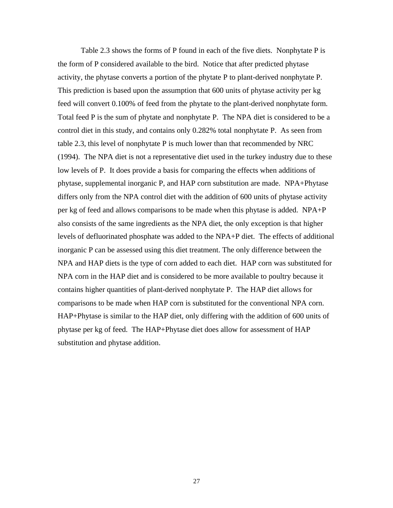Table 2.3 shows the forms of P found in each of the five diets. Nonphytate P is the form of P considered available to the bird. Notice that after predicted phytase activity, the phytase converts a portion of the phytate P to plant-derived nonphytate P. This prediction is based upon the assumption that 600 units of phytase activity per kg feed will convert 0.100% of feed from the phytate to the plant-derived nonphytate form. Total feed P is the sum of phytate and nonphytate P. The NPA diet is considered to be a control diet in this study, and contains only 0.282% total nonphytate P. As seen from table 2.3, this level of nonphytate P is much lower than that recommended by NRC (1994). The NPA diet is not a representative diet used in the turkey industry due to these low levels of P. It does provide a basis for comparing the effects when additions of phytase, supplemental inorganic P, and HAP corn substitution are made. NPA+Phytase differs only from the NPA control diet with the addition of 600 units of phytase activity per kg of feed and allows comparisons to be made when this phytase is added. NPA+P also consists of the same ingredients as the NPA diet, the only exception is that higher levels of defluorinated phosphate was added to the NPA+P diet. The effects of additional inorganic P can be assessed using this diet treatment. The only difference between the NPA and HAP diets is the type of corn added to each diet. HAP corn was substituted for NPA corn in the HAP diet and is considered to be more available to poultry because it contains higher quantities of plant-derived nonphytate P. The HAP diet allows for comparisons to be made when HAP corn is substituted for the conventional NPA corn. HAP+Phytase is similar to the HAP diet, only differing with the addition of 600 units of phytase per kg of feed. The HAP+Phytase diet does allow for assessment of HAP substitution and phytase addition.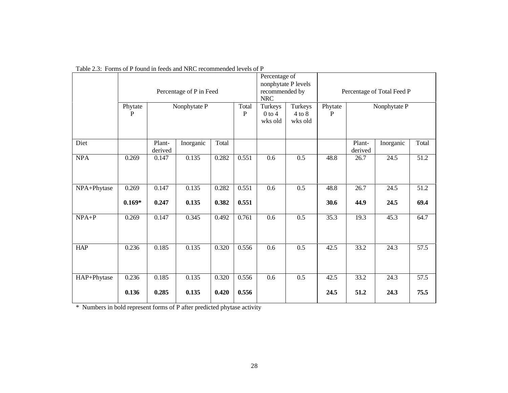|             |                         |                   | Percentage of P in Feed |                |                       | Percentage of<br>recommended by<br>${\rm NRC}$ | nonphytate P levels              | Percentage of Total Feed P |                   |                           |              |
|-------------|-------------------------|-------------------|-------------------------|----------------|-----------------------|------------------------------------------------|----------------------------------|----------------------------|-------------------|---------------------------|--------------|
|             | Phytate<br>$\mathbf{P}$ |                   | Nonphytate P            |                | Total<br>$\mathbf{P}$ | Turkeys<br>$0$ to 4<br>wks old                 | Turkeys<br>$4$ to $8$<br>wks old | Phytate<br>$\mathbf{P}$    |                   | Nonphytate P              |              |
| Diet        |                         | Plant-<br>derived | Inorganic               | Total          |                       |                                                |                                  |                            | Plant-<br>derived | Inorganic                 | Total        |
| <b>NPA</b>  | 0.269                   | 0.147             | 0.135                   | 0.282          | 0.551                 | 0.6                                            | 0.5                              | 48.8                       | 26.7              | 24.5                      | 51.2         |
| NPA+Phytase | 0.269<br>$0.169*$       | 0.147<br>0.247    | 0.135<br>0.135          | 0.282<br>0.382 | 0.551<br>0.551        | $\overline{0.6}$                               | 0.5                              | 48.8<br>30.6               | 26.7<br>44.9      | $\overline{24.5}$<br>24.5 | 51.2<br>69.4 |
| $NPA+P$     | 0.269                   | 0.147             | 0.345                   | 0.492          | 0.761                 | 0.6                                            | 0.5                              | 35.3                       | 19.3              | 45.3                      | 64.7         |
| <b>HAP</b>  | 0.236                   | 0.185             | 0.135                   | 0.320          | 0.556                 | $\overline{0.6}$                               | 0.5                              | 42.5                       | 33.2              | $\overline{24.3}$         | 57.5         |
| HAP+Phytase | 0.236<br>0.136          | 0.185<br>0.285    | 0.135<br>0.135          | 0.320<br>0.420 | 0.556<br>0.556        | 0.6                                            | 0.5                              | 42.5<br>24.5               | 33.2<br>51.2      | 24.3<br>24.3              | 57.5<br>75.5 |

Table 2.3: Forms of P found in feeds and NRC recommended levels of P

\* Numbers in bold represent forms of P after predicted phytase activity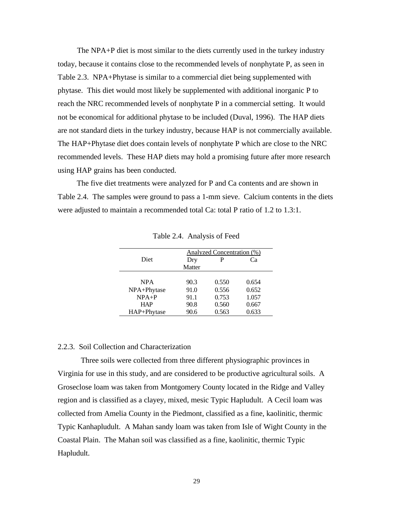The NPA+P diet is most similar to the diets currently used in the turkey industry today, because it contains close to the recommended levels of nonphytate P, as seen in Table 2.3. NPA+Phytase is similar to a commercial diet being supplemented with phytase. This diet would most likely be supplemented with additional inorganic P to reach the NRC recommended levels of nonphytate P in a commercial setting. It would not be economical for additional phytase to be included (Duval, 1996). The HAP diets are not standard diets in the turkey industry, because HAP is not commercially available. The HAP+Phytase diet does contain levels of nonphytate P which are close to the NRC recommended levels. These HAP diets may hold a promising future after more research using HAP grains has been conducted.

 The five diet treatments were analyzed for P and Ca contents and are shown in Table 2.4. The samples were ground to pass a 1-mm sieve. Calcium contents in the diets were adjusted to maintain a recommended total Ca: total P ratio of 1.2 to 1.3:1.

|             |        | Analyzed Concentration (%) |       |
|-------------|--------|----------------------------|-------|
| Diet        | Dry    | P                          | Cа    |
|             | Matter |                            |       |
|             |        |                            |       |
| <b>NPA</b>  | 90.3   | 0.550                      | 0.654 |
| NPA+Phytase | 91.0   | 0.556                      | 0.652 |
| $NPA+P$     | 91.1   | 0.753                      | 1.057 |
| <b>HAP</b>  | 90.8   | 0.560                      | 0.667 |
| HAP+Phytase | 90.6   | 0.563                      | 0.633 |

Table 2.4. Analysis of Feed

#### 2.2.3. Soil Collection and Characterization

Three soils were collected from three different physiographic provinces in Virginia for use in this study, and are considered to be productive agricultural soils. A Groseclose loam was taken from Montgomery County located in the Ridge and Valley region and is classified as a clayey, mixed, mesic Typic Hapludult. A Cecil loam was collected from Amelia County in the Piedmont, classified as a fine, kaolinitic, thermic Typic Kanhapludult. A Mahan sandy loam was taken from Isle of Wight County in the Coastal Plain. The Mahan soil was classified as a fine, kaolinitic, thermic Typic Hapludult.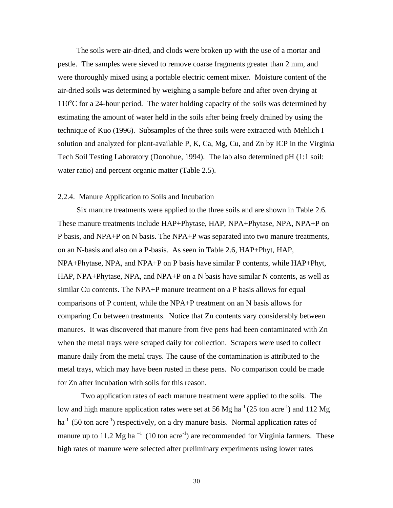The soils were air-dried, and clods were broken up with the use of a mortar and pestle. The samples were sieved to remove coarse fragments greater than 2 mm, and were thoroughly mixed using a portable electric cement mixer. Moisture content of the air-dried soils was determined by weighing a sample before and after oven drying at  $110^{\circ}$ C for a 24-hour period. The water holding capacity of the soils was determined by estimating the amount of water held in the soils after being freely drained by using the technique of Kuo (1996). Subsamples of the three soils were extracted with Mehlich I solution and analyzed for plant-available P, K, Ca, Mg, Cu, and Zn by ICP in the Virginia Tech Soil Testing Laboratory (Donohue, 1994). The lab also determined pH (1:1 soil: water ratio) and percent organic matter (Table 2.5).

#### 2.2.4. Manure Application to Soils and Incubation

 Six manure treatments were applied to the three soils and are shown in Table 2.6. These manure treatments include HAP+Phytase, HAP, NPA+Phytase, NPA, NPA+P on P basis, and NPA+P on N basis. The NPA+P was separated into two manure treatments, on an N-basis and also on a P-basis. As seen in Table 2.6, HAP+Phyt, HAP, NPA+Phytase, NPA, and NPA+P on P basis have similar P contents, while HAP+Phyt, HAP, NPA+Phytase, NPA, and NPA+P on a N basis have similar N contents, as well as similar Cu contents. The NPA+P manure treatment on a P basis allows for equal comparisons of P content, while the NPA+P treatment on an N basis allows for comparing Cu between treatments. Notice that Zn contents vary considerably between manures. It was discovered that manure from five pens had been contaminated with Zn when the metal trays were scraped daily for collection. Scrapers were used to collect manure daily from the metal trays. The cause of the contamination is attributed to the metal trays, which may have been rusted in these pens. No comparison could be made for Zn after incubation with soils for this reason.

Two application rates of each manure treatment were applied to the soils. The low and high manure application rates were set at 56 Mg ha<sup>-1</sup> (25 ton acre<sup>-1</sup>) and 112 Mg  $ha^{-1}$  (50 ton acre<sup>-1</sup>) respectively, on a dry manure basis. Normal application rates of manure up to 11.2 Mg ha<sup> $-1$ </sup> (10 ton acre<sup>-1</sup>) are recommended for Virginia farmers. These high rates of manure were selected after preliminary experiments using lower rates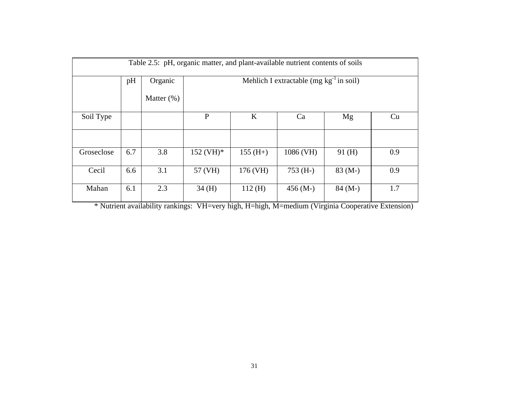|            |     |                |                 |                                              | Table 2.5: pH, organic matter, and plant-available nutrient contents of soils |          |     |  |  |  |  |
|------------|-----|----------------|-----------------|----------------------------------------------|-------------------------------------------------------------------------------|----------|-----|--|--|--|--|
|            | pH  | Organic        |                 | Mehlich I extractable (mg $kg^{-1}$ in soil) |                                                                               |          |     |  |  |  |  |
|            |     | Matter $(\% )$ |                 |                                              |                                                                               |          |     |  |  |  |  |
| Soil Type  |     |                | P               | $\bf K$                                      | Ca                                                                            | Mg       | Cu  |  |  |  |  |
|            |     |                |                 |                                              |                                                                               |          |     |  |  |  |  |
| Groseclose | 6.7 | 3.8            | $152 \, (VH)^*$ | $155$ (H+)                                   | 1086 (VH)                                                                     | 91(H)    | 0.9 |  |  |  |  |
| Cecil      | 6.6 | 3.1            | 57 (VH)         | 176 (VH)                                     | $753$ (H-)                                                                    | $83(M-)$ | 0.9 |  |  |  |  |
| Mahan      | 6.1 | 2.3            | 34(H)           | 112(H)                                       | $456(M-)$                                                                     | $84(M-)$ | 1.7 |  |  |  |  |

\* Nutrient availability rankings: VH=very high, H=high, M=medium (Virginia Cooperative Extension)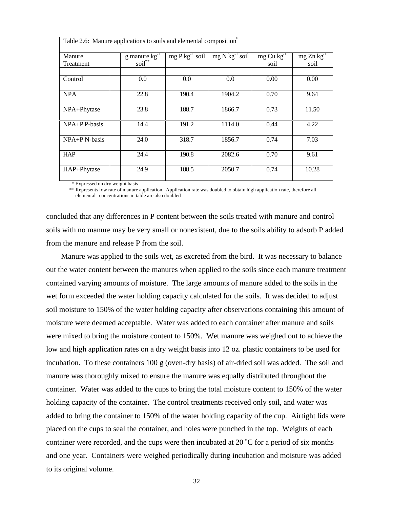| Table 2.6: Manure applications to soils and elemental composition <sup>†</sup> |                   |                     |                              |                 |                 |
|--------------------------------------------------------------------------------|-------------------|---------------------|------------------------------|-----------------|-----------------|
|                                                                                |                   |                     |                              |                 |                 |
| Manure                                                                         | $g$ manure $kg-1$ | $mg P kg^{-1} soil$ | $mg$ N kg <sup>-1</sup> soil | $mg Cu kg^{-1}$ | $mg Zn kg^{-1}$ |
| Treatment                                                                      | soil**            |                     |                              | soil            | soil            |
|                                                                                |                   |                     |                              |                 |                 |
| Control                                                                        | 0.0               | 0.0                 | 0.0                          | 0.00            | 0.00            |
|                                                                                |                   |                     |                              |                 |                 |
| <b>NPA</b>                                                                     | 22.8              | 190.4               | 1904.2                       | 0.70            | 9.64            |
|                                                                                |                   |                     |                              |                 |                 |
| NPA+Phytase                                                                    | 23.8              | 188.7               | 1866.7                       | 0.73            | 11.50           |
|                                                                                |                   |                     |                              |                 |                 |
| $NPA+PP-basis$                                                                 | 14.4              | 191.2               | 1114.0                       | 0.44            | 4.22            |
|                                                                                |                   |                     |                              |                 |                 |
| NPA+P N-basis                                                                  | 24.0              | 318.7               | 1856.7                       | 0.74            | 7.03            |
|                                                                                |                   |                     |                              |                 |                 |
| <b>HAP</b>                                                                     | 24.4              | 190.8               | 2082.6                       | 0.70            | 9.61            |
|                                                                                |                   |                     |                              |                 |                 |
| HAP+Phytase                                                                    | 24.9              | 188.5               | 2050.7                       | 0.74            | 10.28           |
|                                                                                |                   |                     |                              |                 |                 |

\* Expressed on dry weight basis

\*\* Represents low rate of manure application. Application rate was doubled to obtain high application rate, therefore all elemental concentrations in table are also doubled

concluded that any differences in P content between the soils treated with manure and control soils with no manure may be very small or nonexistent, due to the soils ability to adsorb P added from the manure and release P from the soil.

 Manure was applied to the soils wet, as excreted from the bird. It was necessary to balance out the water content between the manures when applied to the soils since each manure treatment contained varying amounts of moisture. The large amounts of manure added to the soils in the wet form exceeded the water holding capacity calculated for the soils. It was decided to adjust soil moisture to 150% of the water holding capacity after observations containing this amount of moisture were deemed acceptable. Water was added to each container after manure and soils were mixed to bring the moisture content to 150%. Wet manure was weighed out to achieve the low and high application rates on a dry weight basis into 12 oz. plastic containers to be used for incubation. To these containers 100 g (oven-dry basis) of air-dried soil was added. The soil and manure was thoroughly mixed to ensure the manure was equally distributed throughout the container. Water was added to the cups to bring the total moisture content to 150% of the water holding capacity of the container. The control treatments received only soil, and water was added to bring the container to 150% of the water holding capacity of the cup. Airtight lids were placed on the cups to seal the container, and holes were punched in the top. Weights of each container were recorded, and the cups were then incubated at  $20^{\circ}$ C for a period of six months and one year. Containers were weighed periodically during incubation and moisture was added to its original volume.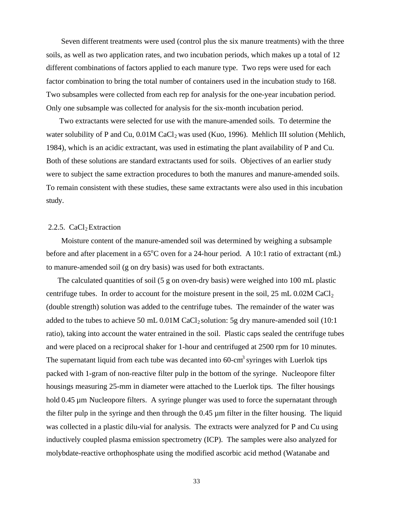Seven different treatments were used (control plus the six manure treatments) with the three soils, as well as two application rates, and two incubation periods, which makes up a total of 12 different combinations of factors applied to each manure type. Two reps were used for each factor combination to bring the total number of containers used in the incubation study to 168. Two subsamples were collected from each rep for analysis for the one-year incubation period. Only one subsample was collected for analysis for the six-month incubation period.

 Two extractants were selected for use with the manure-amended soils. To determine the water solubility of P and Cu,  $0.01M$  CaCl<sub>2</sub> was used (Kuo, 1996). Mehlich III solution (Mehlich, 1984), which is an acidic extractant, was used in estimating the plant availability of P and Cu. Both of these solutions are standard extractants used for soils. Objectives of an earlier study were to subject the same extraction procedures to both the manures and manure-amended soils. To remain consistent with these studies, these same extractants were also used in this incubation study.

### 2.2.5.  $CaCl<sub>2</sub> Extraction$

 Moisture content of the manure-amended soil was determined by weighing a subsample before and after placement in a  $65^{\circ}$ C oven for a 24-hour period. A 10:1 ratio of extractant (mL) to manure-amended soil (g on dry basis) was used for both extractants.

 The calculated quantities of soil (5 g on oven-dry basis) were weighed into 100 mL plastic centrifuge tubes. In order to account for the moisture present in the soil,  $25 \text{ mL } 0.02 \text{M } \text{CaCl}_2$ (double strength) solution was added to the centrifuge tubes. The remainder of the water was added to the tubes to achieve 50 mL  $0.01M$  CaCl<sub>2</sub> solution: 5g dry manure-amended soil (10:1) ratio), taking into account the water entrained in the soil. Plastic caps sealed the centrifuge tubes and were placed on a reciprocal shaker for 1-hour and centrifuged at 2500 rpm for 10 minutes. The supernatant liquid from each tube was decanted into  $60$ -cm<sup>3</sup> syringes with Luerlok tips packed with 1-gram of non-reactive filter pulp in the bottom of the syringe. Nucleopore filter housings measuring 25-mm in diameter were attached to the Luerlok tips. The filter housings hold 0.45 µm Nucleopore filters. A syringe plunger was used to force the supernatant through the filter pulp in the syringe and then through the  $0.45 \mu m$  filter in the filter housing. The liquid was collected in a plastic dilu-vial for analysis. The extracts were analyzed for P and Cu using inductively coupled plasma emission spectrometry (ICP). The samples were also analyzed for molybdate-reactive orthophosphate using the modified ascorbic acid method (Watanabe and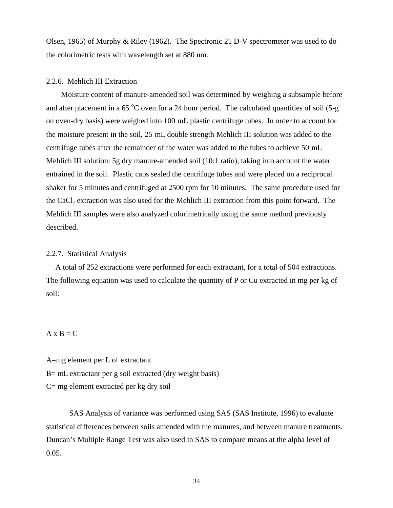Olsen, 1965) of Murphy & Riley (1962). The Spectronic 21 D-V spectrometer was used to do the colorimetric tests with wavelength set at 880 nm.

### 2.2.6. Mehlich III Extraction

Moisture content of manure-amended soil was determined by weighing a subsample before and after placement in a 65  $\degree$ C oven for a 24 hour period. The calculated quantities of soil (5-g on oven-dry basis) were weighed into 100 mL plastic centrifuge tubes. In order to account for the moisture present in the soil, 25 mL double strength Mehlich III solution was added to the centrifuge tubes after the remainder of the water was added to the tubes to achieve 50 mL Mehlich III solution: 5g dry manure-amended soil (10:1 ratio), taking into account the water entrained in the soil. Plastic caps sealed the centrifuge tubes and were placed on a reciprocal shaker for 5 minutes and centrifuged at 2500 rpm for 10 minutes. The same procedure used for the CaCl<sub>2</sub> extraction was also used for the Mehlich III extraction from this point forward. The Mehlich III samples were also analyzed colorimetrically using the same method previously described.

## 2.2.7. Statistical Analysis

A total of 252 extractions were performed for each extractant, for a total of 504 extractions. The following equation was used to calculate the quantity of P or Cu extracted in mg per kg of soil:

### $A \times B = C$

A=mg element per L of extractant B= mL extractant per g soil extracted (dry weight basis) C= mg element extracted per kg dry soil

SAS Analysis of variance was performed using SAS (SAS Institute, 1996) to evaluate statistical differences between soils amended with the manures, and between manure treatments. Duncan's Multiple Range Test was also used in SAS to compare means at the alpha level of 0.05.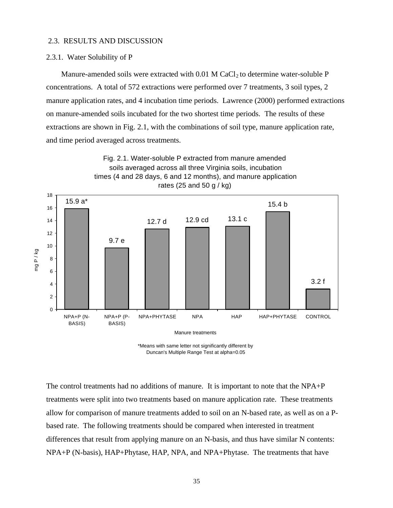#### 2.3. RESULTS AND DISCUSSION

#### 2.3.1. Water Solubility of P

Manure-amended soils were extracted with  $0.01$  M CaCl<sub>2</sub> to determine water-soluble P concentrations. A total of 572 extractions were performed over 7 treatments, 3 soil types, 2 manure application rates, and 4 incubation time periods. Lawrence (2000) performed extractions on manure-amended soils incubated for the two shortest time periods. The results of these extractions are shown in Fig. 2.1, with the combinations of soil type, manure application rate, and time period averaged across treatments.



<sup>\*</sup>Means with same letter not significantly different by Duncan's Multiple Range Test at alpha=0.05

The control treatments had no additions of manure. It is important to note that the NPA+P treatments were split into two treatments based on manure application rate. These treatments allow for comparison of manure treatments added to soil on an N-based rate, as well as on a Pbased rate. The following treatments should be compared when interested in treatment differences that result from applying manure on an N-basis, and thus have similar N contents: NPA+P (N-basis), HAP+Phytase, HAP, NPA, and NPA+Phytase. The treatments that have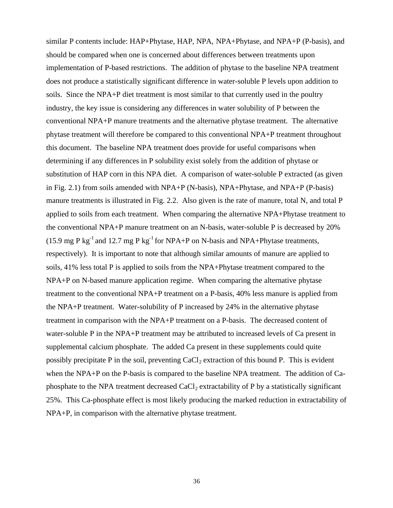similar P contents include: HAP+Phytase, HAP, NPA, NPA+Phytase, and NPA+P (P-basis), and should be compared when one is concerned about differences between treatments upon implementation of P-based restrictions. The addition of phytase to the baseline NPA treatment does not produce a statistically significant difference in water-soluble P levels upon addition to soils. Since the NPA+P diet treatment is most similar to that currently used in the poultry industry, the key issue is considering any differences in water solubility of P between the conventional NPA+P manure treatments and the alternative phytase treatment. The alternative phytase treatment will therefore be compared to this conventional NPA+P treatment throughout this document. The baseline NPA treatment does provide for useful comparisons when determining if any differences in P solubility exist solely from the addition of phytase or substitution of HAP corn in this NPA diet. A comparison of water-soluble P extracted (as given in Fig. 2.1) from soils amended with NPA+P (N-basis), NPA+Phytase, and NPA+P (P-basis) manure treatments is illustrated in Fig. 2.2. Also given is the rate of manure, total N, and total P applied to soils from each treatment. When comparing the alternative NPA+Phytase treatment to the conventional NPA+P manure treatment on an N-basis, water-soluble P is decreased by 20% (15.9 mg P kg<sup>-1</sup> and 12.7 mg P kg<sup>-1</sup> for NPA+P on N-basis and NPA+Phytase treatments, respectively). It is important to note that although similar amounts of manure are applied to soils, 41% less total P is applied to soils from the NPA+Phytase treatment compared to the NPA+P on N-based manure application regime. When comparing the alternative phytase treatment to the conventional NPA+P treatment on a P-basis, 40% less manure is applied from the NPA+P treatment. Water-solubility of P increased by 24% in the alternative phytase treatment in comparison with the NPA+P treatment on a P-basis. The decreased content of water-soluble P in the NPA+P treatment may be attributed to increased levels of Ca present in supplemental calcium phosphate. The added Ca present in these supplements could quite possibly precipitate P in the soil, preventing  $CaCl<sub>2</sub>$  extraction of this bound P. This is evident when the NPA+P on the P-basis is compared to the baseline NPA treatment. The addition of Caphosphate to the NPA treatment decreased  $CaCl<sub>2</sub>$  extractability of P by a statistically significant 25%. This Ca-phosphate effect is most likely producing the marked reduction in extractability of NPA+P, in comparison with the alternative phytase treatment.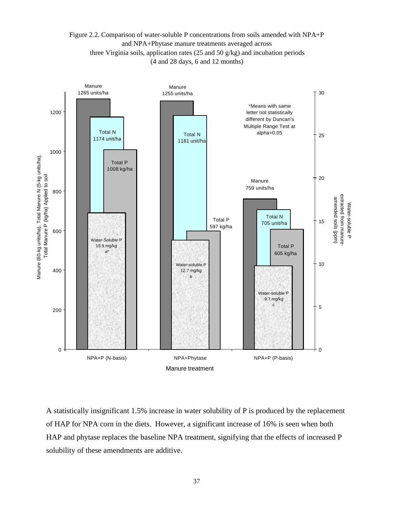## Figure 2.2. Comparison of water-soluble P concentrations from soils amended with NPA+P and NPA+Phytase manure treatments averaged across three Virginia soils, application rates (25 and 50 g/kg) and incubation periods (4 and 28 days, 6 and 12 months)



A statistically insignificant 1.5% increase in water solubility of P is produced by the replacement of HAP for NPA corn in the diets. However, a significant increase of 16% is seen when both HAP and phytase replaces the baseline NPA treatment, signifying that the effects of increased P solubility of these amendments are additive.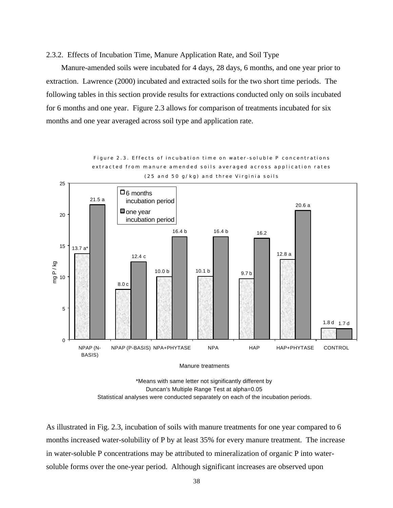### 2.3.2. Effects of Incubation Time, Manure Application Rate, and Soil Type

 Manure-amended soils were incubated for 4 days, 28 days, 6 months, and one year prior to extraction. Lawrence (2000) incubated and extracted soils for the two short time periods. The following tables in this section provide results for extractions conducted only on soils incubated for 6 months and one year. Figure 2.3 allows for comparison of treatments incubated for six months and one year averaged across soil type and application rate.



Figure 2.3. Effects of incubation time on water-soluble P concentrations extracted from manure amended soils averaged across application rates (25 and 50 g/kg) and three Virginia soils

Manure treatments

\*Means with same letter not significantly different by Duncan's Multiple Range Test at alpha=0.05 Statistical analyses were conducted separately on each of the incubation periods.

As illustrated in Fig. 2.3, incubation of soils with manure treatments for one year compared to 6 months increased water-solubility of P by at least 35% for every manure treatment. The increase in water-soluble P concentrations may be attributed to mineralization of organic P into watersoluble forms over the one-year period. Although significant increases are observed upon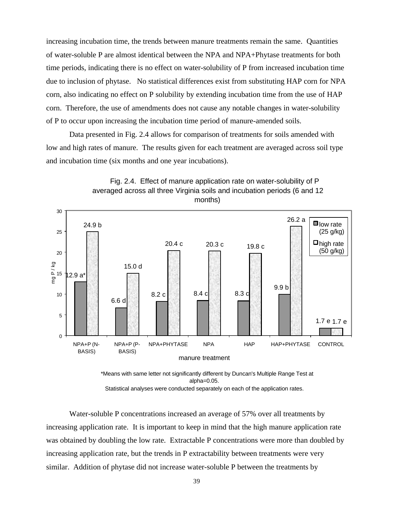increasing incubation time, the trends between manure treatments remain the same. Quantities of water-soluble P are almost identical between the NPA and NPA+Phytase treatments for both time periods, indicating there is no effect on water-solubility of P from increased incubation time due to inclusion of phytase. No statistical differences exist from substituting HAP corn for NPA corn, also indicating no effect on P solubility by extending incubation time from the use of HAP corn. Therefore, the use of amendments does not cause any notable changes in water-solubility of P to occur upon increasing the incubation time period of manure-amended soils.

Data presented in Fig. 2.4 allows for comparison of treatments for soils amended with low and high rates of manure. The results given for each treatment are averaged across soil type and incubation time (six months and one year incubations).





 \*Means with same letter not significantly different by Duncan's Multiple Range Test at alpha=0.05.

Statistical analyses were conducted separately on each of the application rates.

Water-soluble P concentrations increased an average of 57% over all treatments by increasing application rate. It is important to keep in mind that the high manure application rate was obtained by doubling the low rate. Extractable P concentrations were more than doubled by increasing application rate, but the trends in P extractability between treatments were very similar. Addition of phytase did not increase water-soluble P between the treatments by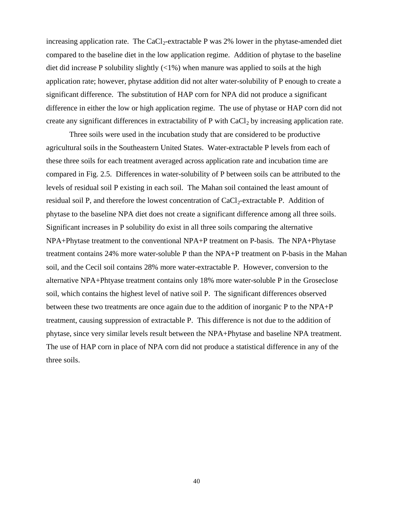increasing application rate. The  $CaCl<sub>2</sub>$ -extractable P was 2% lower in the phytase-amended diet compared to the baseline diet in the low application regime. Addition of phytase to the baseline diet did increase P solubility slightly  $\left(\langle 1\% \right)$  when manure was applied to soils at the high application rate; however, phytase addition did not alter water-solubility of P enough to create a significant difference. The substitution of HAP corn for NPA did not produce a significant difference in either the low or high application regime. The use of phytase or HAP corn did not create any significant differences in extractability of  $P$  with  $CaCl<sub>2</sub>$  by increasing application rate.

Three soils were used in the incubation study that are considered to be productive agricultural soils in the Southeastern United States. Water-extractable P levels from each of these three soils for each treatment averaged across application rate and incubation time are compared in Fig. 2.5. Differences in water-solubility of P between soils can be attributed to the levels of residual soil P existing in each soil. The Mahan soil contained the least amount of residual soil P, and therefore the lowest concentration of  $CaCl<sub>2</sub>$ -extractable P. Addition of phytase to the baseline NPA diet does not create a significant difference among all three soils. Significant increases in P solubility do exist in all three soils comparing the alternative NPA+Phytase treatment to the conventional NPA+P treatment on P-basis. The NPA+Phytase treatment contains 24% more water-soluble P than the NPA+P treatment on P-basis in the Mahan soil, and the Cecil soil contains 28% more water-extractable P. However, conversion to the alternative NPA+Phtyase treatment contains only 18% more water-soluble P in the Groseclose soil, which contains the highest level of native soil P. The significant differences observed between these two treatments are once again due to the addition of inorganic P to the NPA+P treatment, causing suppression of extractable P. This difference is not due to the addition of phytase, since very similar levels result between the NPA+Phytase and baseline NPA treatment. The use of HAP corn in place of NPA corn did not produce a statistical difference in any of the three soils.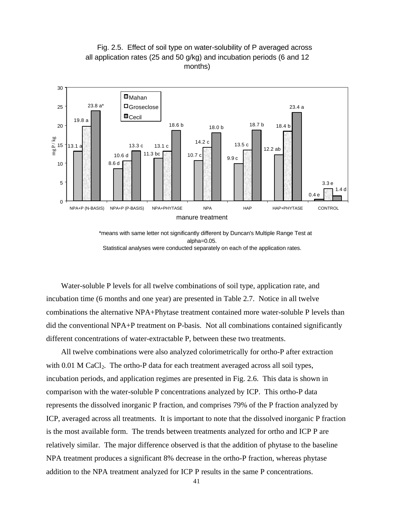

 Fig. 2.5. Effect of soil type on water-solubility of P averaged across all application rates (25 and 50 g/kg) and incubation periods (6 and 12 months)

 \*means with same letter not significantly different by Duncan's Multiple Range Test at alpha=0.05. Statistical analyses were conducted separately on each of the application rates.

 Water-soluble P levels for all twelve combinations of soil type, application rate, and incubation time (6 months and one year) are presented in Table 2.7. Notice in all twelve combinations the alternative NPA+Phytase treatment contained more water-soluble P levels than did the conventional NPA+P treatment on P-basis. Not all combinations contained significantly different concentrations of water-extractable P, between these two treatments.

 All twelve combinations were also analyzed colorimetrically for ortho-P after extraction with  $0.01$  M CaCl<sub>2</sub>. The ortho-P data for each treatment averaged across all soil types, incubation periods, and application regimes are presented in Fig. 2.6. This data is shown in comparison with the water-soluble P concentrations analyzed by ICP. This ortho-P data represents the dissolved inorganic P fraction, and comprises 79% of the P fraction analyzed by ICP, averaged across all treatments. It is important to note that the dissolved inorganic P fraction is the most available form. The trends between treatments analyzed for ortho and ICP P are relatively similar. The major difference observed is that the addition of phytase to the baseline NPA treatment produces a significant 8% decrease in the ortho-P fraction, whereas phytase addition to the NPA treatment analyzed for ICP P results in the same P concentrations.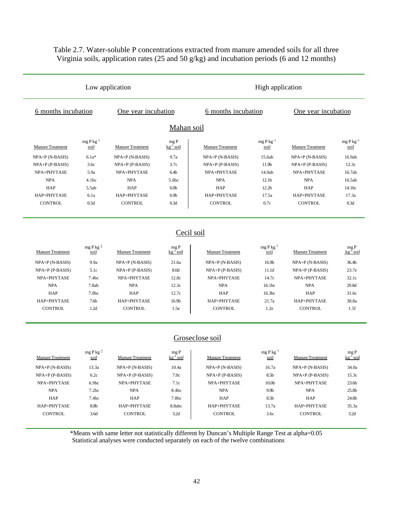# Table 2.7. Water-soluble P concentrations extracted from manure amended soils for all three Virginia soils, application rates (25 and 50 g/kg) and incubation periods (6 and 12 months)

|                           |                                            | Low application           |                                         | High application          |                        |                           |                         |  |
|---------------------------|--------------------------------------------|---------------------------|-----------------------------------------|---------------------------|------------------------|---------------------------|-------------------------|--|
|                           | One year incubation<br>6 months incubation |                           | 6 months incubation                     |                           |                        | One year incubation       |                         |  |
|                           |                                            |                           | Mahan soil                              |                           |                        |                           |                         |  |
| <b>Manure Treatment</b>   | $mgPkg^{-1}$<br>soil                       | <b>Manure Treatment</b>   | mgP<br>$kg^{-1}$ soil                   | <b>Manure Treatment</b>   | mg P $kg^{-1}$<br>soil | <b>Manure Treatment</b>   | mg P $kg^{-1}$<br>soil  |  |
|                           |                                            |                           | 9.7a                                    |                           |                        |                           | 16.9ab                  |  |
| $NPA+P(N-BASIS)$          | $6.1a*$                                    | NPA+P (N-BASIS)           | 3.7c                                    | NPA+P (N-BASIS)           | 15.6ab                 | NPA+P (N-BASIS)           | 12.3c                   |  |
| $NPA+P$ (P-BASIS)         | 3.6c<br>5.9a                               | $NPA+P$ (P-BASIS)         |                                         | NPA+P (P-BASIS)           | 11.9b<br>14.0ab        | $NPA+P$ (P-BASIS)         | 16.7ab                  |  |
| NPA+PHYTASE<br><b>NPA</b> | 4.1bc                                      | NPA+PHYTASE<br><b>NPA</b> | 6.4 <sub>b</sub><br>5.6bc               | NPA+PHYTASE<br><b>NPA</b> | 12.1 <sub>b</sub>      | NPA+PHYTASE<br><b>NPA</b> | 16.5ab                  |  |
| <b>HAP</b>                | 5.5ab                                      | HAP                       | 6.0 <sub>b</sub>                        | HAP                       | 12.2 <sub>b</sub>      | <b>HAP</b>                | 14.1bc                  |  |
| HAP+PHYTASE               | 6.1a                                       | HAP+PHYTASE               | 6.9 <sub>b</sub>                        | HAP+PHYTASE               | 17.5a                  | HAP+PHYTASE               | 17.3a                   |  |
| <b>CONTROL</b>            | 0.5d                                       | <b>CONTROL</b>            | 0.3d                                    | <b>CONTROL</b>            | 0.7c                   | <b>CONTROL</b>            | 0.3d                    |  |
|                           |                                            |                           |                                         |                           |                        |                           |                         |  |
|                           |                                            |                           |                                         | Cecil soil                |                        |                           |                         |  |
| Manure Treatment          | $mg P kg^{-1}$<br>soil                     | <b>Manure Treatment</b>   | $mgP$<br>$kg^{-1}$ soil                 | Manure Treatment          | $mgPkg^{-1}$<br>soil   | <b>Manure Treatment</b>   | $mgP$<br>$kg^{-1}$ soil |  |
| NPA+P (N-BASIS)           | 9.9a                                       | NPA+P (N-BASIS)           | 21.6a                                   | NPA+P (N-BASIS)           | 16.9b                  | NPA+P (N-BASIS)           | 36.4b                   |  |
| $NPA+P$ (P-BASIS)         | 5.1c                                       | $NPA+P$ (P-BASIS)         | 8.0d                                    | $NPA+P$ (P-BASIS)         | 11.1d                  | $NPA+P$ (P-BASIS)         | 23.7e                   |  |
| NPA+PHYTASE               | 7.4bc                                      | NPA+PHYTASE               | 12.8c                                   | NPA+PHYTASE               | 14.7c                  | NPA+PHYTASE               | 32.1c                   |  |
| <b>NPA</b>                | 7.8ab                                      | <b>NPA</b>                | 12.3c                                   | <b>NPA</b>                | 16.1bc                 | <b>NPA</b>                | 29.8d                   |  |
| HAP                       | 7.0 <sub>bc</sub>                          | <b>HAP</b>                | 12.7c                                   | <b>HAP</b>                | 16.3bc                 | <b>HAP</b>                | 31.6c                   |  |
| HAP+PHYTASE               | 7.6 <sub>b</sub>                           | HAP+PHYTASE               | 16.9b                                   | HAP+PHYTASE               | 21.7a                  | HAP+PHYTASE               | 38.8a                   |  |
| <b>CONTROL</b>            | 1.2d                                       | CONTROL                   | 1.5e                                    | <b>CONTROL</b>            | 1.2e                   | <b>CONTROL</b>            | 1.5f                    |  |
|                           |                                            |                           |                                         | Groseclose soil           |                        |                           |                         |  |
| <b>Manure Treatment</b>   | $mg P kg^{-1}$<br>soil                     | <b>Manure Treatment</b>   | $_{\rm mg\,P}$<br>kg <sup>-1</sup> soil | <b>Manure Treatment</b>   | $mgPkg^{-1}$<br>soil   | <b>Manure Treatment</b>   | mgP<br>$kg^{-1}$ soil   |  |
| NPA+P (N-BASIS)           | 13.3a                                      | NPA+P (N-BASIS)           | 10.4a                                   | NPA+P (N-BASIS)           | 16.7a                  | NPA+P (N-BASIS)           | 34.0a                   |  |
| NPA+P (P-BASIS)           | 6.2c                                       | NPA+P (P-BASIS)           | 7.0c                                    | NPA+P (P-BASIS)           | 8.5b                   | NPA+P (P-BASIS)           | 15.3c                   |  |
| NPA+PHYTASE               | 6.9 <sub>bc</sub>                          | NPA+PHYTASE               | 7.1c                                    | NPA+PHYTASE               | 10.0 <sub>b</sub>      | NPA+PHYTASE               | 23.6 <sub>b</sub>       |  |
| <b>NPA</b>                | 7.2bc                                      | <b>NPA</b>                | 8.4bc                                   | <b>NPA</b>                | 9.9 <sub>b</sub>       | <b>NPA</b>                | 25.8b                   |  |
| HAP                       | 7.4bc                                      | HAP                       | 7.8 <sub>bc</sub>                       | HAP                       | 8.5 <sub>b</sub>       | HAP                       | 24.8b                   |  |
| HAP+PHYTASE               | 8.8b                                       | HAP+PHYTASE               | 8.8abc                                  | HAP+PHYTASE               | 13.7a                  | HAP+PHYTASE               | 35.3a                   |  |

\*Means with same letter not statistically different by Duncan's Multiple Range Test at alpha=0.05 Statistical analyses were conducted separately on each of the twelve combinations

CONTROL 3.6d CONTROL 3.2d CONTROL 3.6c CONTROL 3.2d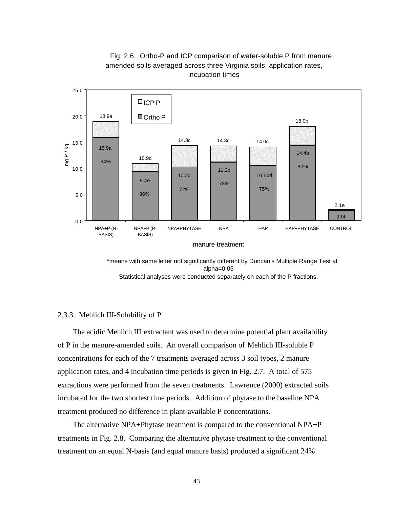



 \*means with same letter not significantly different by Duncan's Multiple Range Test at alpha=0.05

Statistical analyses were conducted separately on each of the P fractions.

### 2.3.3. Mehlich III-Solubility of P

 The acidic Mehlich III extractant was used to determine potential plant availability of P in the manure-amended soils. An overall comparison of Mehlich III-soluble P concentrations for each of the 7 treatments averaged across 3 soil types, 2 manure application rates, and 4 incubation time periods is given in Fig. 2.7. A total of 575 extractions were performed from the seven treatments. Lawrence (2000) extracted soils incubated for the two shortest time periods. Addition of phytase to the baseline NPA treatment produced no difference in plant-available P concentrations.

 The alternative NPA+Phytase treatment is compared to the conventional NPA+P treatments in Fig. 2.8. Comparing the alternative phytase treatment to the conventional treatment on an equal N-basis (and equal manure basis) produced a significant 24%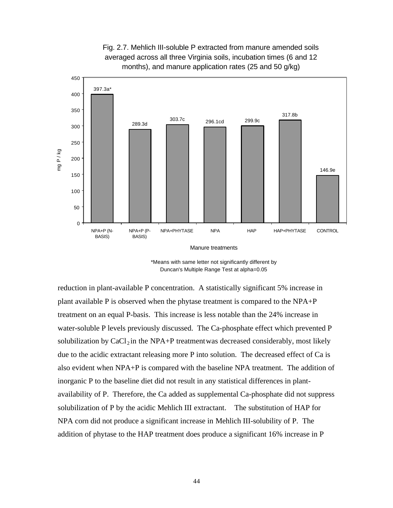

Fig. 2.7. Mehlich III-soluble P extracted from manure amended soils averaged across all three Virginia soils, incubation times (6 and 12 months), and manure application rates (25 and 50 g/kg)

\*Means with same letter not significantly different by Duncan's Multiple Range Test at alpha=0.05

reduction in plant-available P concentration. A statistically significant 5% increase in plant available P is observed when the phytase treatment is compared to the NPA+P treatment on an equal P-basis. This increase is less notable than the 24% increase in water-soluble P levels previously discussed. The Ca-phosphate effect which prevented P solubilization by  $CaCl<sub>2</sub>$  in the NPA+P treatment was decreased considerably, most likely due to the acidic extractant releasing more P into solution. The decreased effect of Ca is also evident when NPA+P is compared with the baseline NPA treatment. The addition of inorganic P to the baseline diet did not result in any statistical differences in plantavailability of P. Therefore, the Ca added as supplemental Ca-phosphate did not suppress solubilization of P by the acidic Mehlich III extractant. The substitution of HAP for NPA corn did not produce a significant increase in Mehlich III-solubility of P. The addition of phytase to the HAP treatment does produce a significant 16% increase in P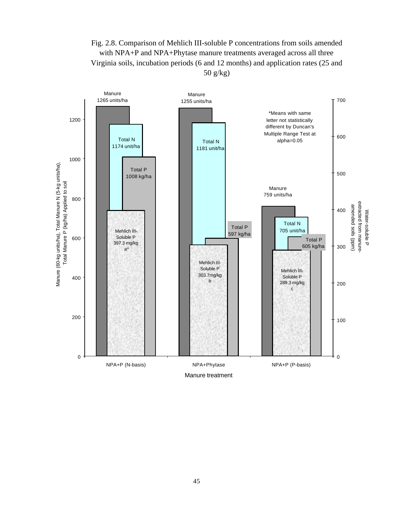Fig. 2.8. Comparison of Mehlich III-soluble P concentrations from soils amended with NPA+P and NPA+Phytase manure treatments averaged across all three Virginia soils, incubation periods (6 and 12 months) and application rates (25 and 50 g/kg)

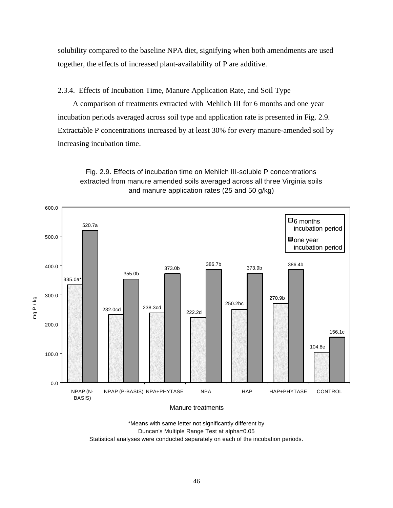solubility compared to the baseline NPA diet, signifying when both amendments are used together, the effects of increased plant-availability of P are additive.

2.3.4. Effects of Incubation Time, Manure Application Rate, and Soil Type

 A comparison of treatments extracted with Mehlich III for 6 months and one year incubation periods averaged across soil type and application rate is presented in Fig. 2.9. Extractable P concentrations increased by at least 30% for every manure-amended soil by increasing incubation time.





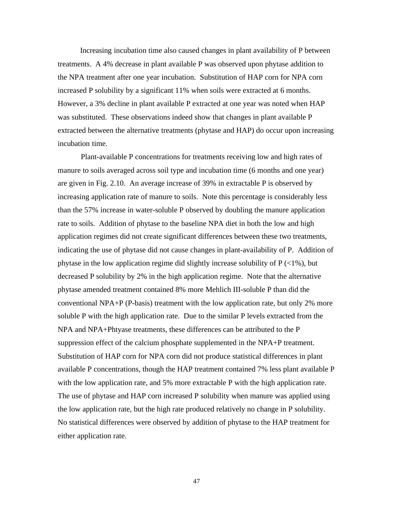Increasing incubation time also caused changes in plant availability of P between treatments. A 4% decrease in plant available P was observed upon phytase addition to the NPA treatment after one year incubation. Substitution of HAP corn for NPA corn increased P solubility by a significant 11% when soils were extracted at 6 months. However, a 3% decline in plant available P extracted at one year was noted when HAP was substituted. These observations indeed show that changes in plant available P extracted between the alternative treatments (phytase and HAP) do occur upon increasing incubation time.

Plant-available P concentrations for treatments receiving low and high rates of manure to soils averaged across soil type and incubation time (6 months and one year) are given in Fig. 2.10. An average increase of 39% in extractable P is observed by increasing application rate of manure to soils. Note this percentage is considerably less than the 57% increase in water-soluble P observed by doubling the manure application rate to soils. Addition of phytase to the baseline NPA diet in both the low and high application regimes did not create significant differences between these two treatments, indicating the use of phytase did not cause changes in plant-availability of P. Addition of phytase in the low application regime did slightly increase solubility of  $P \leq 1\%$ ), but decreased P solubility by 2% in the high application regime. Note that the alternative phytase amended treatment contained 8% more Mehlich III-soluble P than did the conventional NPA+P (P-basis) treatment with the low application rate, but only 2% more soluble P with the high application rate. Due to the similar P levels extracted from the NPA and NPA+Phtyase treatments, these differences can be attributed to the P suppression effect of the calcium phosphate supplemented in the NPA+P treatment. Substitution of HAP corn for NPA corn did not produce statistical differences in plant available P concentrations, though the HAP treatment contained 7% less plant available P with the low application rate, and 5% more extractable P with the high application rate. The use of phytase and HAP corn increased P solubility when manure was applied using the low application rate, but the high rate produced relatively no change in P solubility. No statistical differences were observed by addition of phytase to the HAP treatment for either application rate.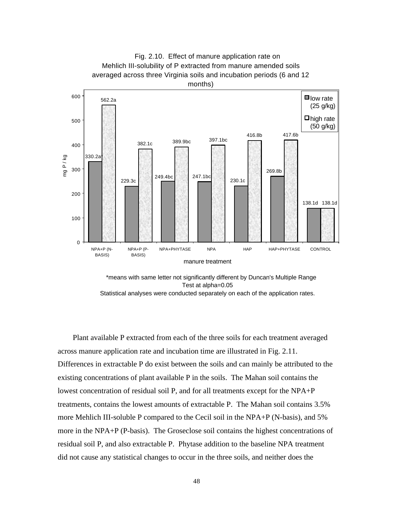

Test at alpha=0.05

Statistical analyses were conducted separately on each of the application rates.

 Plant available P extracted from each of the three soils for each treatment averaged across manure application rate and incubation time are illustrated in Fig. 2.11. Differences in extractable P do exist between the soils and can mainly be attributed to the existing concentrations of plant available P in the soils. The Mahan soil contains the lowest concentration of residual soil P, and for all treatments except for the NPA+P treatments, contains the lowest amounts of extractable P. The Mahan soil contains 3.5% more Mehlich III-soluble P compared to the Cecil soil in the NPA+P (N-basis), and 5% more in the NPA+P (P-basis). The Groseclose soil contains the highest concentrations of residual soil P, and also extractable P. Phytase addition to the baseline NPA treatment did not cause any statistical changes to occur in the three soils, and neither does the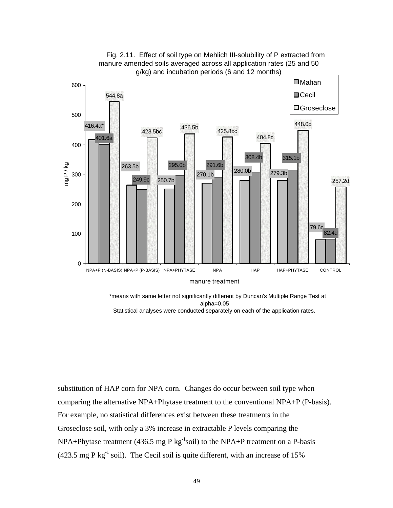

 Fig. 2.11. Effect of soil type on Mehlich III-solubility of P extracted from manure amended soils averaged across all application rates (25 and 50

 \*means with same letter not significantly different by Duncan's Multiple Range Test at alpha=0.05 Statistical analyses were conducted separately on each of the application rates.

substitution of HAP corn for NPA corn. Changes do occur between soil type when comparing the alternative NPA+Phytase treatment to the conventional NPA+P (P-basis). For example, no statistical differences exist between these treatments in the Groseclose soil, with only a 3% increase in extractable P levels comparing the  $NPA+Phytase treatment (436.5 mg P kg<sup>-1</sup> soil) to the NPA+P treatment on a P-basis$ (423.5 mg P kg<sup>-1</sup> soil). The Cecil soil is quite different, with an increase of 15%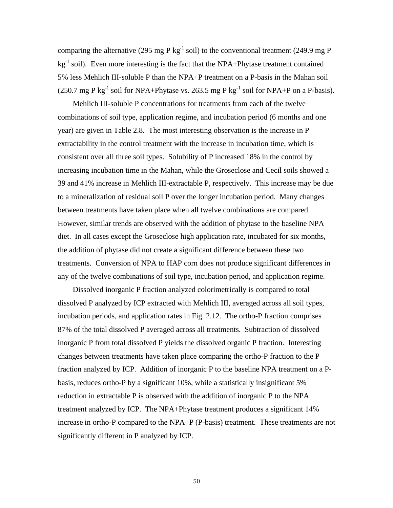comparing the alternative (295 mg P kg<sup>-1</sup> soil) to the conventional treatment (249.9 mg P  $kg<sup>-1</sup>$  soil). Even more interesting is the fact that the NPA+Phytase treatment contained 5% less Mehlich III-soluble P than the NPA+P treatment on a P-basis in the Mahan soil (250.7 mg P kg<sup>-1</sup> soil for NPA+Phytase vs. 263.5 mg P kg<sup>-1</sup> soil for NPA+P on a P-basis).

 Mehlich III-soluble P concentrations for treatments from each of the twelve combinations of soil type, application regime, and incubation period (6 months and one year) are given in Table 2.8. The most interesting observation is the increase in P extractability in the control treatment with the increase in incubation time, which is consistent over all three soil types. Solubility of P increased 18% in the control by increasing incubation time in the Mahan, while the Groseclose and Cecil soils showed a 39 and 41% increase in Mehlich III-extractable P, respectively. This increase may be due to a mineralization of residual soil P over the longer incubation period. Many changes between treatments have taken place when all twelve combinations are compared. However, similar trends are observed with the addition of phytase to the baseline NPA diet. In all cases except the Groseclose high application rate, incubated for six months, the addition of phytase did not create a significant difference between these two treatments. Conversion of NPA to HAP corn does not produce significant differences in any of the twelve combinations of soil type, incubation period, and application regime.

 Dissolved inorganic P fraction analyzed colorimetrically is compared to total dissolved P analyzed by ICP extracted with Mehlich III, averaged across all soil types, incubation periods, and application rates in Fig. 2.12. The ortho-P fraction comprises 87% of the total dissolved P averaged across all treatments. Subtraction of dissolved inorganic P from total dissolved P yields the dissolved organic P fraction. Interesting changes between treatments have taken place comparing the ortho-P fraction to the P fraction analyzed by ICP. Addition of inorganic P to the baseline NPA treatment on a Pbasis, reduces ortho-P by a significant 10%, while a statistically insignificant 5% reduction in extractable P is observed with the addition of inorganic P to the NPA treatment analyzed by ICP. The NPA+Phytase treatment produces a significant 14% increase in ortho-P compared to the NPA+P (P-basis) treatment. These treatments are not significantly different in P analyzed by ICP.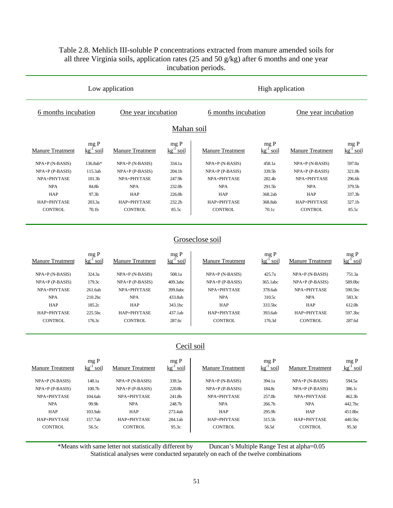# Table 2.8. Mehlich III-soluble P concentrations extracted from manure amended soils for all three Virginia soils, application rates (25 and 50 g/kg) after 6 months and one year incubation periods.

|                         |                                           | Low application         |                                            | High application        |                           |                         |                                             |  |
|-------------------------|-------------------------------------------|-------------------------|--------------------------------------------|-------------------------|---------------------------|-------------------------|---------------------------------------------|--|
| 6 months incubation     |                                           | One year incubation     |                                            | 6 months incubation     |                           | One year incubation     |                                             |  |
|                         |                                           |                         | Mahan soil                                 |                         |                           |                         |                                             |  |
| Manure Treatment        | $mg P$<br>$\frac{kg^{-1}}{s}$ soi<br>soil | Manure Treatment        | $mg P$<br>$\frac{kg^{-1} \text{ soil}}{g}$ | Manure Treatment        | $mg P$<br>$kg^{-1} soll$  | Manure Treatment        | $mg P$<br>$\frac{kg^{-1} \text{ soil}}{sg}$ |  |
| NPA+P (N-BASIS)         | 136.8ab*                                  | $NPA+P(N-BASIS)$        | 334.1a                                     | NPA+P (N-BASIS)         | 458.1a                    | NPA+P (N-BASIS)         | 597.0a                                      |  |
| NPA+P (P-BASIS)         | 115.3ab                                   | $NPA+P$ (P-BASIS)       | 204.1b                                     | NPA+P (P-BASIS)         | 339.5b                    | $NPA+P$ (P-BASIS)       | 321.0b                                      |  |
| NPA+PHYTASE             | 101.3 <sub>b</sub>                        | NPA+PHYTASE             | 247.9b                                     | NPA+PHYTASE             | 282.4b                    | NPA+PHYTASE             | 296.6b                                      |  |
| <b>NPA</b>              | 84.8b                                     | <b>NPA</b>              | 232.0b                                     | <b>NPA</b>              | 291.5b                    | <b>NPA</b>              | 379.5b                                      |  |
| HAP                     | 97.3b                                     | HAP                     | 226.0b                                     | HAP                     | 368.2ab                   | HAP                     | 337.3b                                      |  |
| HAP+PHYTASE             | 203.3a                                    | HAP+PHYTASE             | 232.2b                                     | HAP+PHYTASE             | 368.8ab                   | HAP+PHYTASE             | 327.1b                                      |  |
| <b>CONTROL</b>          | 70.1b                                     | <b>CONTROL</b>          | 85.5c                                      | <b>CONTROL</b>          | 70.1c                     | <b>CONTROL</b>          | 85.5c                                       |  |
|                         |                                           |                         |                                            |                         |                           |                         |                                             |  |
|                         |                                           |                         |                                            | Groseclose soil         |                           |                         |                                             |  |
| <b>Manure Treatment</b> | $mg P$<br>$\frac{kg}{ }$ soi<br>soil      | <b>Manure Treatment</b> | $\rm mg~P$<br>$kg^{-1}$ soil               | Manure Treatment        | mg P<br>$kg-1$<br>soil    | Manure Treatment        | mg P<br>$kg^{-1}$ soil                      |  |
| NPA+P (N-BASIS)         | 324.3a                                    | $NPA+P(N-BASIS)$        | 508.1a                                     | NPA+P (N-BASIS)         | 425.7a                    | $NPA+P(N-BASIS)$        | 751.3a                                      |  |
| NPA+P (P-BASIS)         | 179.3c                                    | NPA+P (P-BASIS)         | 409.3abc                                   | NPA+P (P-BASIS)         | 365.1abc                  | NPA+P (P-BASIS)         | 589.0bc                                     |  |
| NPA+PHYTASE             | 261.6ab                                   | NPA+PHYTASE             | 399.0abc                                   | NPA+PHYTASE             | 378.6ab                   | NPA+PHYTASE             | 590.5bc                                     |  |
| <b>NPA</b>              | 210.2bc                                   | <b>NPA</b>              | 433.8ab                                    | <b>NPA</b>              | 310.5c                    | <b>NPA</b>              | 583.3c                                      |  |
| <b>HAP</b>              | 185.2c                                    | <b>HAP</b>              | 343.1bc                                    | HAP                     | 333.5bc                   | HAP                     | 612.0b                                      |  |
| HAP+PHYTASE             | 225.5bc                                   | HAP+PHYTASE             | 437.1ab                                    | HAP+PHYTASE             | 393.6ab                   | HAP+PHYTASE             | 597.3bc                                     |  |
| <b>CONTROL</b>          | 176.3c                                    | <b>CONTROL</b>          | 287.6c                                     | <b>CONTROL</b>          | 176.3d                    | <b>CONTROL</b>          | 287.6d                                      |  |
|                         |                                           |                         |                                            |                         |                           |                         |                                             |  |
|                         |                                           |                         | Cecil soil                                 |                         |                           |                         |                                             |  |
| <b>Manure Treatment</b> | mg P<br>$kg^{-1}$<br>soil                 | <b>Manure Treatment</b> | mg ${\bf P}$<br>$kg^{-1}$<br>soil          | <b>Manure Treatment</b> | mg P<br>$kg^{-1}$<br>soil | <b>Manure Treatment</b> | mg P<br>soil                                |  |
|                         |                                           |                         |                                            |                         |                           |                         |                                             |  |

| Manure Treatment  | $kg$ soil          | Manure Treatment  | $kg$ soil | Manure Treatment  | $kg$ soil          | Manure Treatment  | $kg$ soil          |
|-------------------|--------------------|-------------------|-----------|-------------------|--------------------|-------------------|--------------------|
| $NPA+P(N-BASIS)$  | 148.1a             | $NPA+P(N-BASIS)$  | 339.3a    | $NPA+P(N-BASIS)$  | 394.1a             | $NPA+P(N-BASIS)$  | 594.5a             |
| $NPA+P$ (P-BASIS) | 100.7 <sub>b</sub> | $NPA+P$ (P-BASIS) | 220.8b    | $NPA+P$ (P-BASIS) | 184.8c             | $NPA+P$ (P-BASIS) | 386.1c             |
| NPA+PHYTASE       | 104.6ab            | NPA+PHYTASE       | 241.8b    | NPA+PHYTASE       | 257.0 <sub>b</sub> | NPA+PHYTASE       | 462.3 <sub>b</sub> |
| <b>NPA</b>        | 99.9b              | NPA               | 248.7b    | <b>NPA</b>        | 266.7b             | <b>NPA</b>        | 442.7bc            |
| HAP               | 103.9ab            | <b>HAP</b>        | 273.4ab   | HAP               | 295.9b             | <b>HAP</b>        | 451.8bc            |
| HAP+PHYTASE       | 157.7ab            | HAP+PHYTASE       | 284.1ab   | HAP+PHYTASE       | 315.5b             | HAP+PHYTASE       | 440.5bc            |
| <b>CONTROL</b>    | 56.5c              | <b>CONTROL</b>    | 95.3c     | <b>CONTROL</b>    | 56.5d              | <b>CONTROL</b>    | 95.3d              |
|                   |                    |                   |           |                   |                    |                   |                    |

\*Means with same letter not statistically different by Duncan's Multiple Range Test at alpha=0.05 Statistical analyses were conducted separately on each of the twelve combinations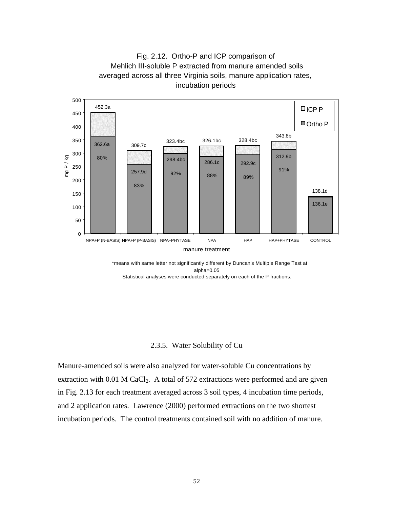



 \*means with same letter not significantly different by Duncan's Multiple Range Test at alpha=0.05 Statistical analyses were conducted separately on each of the P fractions.

### 2.3.5. Water Solubility of Cu

Manure-amended soils were also analyzed for water-soluble Cu concentrations by extraction with  $0.01$  M CaCl<sub>2</sub>. A total of 572 extractions were performed and are given in Fig. 2.13 for each treatment averaged across 3 soil types, 4 incubation time periods, and 2 application rates. Lawrence (2000) performed extractions on the two shortest incubation periods. The control treatments contained soil with no addition of manure.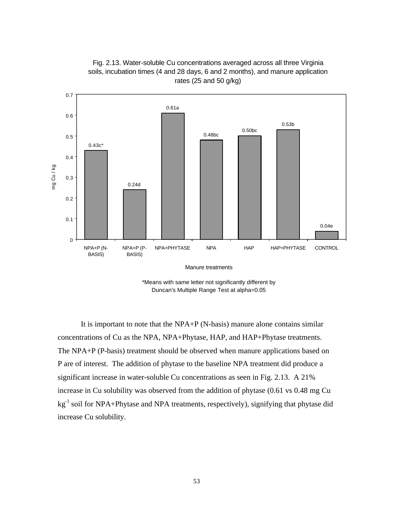



\*Means with same letter not significantly different by Duncan's Multiple Range Test at alpha=0.05

It is important to note that the NPA+P (N-basis) manure alone contains similar concentrations of Cu as the NPA, NPA+Phytase, HAP, and HAP+Phytase treatments. The NPA+P (P-basis) treatment should be observed when manure applications based on P are of interest. The addition of phytase to the baseline NPA treatment did produce a significant increase in water-soluble Cu concentrations as seen in Fig. 2.13. A 21% increase in Cu solubility was observed from the addition of phytase (0.61 vs 0.48 mg Cu  $kg<sup>-1</sup>$  soil for NPA+Phytase and NPA treatments, respectively), signifying that phytase did increase Cu solubility.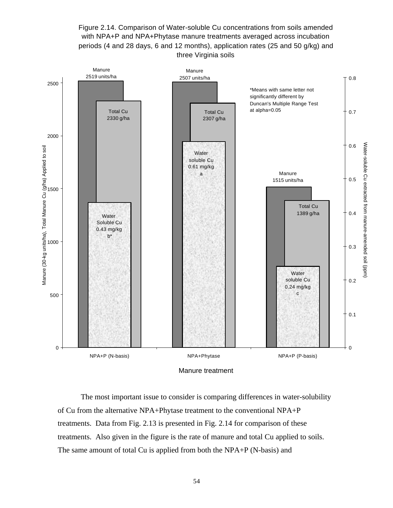Figure 2.14. Comparison of Water-soluble Cu concentrations from soils amended with NPA+P and NPA+Phytase manure treatments averaged across incubation periods (4 and 28 days, 6 and 12 months), application rates (25 and 50 g/kg) and three Virginia soils



The most important issue to consider is comparing differences in water-solubility of Cu from the alternative NPA+Phytase treatment to the conventional NPA+P treatments. Data from Fig. 2.13 is presented in Fig. 2.14 for comparison of these treatments. Also given in the figure is the rate of manure and total Cu applied to soils. The same amount of total Cu is applied from both the NPA+P (N-basis) and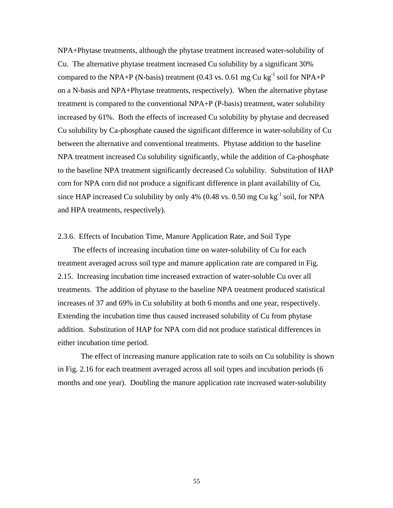NPA+Phytase treatments, although the phytase treatment increased water-solubility of Cu. The alternative phytase treatment increased Cu solubility by a significant 30% compared to the NPA+P (N-basis) treatment (0.43 vs. 0.61 mg Cu kg<sup>-1</sup> soil for NPA+P on a N-basis and NPA+Phytase treatments, respectively). When the alternative phytase treatment is compared to the conventional NPA+P (P-basis) treatment, water solubility increased by 61%. Both the effects of increased Cu solubility by phytase and decreased Cu solubility by Ca-phosphate caused the significant difference in water-solubility of Cu between the alternative and conventional treatments. Phytase addition to the baseline NPA treatment increased Cu solubility significantly, while the addition of Ca-phosphate to the baseline NPA treatment significantly decreased Cu solubility. Substitution of HAP corn for NPA corn did not produce a significant difference in plant availability of Cu, since HAP increased Cu solubility by only 4% (0.48 vs. 0.50 mg Cu kg<sup>-1</sup> soil, for NPA and HPA treatments, respectively).

#### 2.3.6. Effects of Incubation Time, Manure Application Rate, and Soil Type

 The effects of increasing incubation time on water-solubility of Cu for each treatment averaged across soil type and manure application rate are compared in Fig. 2.15. Increasing incubation time increased extraction of water-soluble Cu over all treatments. The addition of phytase to the baseline NPA treatment produced statistical increases of 37 and 69% in Cu solubility at both 6 months and one year, respectively. Extending the incubation time thus caused increased solubility of Cu from phytase addition. Substitution of HAP for NPA corn did not produce statistical differences in either incubation time period.

The effect of increasing manure application rate to soils on Cu solubility is shown in Fig. 2.16 for each treatment averaged across all soil types and incubation periods (6 months and one year). Doubling the manure application rate increased water-solubility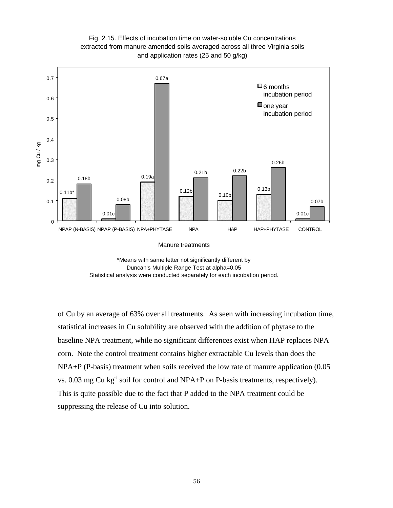

Fig. 2.15. Effects of incubation time on water-soluble Cu concentrations extracted from manure amended soils averaged across all three Virginia soils



of Cu by an average of 63% over all treatments. As seen with increasing incubation time, statistical increases in Cu solubility are observed with the addition of phytase to the baseline NPA treatment, while no significant differences exist when HAP replaces NPA corn. Note the control treatment contains higher extractable Cu levels than does the NPA+P (P-basis) treatment when soils received the low rate of manure application (0.05 vs. 0.03 mg Cu kg<sup>-1</sup> soil for control and NPA+P on P-basis treatments, respectively). This is quite possible due to the fact that P added to the NPA treatment could be suppressing the release of Cu into solution.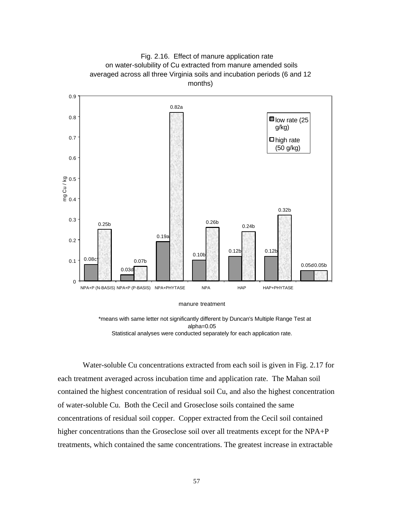

manure treatment

 \*means with same letter not significantly different by Duncan's Multiple Range Test at alpha=0.05 Statistical analyses were conducted separately for each application rate.

Water-soluble Cu concentrations extracted from each soil is given in Fig. 2.17 for each treatment averaged across incubation time and application rate. The Mahan soil contained the highest concentration of residual soil Cu, and also the highest concentration of water-soluble Cu. Both the Cecil and Groseclose soils contained the same concentrations of residual soil copper. Copper extracted from the Cecil soil contained higher concentrations than the Groseclose soil over all treatments except for the NPA+P treatments, which contained the same concentrations. The greatest increase in extractable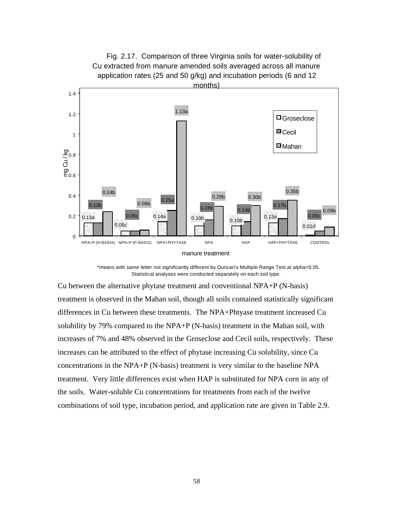

 \*means with same letter not significantly different by Duncan's Multiple Range Test at alpha=0.05. Statistical analyses were conducted separately on each soil type.

Cu between the alternative phytase treatment and conventional NPA+P (N-basis) treatment is observed in the Mahan soil, though all soils contained statistically significant differences in Cu between these treatments. The NPA+Phtyase treatment increased Cu solubility by 79% compared to the NPA+P (N-basis) treatment in the Mahan soil, with increases of 7% and 48% observed in the Groseclose and Cecil soils, respectively. These increases can be attributed to the effect of phytase increasing Cu solubility, since Cu concentrations in the NPA+P (N-basis) treatment is very similar to the baseline NPA treatment. Very little differences exist when HAP is substituted for NPA corn in any of the soils. Water-soluble Cu concentrations for treatments from each of the twelve combinations of soil type, incubation period, and application rate are given in Table 2.9.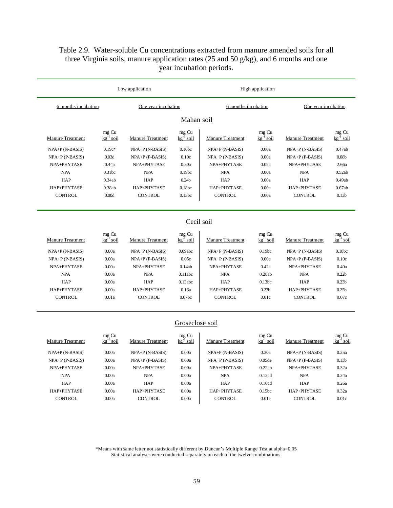# Table 2.9. Water-soluble Cu concentrations extracted from manure amended soils for all three Virginia soils, manure application rates (25 and 50 g/kg), and 6 months and one year incubation periods.

|                         |                                  | Low application         |                           |                         | High application                 |                         |                           |
|-------------------------|----------------------------------|-------------------------|---------------------------|-------------------------|----------------------------------|-------------------------|---------------------------|
| 6 months incubation     |                                  | One year incubation     | 6 months incubation       |                         | One year incubation              |                         |                           |
|                         |                                  |                         | Mahan soil                |                         |                                  |                         |                           |
| <b>Manure Treatment</b> | mg Cu<br>$kg^{-1}$ soil          | <b>Manure Treatment</b> | mg Cu<br>$kg^{-1}$ soil   | <b>Manure Treatment</b> | mg Cu<br>$kg^{-1}$ soil          | <b>Manure Treatment</b> | mg Cu<br>$kg^{-1}$ soil   |
| $NPA+P(N-BASIS)$        | $0.19c*$                         | $NPA+P(N-BASIS)$        | 0.16bc                    | NPA+P (N-BASIS)         | 0.00a                            | $NPA+P(N-BASIS)$        | 0.47ab                    |
| $NPA+P$ (P-BASIS)       | 0.03d                            | $NPA+P$ (P-BASIS)       | 0.10c                     | $NPA+P$ (P-BASIS)       | 0.00a                            | $NPA+P$ (P-BASIS)       | 0.08 <sub>b</sub>         |
| NPA+PHYTASE             | 0.44a                            | NPA+PHYTASE             | 0.50a                     | NPA+PHYTASE             | 0.02a                            | NPA+PHYTASE             | 2.66a                     |
| <b>NPA</b>              | 0.31bc                           | <b>NPA</b>              | 0.19 <sub>bc</sub>        | <b>NPA</b>              | 0.00a                            | <b>NPA</b>              | 0.52ab                    |
| <b>HAP</b>              | 0.34ab                           | HAP                     | 0.24 <sub>b</sub>         | <b>HAP</b>              | 0.00a                            | HAP                     | 0.49ab                    |
| HAP+PHYTASE             | 0.38ab                           | HAP+PHYTASE             | 0.18bc                    | HAP+PHYTASE             | 0.00a                            | HAP+PHYTASE             | 0.67ab                    |
| <b>CONTROL</b>          | 0.00d                            | <b>CONTROL</b>          | 0.13bc                    | <b>CONTROL</b>          | 0.00a                            | <b>CONTROL</b>          | 0.13 <sub>b</sub>         |
|                         |                                  |                         | Cecil soil                |                         |                                  |                         |                           |
| <b>Manure Treatment</b> | mg Cu<br>$kg$ <sup>-1</sup> soil | <b>Manure Treatment</b> | $mg Cu$<br>$kg^{-1} soli$ | <b>Manure Treatment</b> | mg Cu<br>$kg$ <sup>-1</sup> soil | <b>Manure Treatment</b> | $mg Cu$<br>$kg^{-1} soli$ |
| $NPA+P(N-BASIS)$        | 0.00a                            | $NPA+P(N-BASIS)$        | 0.09abc                   | NPA+P (N-BASIS)         | 0.19 <sub>bc</sub>               | NPA+P (N-BASIS)         | 0.18bc                    |
| $NPA+P$ (P-BASIS)       | 0.00a                            | $NPA+P$ (P-BASIS)       | 0.05c                     | $NPA+P$ (P-BASIS)       | 0.00c                            | $NPA+P$ (P-BASIS)       | 0.10c                     |
| NPA+PHYTASE             | 0.00a                            | NPA+PHYTASE             | 0.14ab                    | NPA+PHYTASE             | 0.42a                            | NPA+PHYTASE             | 0.40a                     |
| <b>NPA</b>              | 0.00a                            | <b>NPA</b>              | 0.11abc                   | <b>NPA</b>              | 0.28ab                           | <b>NPA</b>              | 0.22 <sub>b</sub>         |
| HAP                     | 0.00a                            | HAP                     | 0.13abc                   | HAP                     | 0.13bc                           | HAP                     | 0.23 <sub>b</sub>         |
| HAP+PHYTASE             | 0.00a                            | HAP+PHYTASE             | 0.16a                     | HAP+PHYTASE             | 0.23 <sub>b</sub>                | HAP+PHYTASE             | 0.25 <sub>b</sub>         |
| <b>CONTROL</b>          | 0.01a                            | <b>CONTROL</b>          | 0.07 <sub>bc</sub>        | <b>CONTROL</b>          | 0.01c                            | <b>CONTROL</b>          | 0.07c                     |
|                         |                                  |                         | Groseclose soil           |                         |                                  |                         |                           |
| <b>Manure Treatment</b> | mg Cu<br>$kg$ <sup>-1</sup> soil | <b>Manure Treatment</b> | $mg$ Cu<br>$kg^{-1}$ soil | <b>Manure Treatment</b> | mg Cu<br>$k\frac{1}{2}$ soil     | <b>Manure Treatment</b> | $mg Cu$<br>$kg^{-1} soll$ |
| $NPA+P(N-BASIS)$        | 0.00a                            | $NPA+P(N-BASIS)$        | 0.00a                     | NPA+P (N-BASIS)         | 0.30a                            | $NPA+P(N-BASIS)$        | 0.25a                     |
| $NPA+P$ (P-BASIS)       | 0.00a                            | $NPA+P$ (P-BASIS)       | 0.00a                     | $NPA+P$ (P-BASIS)       | 0.05 <sub>de</sub>               | $NPA+P$ (P-BASIS)       | 0.13 <sub>b</sub>         |
| NPA+PHYTASE             | 0.00a                            | NPA+PHYTASE             | 0.00a                     | NPA+PHYTASE             | 0.22ab                           | NPA+PHYTASE             | 0.32a                     |
| <b>NPA</b>              | 0.00a                            | <b>NPA</b>              | 0.00a                     | <b>NPA</b>              | 0.12cd                           | <b>NPA</b>              | 0.24a                     |
| <b>HAP</b>              | 0.00a                            | HAP                     | 0.00a                     | HAP                     | 0.10cd                           | <b>HAP</b>              | 0.26a                     |
|                         |                                  |                         |                           |                         |                                  |                         |                           |
| HAP+PHYTASE             | 0.00a                            | HAP+PHYTASE             | 0.00a                     | HAP+PHYTASE             | 0.15bc                           | HAP+PHYTASE             | 0.32a                     |

\*Means with same letter not statistically different by Duncan's Multiple Range Test at alpha=0.05 Statistical analyses were conducted separately on each of the twelve combinations.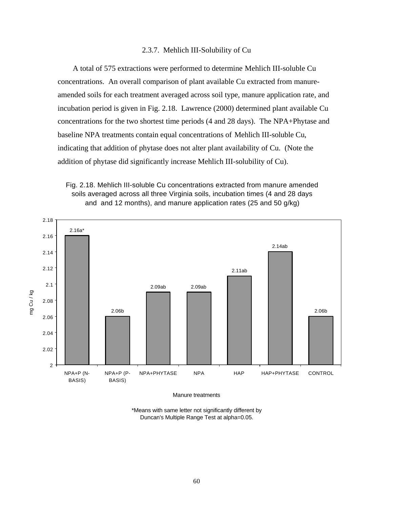### 2.3.7. Mehlich III-Solubility of Cu

 A total of 575 extractions were performed to determine Mehlich III-soluble Cu concentrations. An overall comparison of plant available Cu extracted from manureamended soils for each treatment averaged across soil type, manure application rate, and incubation period is given in Fig. 2.18. Lawrence (2000) determined plant available Cu concentrations for the two shortest time periods (4 and 28 days). The NPA+Phytase and baseline NPA treatments contain equal concentrations of Mehlich III-soluble Cu, indicating that addition of phytase does not alter plant availability of Cu. (Note the addition of phytase did significantly increase Mehlich III-solubility of Cu).





Manure treatments

\*Means with same letter not significantly different by Duncan's Multiple Range Test at alpha=0.05.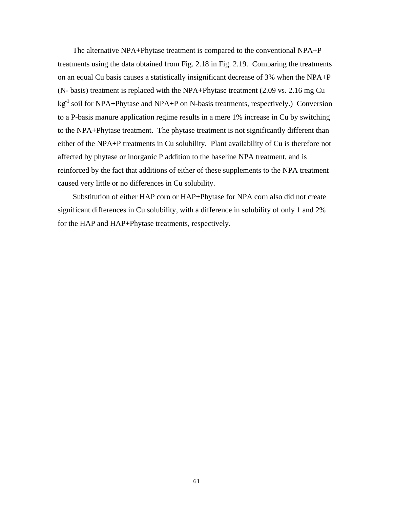The alternative NPA+Phytase treatment is compared to the conventional NPA+P treatments using the data obtained from Fig. 2.18 in Fig. 2.19. Comparing the treatments on an equal Cu basis causes a statistically insignificant decrease of 3% when the NPA+P (N- basis) treatment is replaced with the NPA+Phytase treatment (2.09 vs. 2.16 mg Cu kg-1 soil for NPA+Phytase and NPA+P on N-basis treatments, respectively.) Conversion to a P-basis manure application regime results in a mere 1% increase in Cu by switching to the NPA+Phytase treatment. The phytase treatment is not significantly different than either of the NPA+P treatments in Cu solubility. Plant availability of Cu is therefore not affected by phytase or inorganic P addition to the baseline NPA treatment, and is reinforced by the fact that additions of either of these supplements to the NPA treatment caused very little or no differences in Cu solubility.

 Substitution of either HAP corn or HAP+Phytase for NPA corn also did not create significant differences in Cu solubility, with a difference in solubility of only 1 and 2% for the HAP and HAP+Phytase treatments, respectively.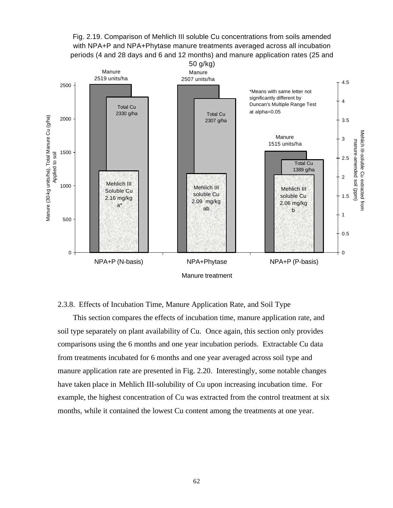



## 2.3.8. Effects of Incubation Time, Manure Application Rate, and Soil Type

 This section compares the effects of incubation time, manure application rate, and soil type separately on plant availability of Cu. Once again, this section only provides comparisons using the 6 months and one year incubation periods. Extractable Cu data from treatments incubated for 6 months and one year averaged across soil type and manure application rate are presented in Fig. 2.20. Interestingly, some notable changes have taken place in Mehlich III-solubility of Cu upon increasing incubation time. For example, the highest concentration of Cu was extracted from the control treatment at six months, while it contained the lowest Cu content among the treatments at one year.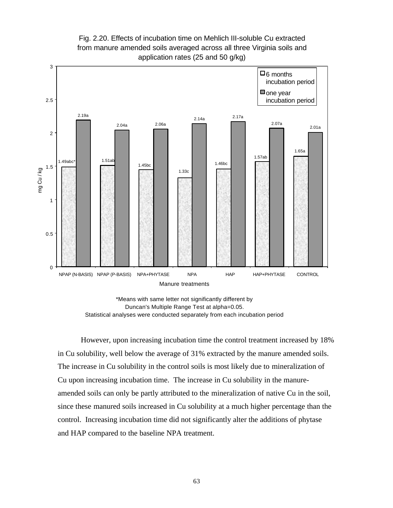

Fig. 2.20. Effects of incubation time on Mehlich III-soluble Cu extracted from manure amended soils averaged across all three Virginia soils and application rates (25 and 50 g/kg)

\*Means with same letter not significantly different by Duncan's Multiple Range Test at alpha=0.05. Statistical analyses were conducted separately from each incubation period

However, upon increasing incubation time the control treatment increased by 18% in Cu solubility, well below the average of 31% extracted by the manure amended soils. The increase in Cu solubility in the control soils is most likely due to mineralization of Cu upon increasing incubation time. The increase in Cu solubility in the manureamended soils can only be partly attributed to the mineralization of native Cu in the soil, since these manured soils increased in Cu solubility at a much higher percentage than the control. Increasing incubation time did not significantly alter the additions of phytase and HAP compared to the baseline NPA treatment.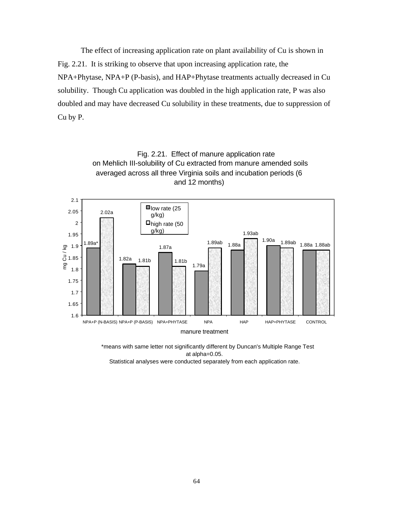The effect of increasing application rate on plant availability of Cu is shown in Fig. 2.21. It is striking to observe that upon increasing application rate, the NPA+Phytase, NPA+P (P-basis), and HAP+Phytase treatments actually decreased in Cu solubility. Though Cu application was doubled in the high application rate, P was also doubled and may have decreased Cu solubility in these treatments, due to suppression of Cu by P.

> Fig. 2.21. Effect of manure application rate on Mehlich III-solubility of Cu extracted from manure amended soils



 \*means with same letter not significantly different by Duncan's Multiple Range Test at alpha=0.05.

Statistical analyses were conducted separately from each application rate.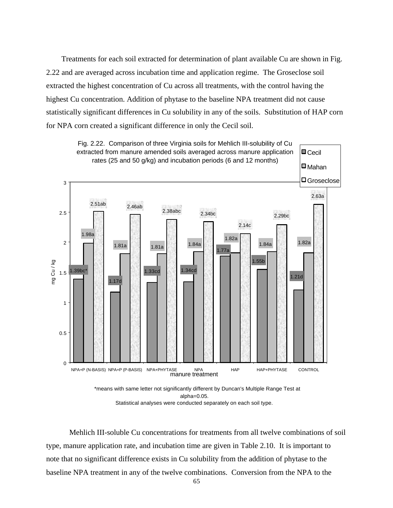Treatments for each soil extracted for determination of plant available Cu are shown in Fig. 2.22 and are averaged across incubation time and application regime. The Groseclose soil extracted the highest concentration of Cu across all treatments, with the control having the highest Cu concentration. Addition of phytase to the baseline NPA treatment did not cause statistically significant differences in Cu solubility in any of the soils. Substitution of HAP corn for NPA corn created a significant difference in only the Cecil soil.



Statistical analyses were conducted separately on each soil type.

Mehlich III-soluble Cu concentrations for treatments from all twelve combinations of soil type, manure application rate, and incubation time are given in Table 2.10. It is important to note that no significant difference exists in Cu solubility from the addition of phytase to the baseline NPA treatment in any of the twelve combinations. Conversion from the NPA to the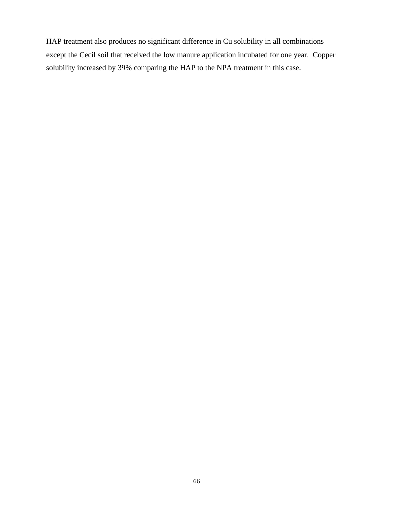HAP treatment also produces no significant difference in Cu solubility in all combinations except the Cecil soil that received the low manure application incubated for one year. Copper solubility increased by 39% comparing the HAP to the NPA treatment in this case.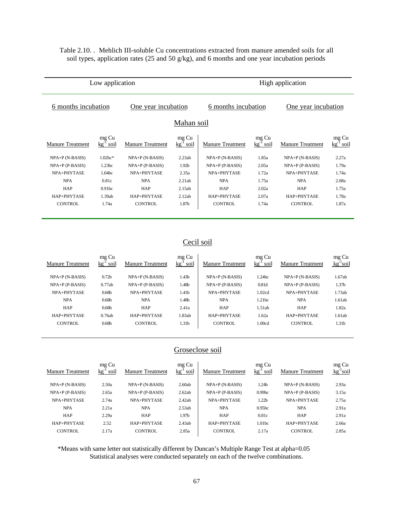Table 2.10. . Mehlich III-soluble Cu concentrations extracted from manure amended soils for all soil types, application rates (25 and 50 g/kg), and 6 months and one year incubation periods

|                                            | Low application         |                         | High application        |                         |                         |                         |                         |  |
|--------------------------------------------|-------------------------|-------------------------|-------------------------|-------------------------|-------------------------|-------------------------|-------------------------|--|
| 6 months incubation<br>One year incubation |                         |                         |                         | 6 months incubation     |                         | One year incubation     |                         |  |
| Mahan soil                                 |                         |                         |                         |                         |                         |                         |                         |  |
| <b>Manure Treatment</b>                    | mg Cu<br>$kg^{-1}$ soil | <b>Manure Treatment</b> | mg Cu<br>$kg^{-1}$ soil | <b>Manure Treatment</b> | mg Cu<br>$kg^{-1}$ soil | <b>Manure Treatment</b> | mg Cu<br>$kg^{-1}$ soil |  |
| $NPA+P(N-BASIS)$                           | $1.02bc*$               | $NPA+P(N-BASIS)$        | 2.23ab                  | $NPA+P(N-BASIS)$        | 1.85a                   | $NPA+P(N-BASIS)$        | 2.27a                   |  |
| $NPA+P$ (P-BASIS)                          | 1.23bc                  | $NPA+P$ (P-BASIS)       | 1.92 <sub>b</sub>       | $NPA+P$ (P-BASIS)       | 2.05a                   | $NPA+P$ (P-BASIS)       | 1.79a                   |  |
| NPA+PHYTASE                                | 1.04bc                  | NPA+PHYTASE             | 2.35a                   | NPA+PHYTASE<br>1.72a    |                         | NPA+PHYTASE             | 1.74a                   |  |
| <b>NPA</b>                                 | 0.81c                   | <b>NPA</b>              | 2.21ab                  | <b>NPA</b>              | 1.75a                   | <b>NPA</b>              | 2.08a                   |  |
| <b>HAP</b>                                 | 0.91 <sub>bc</sub>      | <b>HAP</b>              | 2.15ab                  | <b>HAP</b>              | 2.02a                   | <b>HAP</b>              | 1.75a                   |  |
| HAP+PHYTASE                                | 1.39ab                  | HAP+PHYTASE             | 2.12ab                  | HAP+PHYTASE             | 2.07a                   | HAP+PHYTASE             | 1.78a                   |  |
| <b>CONTROL</b>                             | <b>CONTROL</b><br>1.74a |                         | 1.87b                   | <b>CONTROL</b>          |                         | <b>CONTROL</b>          | 1.87a                   |  |
|                                            |                         |                         |                         |                         |                         |                         |                         |  |

# Cecil soil

|                         | mg Cu             |                         | mg Cu                 |                         | mg Cu                 |                         | mg Cu             |
|-------------------------|-------------------|-------------------------|-----------------------|-------------------------|-----------------------|-------------------------|-------------------|
| <b>Manure Treatment</b> | kg<br>soil        | <b>Manure Treatment</b> | kg<br>SO <sub>1</sub> | <b>Manure Treatment</b> | kg<br>SO <sub>1</sub> | <b>Manure Treatment</b> | $kg^{-1}$ soil    |
| $NPA+P(N-BASIS)$        | 0.72 <sub>b</sub> | $NPA+P(N-BASIS)$        | 1.43b                 | $NPA+P(N-BASIS)$        | 1.24bc                | $NPA+P(N-BASIS)$        | 1.67ab            |
|                         |                   |                         |                       |                         |                       |                         |                   |
| $NPA+P$ (P-BASIS)       | 0.77ab            | $NPA+P$ (P-BASIS)       | 1.48b                 | $NPA+P$ (P-BASIS)       | 0.81d                 | $NPA+P$ (P-BASIS)       | 1.37 <sub>b</sub> |
| NPA+PHYTASE             | 0.68 <sub>b</sub> | NPA+PHYTASE             | 1.41b                 | NPA+PHYTASE             | 1.02cd                | NPA+PHYTASE             | 1.73ab            |
| <b>NPA</b>              | 0.68 <sub>b</sub> | <b>NPA</b>              | l.48b                 | <b>NPA</b>              | 1.21bc                | <b>NPA</b>              | 1.61ab            |
| <b>HAP</b>              | 0.68 <sub>b</sub> | <b>HAP</b>              | 2.41a                 | <b>HAP</b>              | 1.51ab                | <b>HAP</b>              | 1.82a             |
| HAP+PHYTASE             | 0.76ab            | HAP+PHYTASE             | 1.83ab                | HAP+PHYTASE             | 1.62a                 | HAP+PHYTASE             | 1.61ab            |
| CONTROL                 | 0.68 <sub>b</sub> | CONTROL                 | 1.31b                 | CONTROL                 | 1.00cd                | CONTROL                 | 1.31b             |
|                         |                   |                         |                       |                         |                       |                         |                   |

## Groseclose soil

|                         | mg Cu             |                         | mg Cu     |                         | mg Cu              |                         | mg Cu   |
|-------------------------|-------------------|-------------------------|-----------|-------------------------|--------------------|-------------------------|---------|
| <b>Manure Treatment</b> | soil<br>$k\sigma$ | <b>Manure Treatment</b> | kg<br>SO1 | <b>Manure Treatment</b> | kg<br>` SO1l       | <b>Manure Treatment</b> | kg soil |
|                         |                   |                         |           |                         |                    |                         |         |
| $NPA+P(N-BASIS)$        | 2.50a             | $NPA+P(N-BASIS)$        | 2.60ab    | $NPA+P(N-BASIS)$        | 1.24 <sub>b</sub>  | $NPA+P(N-BASIS)$        | 2.93a   |
| $NPA+P$ (P-BASIS)       | 2.65a             | $NPA+P$ (P-BASIS)       | 2.62ab    | $NPA+P$ (P-BASIS)       | 0.99 <sub>bc</sub> | $NPA+P$ (P-BASIS)       | 3.15a   |
| NPA+PHYTASE             | 2.74a             | NPA+PHYTASE             | 2.42ab    | NPA+PHYTASE             | 1.22 <sub>b</sub>  | NPA+PHYTASE             | 2.75a   |
| <b>NPA</b>              | 2.21a             | <b>NPA</b>              | 2.53ab    | <b>NPA</b>              | 0.95 <sub>bc</sub> | <b>NPA</b>              | 2.91a   |
| <b>HAP</b>              | 2.29a             | <b>HAP</b>              | 1.97b     | <b>HAP</b>              | 0.81c              | <b>HAP</b>              | 2.91a   |
| HAP+PHYTASE             | 2.52              | HAP+PHYTASE             | 2.43ab    | HAP+PHYTASE             | 1.01 <sub>bc</sub> | HAP+PHYTASE             | 2.66a   |
| <b>CONTROL</b>          | 2.17a             | CONTROL                 | 2.85a     | <b>CONTROL</b>          | 2.17a              | CONTROL                 | 2.85a   |
|                         |                   |                         |           |                         |                    |                         |         |

\*Means with same letter not statistically different by Duncan's Multiple Range Test at alpha=0.05 Statistical analyses were conducted separately on each of the twelve combinations.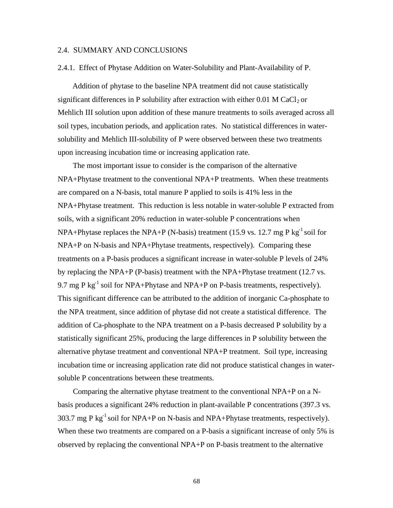### 2.4. SUMMARY AND CONCLUSIONS

## 2.4.1. Effect of Phytase Addition on Water-Solubility and Plant-Availability of P.

 Addition of phytase to the baseline NPA treatment did not cause statistically significant differences in P solubility after extraction with either  $0.01$  M CaCl<sub>2</sub> or Mehlich III solution upon addition of these manure treatments to soils averaged across all soil types, incubation periods, and application rates. No statistical differences in watersolubility and Mehlich III-solubility of P were observed between these two treatments upon increasing incubation time or increasing application rate.

 The most important issue to consider is the comparison of the alternative NPA+Phytase treatment to the conventional NPA+P treatments. When these treatments are compared on a N-basis, total manure P applied to soils is 41% less in the NPA+Phytase treatment. This reduction is less notable in water-soluble P extracted from soils, with a significant 20% reduction in water-soluble P concentrations when NPA+Phytase replaces the NPA+P (N-basis) treatment (15.9 vs. 12.7 mg P kg<sup>-1</sup> soil for NPA+P on N-basis and NPA+Phytase treatments, respectively). Comparing these treatments on a P-basis produces a significant increase in water-soluble P levels of 24% by replacing the NPA+P (P-basis) treatment with the NPA+Phytase treatment (12.7 vs. 9.7 mg P kg<sup>-1</sup> soil for NPA+Phytase and NPA+P on P-basis treatments, respectively). This significant difference can be attributed to the addition of inorganic Ca-phosphate to the NPA treatment, since addition of phytase did not create a statistical difference. The addition of Ca-phosphate to the NPA treatment on a P-basis decreased P solubility by a statistically significant 25%, producing the large differences in P solubility between the alternative phytase treatment and conventional NPA+P treatment. Soil type, increasing incubation time or increasing application rate did not produce statistical changes in watersoluble P concentrations between these treatments.

 Comparing the alternative phytase treatment to the conventional NPA+P on a Nbasis produces a significant 24% reduction in plant-available P concentrations (397.3 vs. 303.7 mg P  $\text{kg}^{-1}$  soil for NPA+P on N-basis and NPA+Phytase treatments, respectively). When these two treatments are compared on a P-basis a significant increase of only 5% is observed by replacing the conventional NPA+P on P-basis treatment to the alternative

68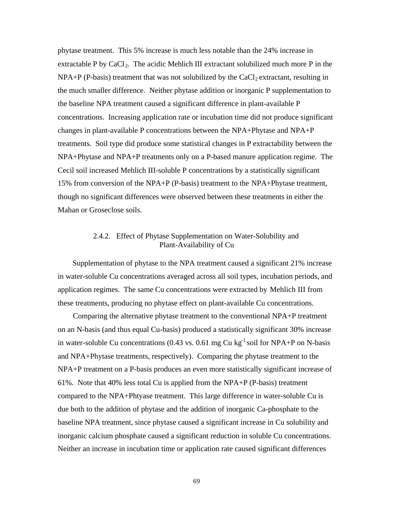phytase treatment. This 5% increase is much less notable than the 24% increase in extractable P by CaCl<sub>2</sub>. The acidic Mehlich III extractant solubilized much more P in the  $NPA+P$  (P-basis) treatment that was not solubilized by the CaCl<sub>2</sub> extractant, resulting in the much smaller difference. Neither phytase addition or inorganic P supplementation to the baseline NPA treatment caused a significant difference in plant-available P concentrations. Increasing application rate or incubation time did not produce significant changes in plant-available P concentrations between the NPA+Phytase and NPA+P treatments. Soil type did produce some statistical changes in P extractability between the NPA+Phytase and NPA+P treatments only on a P-based manure application regime. The Cecil soil increased Mehlich III-soluble P concentrations by a statistically significant 15% from conversion of the NPA+P (P-basis) treatment to the NPA+Phytase treatment, though no significant differences were observed between these treatments in either the Mahan or Groseclose soils.

## 2.4.2. Effect of Phytase Supplementation on Water-Solubility and Plant-Availability of Cu

 Supplementation of phytase to the NPA treatment caused a significant 21% increase in water-soluble Cu concentrations averaged across all soil types, incubation periods, and application regimes. The same Cu concentrations were extracted by Mehlich III from these treatments, producing no phytase effect on plant-available Cu concentrations.

 Comparing the alternative phytase treatment to the conventional NPA+P treatment on an N-basis (and thus equal Cu-basis) produced a statistically significant 30% increase in water-soluble Cu concentrations  $(0.43 \text{ vs. } 0.61 \text{ mg Cu kg}^{-1} \text{ soil for } NPA+P \text{ on } N\text{-basis})$ and NPA+Phytase treatments, respectively). Comparing the phytase treatment to the NPA+P treatment on a P-basis produces an even more statistically significant increase of 61%. Note that 40% less total Cu is applied from the NPA+P (P-basis) treatment compared to the NPA+Phtyase treatment. This large difference in water-soluble Cu is due both to the addition of phytase and the addition of inorganic Ca-phosphate to the baseline NPA treatment, since phytase caused a significant increase in Cu solubility and inorganic calcium phosphate caused a significant reduction in soluble Cu concentrations. Neither an increase in incubation time or application rate caused significant differences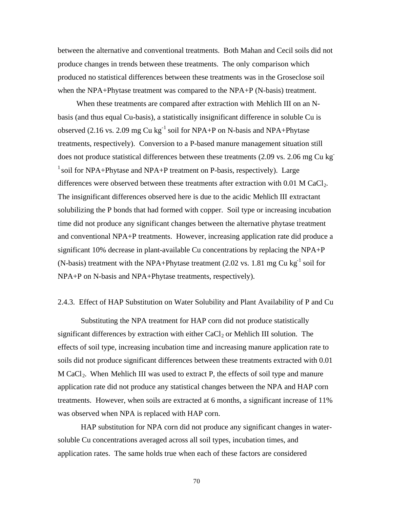between the alternative and conventional treatments. Both Mahan and Cecil soils did not produce changes in trends between these treatments. The only comparison which produced no statistical differences between these treatments was in the Groseclose soil when the NPA+Phytase treatment was compared to the NPA+P (N-basis) treatment.

 When these treatments are compared after extraction with Mehlich III on an Nbasis (and thus equal Cu-basis), a statistically insignificant difference in soluble Cu is observed (2.16 vs. 2.09 mg Cu kg<sup>-1</sup> soil for NPA+P on N-basis and NPA+Phytase treatments, respectively). Conversion to a P-based manure management situation still does not produce statistical differences between these treatments (2.09 vs. 2.06 mg Cu kg- $1$  soil for NPA+Phytase and NPA+P treatment on P-basis, respectively). Large differences were observed between these treatments after extraction with  $0.01$  M CaCl<sub>2</sub>. The insignificant differences observed here is due to the acidic Mehlich III extractant solubilizing the P bonds that had formed with copper. Soil type or increasing incubation time did not produce any significant changes between the alternative phytase treatment and conventional NPA+P treatments. However, increasing application rate did produce a significant 10% decrease in plant-available Cu concentrations by replacing the NPA+P (N-basis) treatment with the NPA+Phytase treatment  $(2.02 \text{ vs. } 1.81 \text{ mg Cu kg}^{-1} \text{ soil for }$ NPA+P on N-basis and NPA+Phytase treatments, respectively).

## 2.4.3. Effect of HAP Substitution on Water Solubility and Plant Availability of P and Cu

Substituting the NPA treatment for HAP corn did not produce statistically significant differences by extraction with either  $CaCl<sub>2</sub>$  or Mehlich III solution. The effects of soil type, increasing incubation time and increasing manure application rate to soils did not produce significant differences between these treatments extracted with 0.01 M CaCl<sub>2</sub>. When Mehlich III was used to extract P, the effects of soil type and manure application rate did not produce any statistical changes between the NPA and HAP corn treatments. However, when soils are extracted at 6 months, a significant increase of 11% was observed when NPA is replaced with HAP corn.

HAP substitution for NPA corn did not produce any significant changes in watersoluble Cu concentrations averaged across all soil types, incubation times, and application rates. The same holds true when each of these factors are considered

70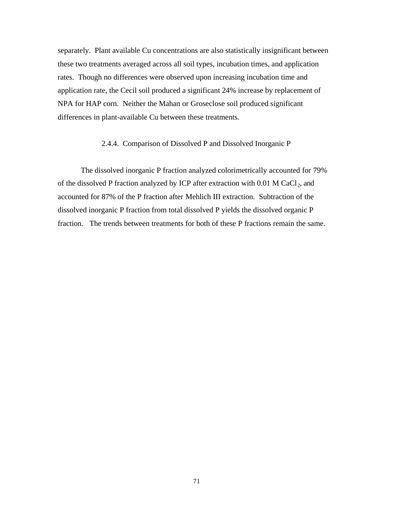separately. Plant available Cu concentrations are also statistically insignificant between these two treatments averaged across all soil types, incubation times, and application rates. Though no differences were observed upon increasing incubation time and application rate, the Cecil soil produced a significant 24% increase by replacement of NPA for HAP corn. Neither the Mahan or Groseclose soil produced significant differences in plant-available Cu between these treatments.

## 2.4.4. Comparison of Dissolved P and Dissolved Inorganic P

The dissolved inorganic P fraction analyzed colorimetrically accounted for 79% of the dissolved P fraction analyzed by ICP after extraction with  $0.01$  M CaCl<sub>2</sub>, and accounted for 87% of the P fraction after Mehlich III extraction. Subtraction of the dissolved inorganic P fraction from total dissolved P yields the dissolved organic P fraction. The trends between treatments for both of these P fractions remain the same.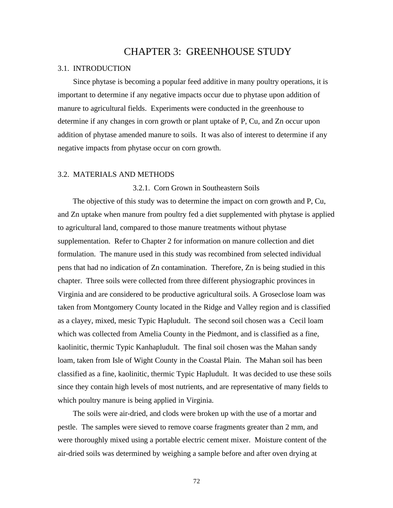# CHAPTER 3: GREENHOUSE STUDY

### 3.1. INTRODUCTION

Since phytase is becoming a popular feed additive in many poultry operations, it is important to determine if any negative impacts occur due to phytase upon addition of manure to agricultural fields. Experiments were conducted in the greenhouse to determine if any changes in corn growth or plant uptake of P, Cu, and Zn occur upon addition of phytase amended manure to soils. It was also of interest to determine if any negative impacts from phytase occur on corn growth.

## 3.2. MATERIALS AND METHODS

3.2.1. Corn Grown in Southeastern Soils

The objective of this study was to determine the impact on corn growth and P, Cu, and Zn uptake when manure from poultry fed a diet supplemented with phytase is applied to agricultural land, compared to those manure treatments without phytase supplementation. Refer to Chapter 2 for information on manure collection and diet formulation. The manure used in this study was recombined from selected individual pens that had no indication of Zn contamination. Therefore, Zn is being studied in this chapter. Three soils were collected from three different physiographic provinces in Virginia and are considered to be productive agricultural soils. A Groseclose loam was taken from Montgomery County located in the Ridge and Valley region and is classified as a clayey, mixed, mesic Typic Hapludult. The second soil chosen was a Cecil loam which was collected from Amelia County in the Piedmont, and is classified as a fine, kaolinitic, thermic Typic Kanhapludult. The final soil chosen was the Mahan sandy loam, taken from Isle of Wight County in the Coastal Plain. The Mahan soil has been classified as a fine, kaolinitic, thermic Typic Hapludult. It was decided to use these soils since they contain high levels of most nutrients, and are representative of many fields to which poultry manure is being applied in Virginia.

 The soils were air-dried, and clods were broken up with the use of a mortar and pestle. The samples were sieved to remove coarse fragments greater than 2 mm, and were thoroughly mixed using a portable electric cement mixer. Moisture content of the air-dried soils was determined by weighing a sample before and after oven drying at

72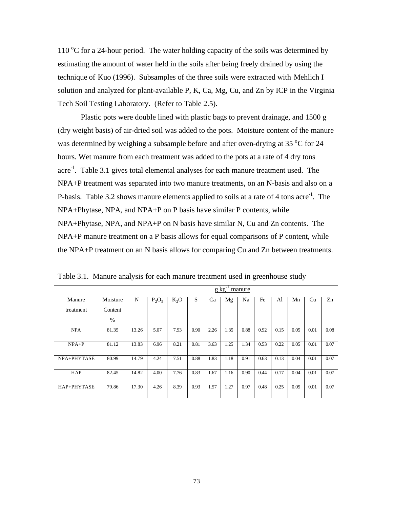110  $\rm{^{\circ}C}$  for a 24-hour period. The water holding capacity of the soils was determined by estimating the amount of water held in the soils after being freely drained by using the technique of Kuo (1996). Subsamples of the three soils were extracted with Mehlich I solution and analyzed for plant-available P, K, Ca, Mg, Cu, and Zn by ICP in the Virginia Tech Soil Testing Laboratory. (Refer to Table 2.5).

Plastic pots were double lined with plastic bags to prevent drainage, and 1500 g (dry weight basis) of air-dried soil was added to the pots. Moisture content of the manure was determined by weighing a subsample before and after oven-drying at 35  $\degree$ C for 24 hours. Wet manure from each treatment was added to the pots at a rate of 4 dry tons acre<sup>-1</sup>. Table 3.1 gives total elemental analyses for each manure treatment used. The NPA+P treatment was separated into two manure treatments, on an N-basis and also on a P-basis. Table 3.2 shows manure elements applied to soils at a rate of 4 tons acre<sup>-1</sup>. The NPA+Phytase, NPA, and NPA+P on P basis have similar P contents, while NPA+Phytase, NPA, and NPA+P on N basis have similar N, Cu and Zn contents. The NPA+P manure treatment on a P basis allows for equal comparisons of P content, while the NPA+P treatment on an N basis allows for comparing Cu and Zn between treatments.

|             |          | $g \text{ kg}$<br>manure |          |        |      |      |      |      |      |      |      |      |      |
|-------------|----------|--------------------------|----------|--------|------|------|------|------|------|------|------|------|------|
| Manure      | Moisture | N                        | $P_2O_5$ | $K_2O$ | S    | Ca   | Mg   | Na   | Fe   | Al   | Mn   | Cu   | Zn   |
| treatment   | Content  |                          |          |        |      |      |      |      |      |      |      |      |      |
|             | $\%$     |                          |          |        |      |      |      |      |      |      |      |      |      |
| <b>NPA</b>  | 81.35    | 13.26                    | 5.07     | 7.93   | 0.90 | 2.26 | 1.35 | 0.88 | 0.92 | 0.15 | 0.05 | 0.01 | 0.08 |
| $NPA+P$     | 81.12    | 13.83                    | 6.96     | 8.21   | 0.81 | 3.63 | 1.25 | 1.34 | 0.53 | 0.22 | 0.05 | 0.01 | 0.07 |
| NPA+PHYTASE | 80.99    | 14.79                    | 4.24     | 7.51   | 0.88 | 1.83 | 1.18 | 0.91 | 0.63 | 0.13 | 0.04 | 0.01 | 0.07 |
| <b>HAP</b>  | 82.45    | 14.82                    | 4.00     | 7.76   | 0.83 | 1.67 | 1.16 | 0.90 | 0.44 | 0.17 | 0.04 | 0.01 | 0.07 |
| HAP+PHYTASE | 79.86    | 17.30                    | 4.26     | 8.39   | 0.93 | 1.57 | 1.27 | 0.97 | 0.48 | 0.25 | 0.05 | 0.01 | 0.07 |

Table 3.1. Manure analysis for each manure treatment used in greenhouse study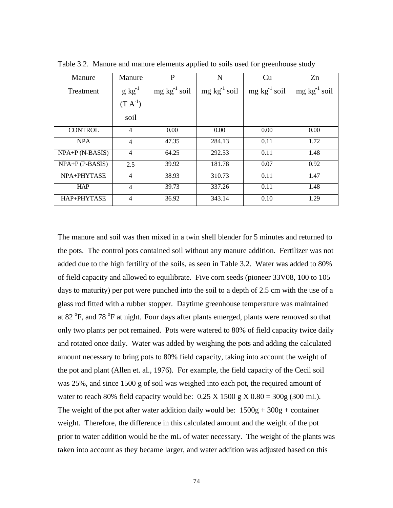| Manure            | Manure       | P                       | N                         | Cu                      | Zn                      |
|-------------------|--------------|-------------------------|---------------------------|-------------------------|-------------------------|
| Treatment         | $g kg^{-1}$  | $mg \, kg^{-1} \, soil$ | $mg \text{ kg}^{-1}$ soil | $mg \, kg^{-1} \, soil$ | $mg \, kg^{-1} \, soil$ |
|                   | $(T A^{-1})$ |                         |                           |                         |                         |
|                   | soil         |                         |                           |                         |                         |
| <b>CONTROL</b>    | 4            | 0.00                    | 0.00                      | 0.00                    | 0.00                    |
| <b>NPA</b>        | 4            | 47.35                   | 284.13                    | 0.11                    | 1.72                    |
| $NPA+P(N-BASIS)$  | 4            | 64.25                   | 292.53                    | 0.11                    | 1.48                    |
| $NPA+P$ (P-BASIS) | 2.5          | 39.92                   | 181.78                    | 0.07                    | 0.92                    |
| NPA+PHYTASE       | 4            | 38.93                   | 310.73                    | 0.11                    | 1.47                    |
| <b>HAP</b>        | 4            | 39.73                   | 337.26                    | 0.11                    | 1.48                    |
| HAP+PHYTASE       | 4            | 36.92                   | 343.14                    | 0.10                    | 1.29                    |

Table 3.2. Manure and manure elements applied to soils used for greenhouse study

The manure and soil was then mixed in a twin shell blender for 5 minutes and returned to the pots. The control pots contained soil without any manure addition. Fertilizer was not added due to the high fertility of the soils, as seen in Table 3.2. Water was added to 80% of field capacity and allowed to equilibrate. Five corn seeds (pioneer 33V08, 100 to 105 days to maturity) per pot were punched into the soil to a depth of 2.5 cm with the use of a glass rod fitted with a rubber stopper. Daytime greenhouse temperature was maintained at 82 <sup>o</sup>F, and 78 <sup>o</sup>F at night. Four days after plants emerged, plants were removed so that only two plants per pot remained. Pots were watered to 80% of field capacity twice daily and rotated once daily. Water was added by weighing the pots and adding the calculated amount necessary to bring pots to 80% field capacity, taking into account the weight of the pot and plant (Allen et. al., 1976). For example, the field capacity of the Cecil soil was 25%, and since 1500 g of soil was weighed into each pot, the required amount of water to reach 80% field capacity would be:  $0.25 \text{ X} 1500 \text{ g} X 0.80 = 300 \text{ g} (300 \text{ mL})$ . The weight of the pot after water addition daily would be:  $1500g + 300g + \text{container}$ weight. Therefore, the difference in this calculated amount and the weight of the pot prior to water addition would be the mL of water necessary. The weight of the plants was taken into account as they became larger, and water addition was adjusted based on this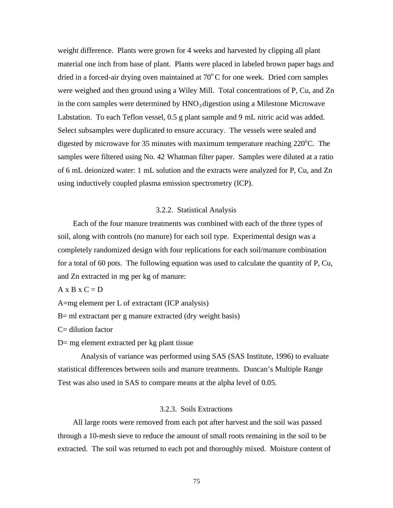weight difference. Plants were grown for 4 weeks and harvested by clipping all plant material one inch from base of plant. Plants were placed in labeled brown paper bags and dried in a forced-air drying oven maintained at  $70^{\circ}$ C for one week. Dried corn samples were weighed and then ground using a Wiley Mill. Total concentrations of P, Cu, and Zn in the corn samples were determined by  $HNO<sub>3</sub>$  digestion using a Milestone Microwave Labstation. To each Teflon vessel, 0.5 g plant sample and 9 mL nitric acid was added. Select subsamples were duplicated to ensure accuracy. The vessels were sealed and digested by microwave for 35 minutes with maximum temperature reaching  $220^{\circ}$ C. The samples were filtered using No. 42 Whatman filter paper. Samples were diluted at a ratio of 6 mL deionized water: 1 mL solution and the extracts were analyzed for P, Cu, and Zn using inductively coupled plasma emission spectrometry (ICP).

## 3.2.2. Statistical Analysis

 Each of the four manure treatments was combined with each of the three types of soil, along with controls (no manure) for each soil type. Experimental design was a completely randomized design with four replications for each soil/manure combination for a total of 60 pots. The following equation was used to calculate the quantity of P, Cu, and Zn extracted in mg per kg of manure:

 $A \times B \times C = D$ 

A=mg element per L of extractant (ICP analysis)

B= ml extractant per g manure extracted (dry weight basis)

 $C=$  dilution factor

D= mg element extracted per kg plant tissue

Analysis of variance was performed using SAS (SAS Institute, 1996) to evaluate statistical differences between soils and manure treatments. Duncan's Multiple Range Test was also used in SAS to compare means at the alpha level of 0.05.

## 3.2.3. Soils Extractions

 All large roots were removed from each pot after harvest and the soil was passed through a 10-mesh sieve to reduce the amount of small roots remaining in the soil to be extracted. The soil was returned to each pot and thoroughly mixed. Moisture content of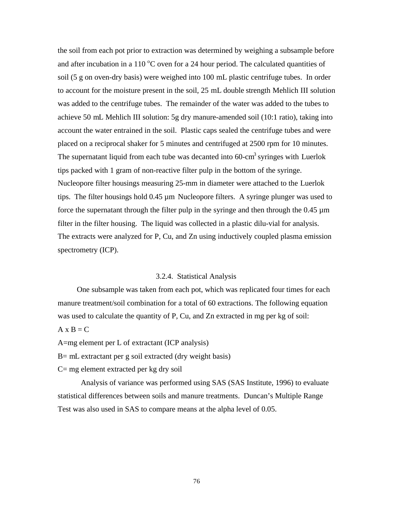the soil from each pot prior to extraction was determined by weighing a subsample before and after incubation in a 110  $^{\circ}$ C oven for a 24 hour period. The calculated quantities of soil (5 g on oven-dry basis) were weighed into 100 mL plastic centrifuge tubes. In order to account for the moisture present in the soil, 25 mL double strength Mehlich III solution was added to the centrifuge tubes. The remainder of the water was added to the tubes to achieve 50 mL Mehlich III solution: 5g dry manure-amended soil (10:1 ratio), taking into account the water entrained in the soil. Plastic caps sealed the centrifuge tubes and were placed on a reciprocal shaker for 5 minutes and centrifuged at 2500 rpm for 10 minutes. The supernatant liquid from each tube was decanted into  $60$ -cm<sup>3</sup> syringes with Luerlok tips packed with 1 gram of non-reactive filter pulp in the bottom of the syringe. Nucleopore filter housings measuring 25-mm in diameter were attached to the Luerlok tips. The filter housings hold 0.45 µm Nucleopore filters. A syringe plunger was used to force the supernatant through the filter pulp in the syringe and then through the  $0.45 \mu m$ filter in the filter housing. The liquid was collected in a plastic dilu-vial for analysis. The extracts were analyzed for P, Cu, and Zn using inductively coupled plasma emission spectrometry (ICP).

## 3.2.4. Statistical Analysis

 One subsample was taken from each pot, which was replicated four times for each manure treatment/soil combination for a total of 60 extractions. The following equation was used to calculate the quantity of P, Cu, and Zn extracted in mg per kg of soil:

## $A \times B = C$

A=mg element per L of extractant (ICP analysis)

B= mL extractant per g soil extracted (dry weight basis)

 $C=$  mg element extracted per kg dry soil

Analysis of variance was performed using SAS (SAS Institute, 1996) to evaluate statistical differences between soils and manure treatments. Duncan's Multiple Range Test was also used in SAS to compare means at the alpha level of 0.05.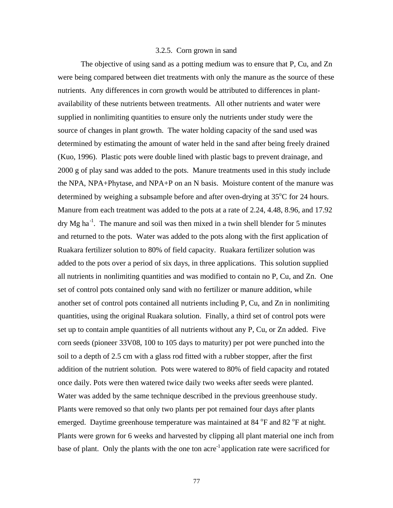### 3.2.5. Corn grown in sand

The objective of using sand as a potting medium was to ensure that P, Cu, and Zn were being compared between diet treatments with only the manure as the source of these nutrients. Any differences in corn growth would be attributed to differences in plantavailability of these nutrients between treatments. All other nutrients and water were supplied in nonlimiting quantities to ensure only the nutrients under study were the source of changes in plant growth. The water holding capacity of the sand used was determined by estimating the amount of water held in the sand after being freely drained (Kuo, 1996). Plastic pots were double lined with plastic bags to prevent drainage, and 2000 g of play sand was added to the pots. Manure treatments used in this study include the NPA, NPA+Phytase, and NPA+P on an N basis. Moisture content of the manure was determined by weighing a subsample before and after oven-drying at  $35^{\circ}$ C for 24 hours. Manure from each treatment was added to the pots at a rate of 2.24, 4.48, 8.96, and 17.92  $\text{dry Mg ha}^{-1}$ . The manure and soil was then mixed in a twin shell blender for 5 minutes and returned to the pots. Water was added to the pots along with the first application of Ruakara fertilizer solution to 80% of field capacity. Ruakara fertilizer solution was added to the pots over a period of six days, in three applications. This solution supplied all nutrients in nonlimiting quantities and was modified to contain no P, Cu, and Zn. One set of control pots contained only sand with no fertilizer or manure addition, while another set of control pots contained all nutrients including P, Cu, and Zn in nonlimiting quantities, using the original Ruakara solution. Finally, a third set of control pots were set up to contain ample quantities of all nutrients without any P, Cu, or Zn added. Five corn seeds (pioneer 33V08, 100 to 105 days to maturity) per pot were punched into the soil to a depth of 2.5 cm with a glass rod fitted with a rubber stopper, after the first addition of the nutrient solution. Pots were watered to 80% of field capacity and rotated once daily. Pots were then watered twice daily two weeks after seeds were planted. Water was added by the same technique described in the previous greenhouse study. Plants were removed so that only two plants per pot remained four days after plants emerged. Daytime greenhouse temperature was maintained at 84 °F and 82 °F at night. Plants were grown for 6 weeks and harvested by clipping all plant material one inch from base of plant. Only the plants with the one ton acre<sup>-1</sup> application rate were sacrificed for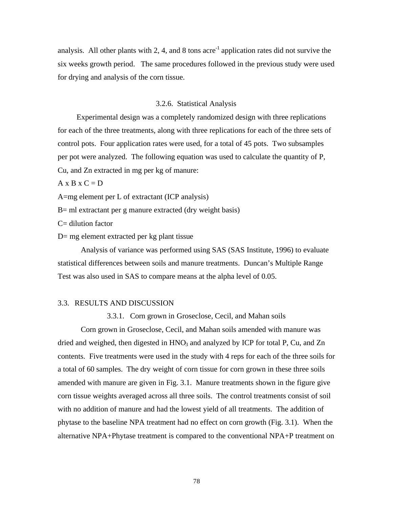analysis. All other plants with 2, 4, and 8 tons acre<sup>-1</sup> application rates did not survive the six weeks growth period. The same procedures followed in the previous study were used for drying and analysis of the corn tissue.

## 3.2.6. Statistical Analysis

 Experimental design was a completely randomized design with three replications for each of the three treatments, along with three replications for each of the three sets of control pots. Four application rates were used, for a total of 45 pots. Two subsamples per pot were analyzed. The following equation was used to calculate the quantity of P, Cu, and Zn extracted in mg per kg of manure:

 $A \times B \times C = D$ 

A=mg element per L of extractant (ICP analysis)

B= ml extractant per g manure extracted (dry weight basis)

C= dilution factor

D= mg element extracted per kg plant tissue

Analysis of variance was performed using SAS (SAS Institute, 1996) to evaluate statistical differences between soils and manure treatments. Duncan's Multiple Range Test was also used in SAS to compare means at the alpha level of 0.05.

## 3.3. RESULTS AND DISCUSSION

3.3.1. Corn grown in Groseclose, Cecil, and Mahan soils

Corn grown in Groseclose, Cecil, and Mahan soils amended with manure was dried and weighed, then digested in  $HNO<sub>3</sub>$  and analyzed by ICP for total P, Cu, and Zn contents. Five treatments were used in the study with 4 reps for each of the three soils for a total of 60 samples. The dry weight of corn tissue for corn grown in these three soils amended with manure are given in Fig. 3.1. Manure treatments shown in the figure give corn tissue weights averaged across all three soils. The control treatments consist of soil with no addition of manure and had the lowest yield of all treatments. The addition of phytase to the baseline NPA treatment had no effect on corn growth (Fig. 3.1). When the alternative NPA+Phytase treatment is compared to the conventional NPA+P treatment on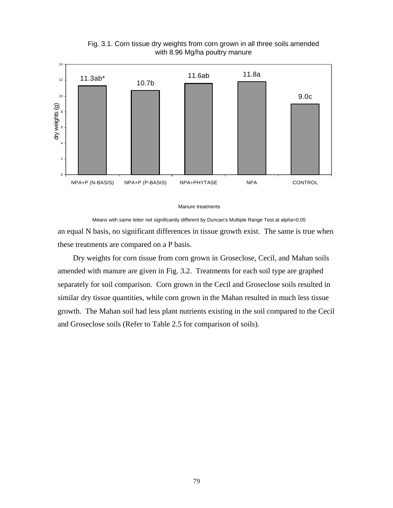

Fig. 3.1. Corn tissue dry weights from corn grown in all three soils amended with 8.96 Mg/ha poultry manure

#### Manure treatments

an equal N basis, no significant differences in tissue growth exist. The same is true when these treatments are compared on a P basis. Means with same letter not significantly different by Duncan's Multiple Range Test at alpha=0.05

 Dry weights for corn tissue from corn grown in Groseclose, Cecil, and Mahan soils amended with manure are given in Fig. 3.2. Treatments for each soil type are graphed separately for soil comparison. Corn grown in the Cecil and Groseclose soils resulted in similar dry tissue quantities, while corn grown in the Mahan resulted in much less tissue growth. The Mahan soil had less plant nutrients existing in the soil compared to the Cecil and Groseclose soils (Refer to Table 2.5 for comparison of soils).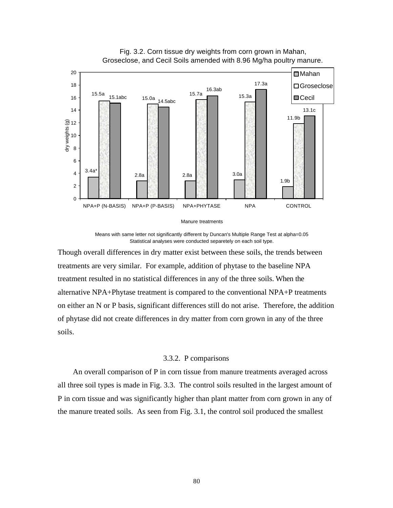

Fig. 3.2. Corn tissue dry weights from corn grown in Mahan, Groseclose, and Cecil Soils amended with 8.96 Mg/ha poultry manure.

Manure treatments

Means with same letter not significantly different by Duncan's Multiple Range Test at alpha=0.05 Statistical analyses were conducted separetely on each soil type.

Though overall differences in dry matter exist between these soils, the trends between treatments are very similar. For example, addition of phytase to the baseline NPA treatment resulted in no statistical differences in any of the three soils. When the alternative NPA+Phytase treatment is compared to the conventional NPA+P treatments on either an N or P basis, significant differences still do not arise. Therefore, the addition of phytase did not create differences in dry matter from corn grown in any of the three soils.

## 3.3.2. P comparisons

 An overall comparison of P in corn tissue from manure treatments averaged across all three soil types is made in Fig. 3.3. The control soils resulted in the largest amount of P in corn tissue and was significantly higher than plant matter from corn grown in any of the manure treated soils. As seen from Fig. 3.1, the control soil produced the smallest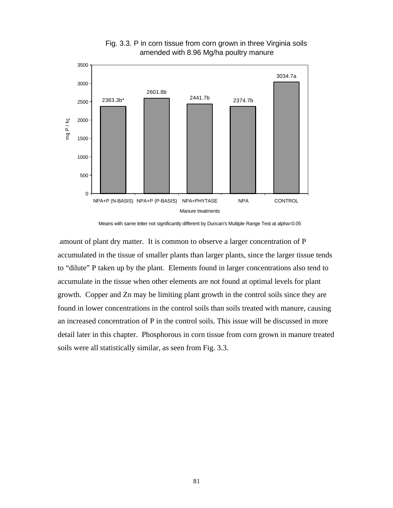

Fig. 3.3. P in corn tissue from corn grown in three Virginia soils amended with 8.96 Mg/ha poultry manure

Means with same letter not significantly different by Duncan's Multiple Range Test at alpha=0.05

amount of plant dry matter. It is common to observe a larger concentration of P accumulated in the tissue of smaller plants than larger plants, since the larger tissue tends to "dilute" P taken up by the plant. Elements found in larger concentrations also tend to accumulate in the tissue when other elements are not found at optimal levels for plant growth. Copper and Zn may be limiting plant growth in the control soils since they are found in lower concentrations in the control soils than soils treated with manure, causing an increased concentration of P in the control soils. This issue will be discussed in more detail later in this chapter. Phosphorous in corn tissue from corn grown in manure treated soils were all statistically similar, as seen from Fig. 3.3.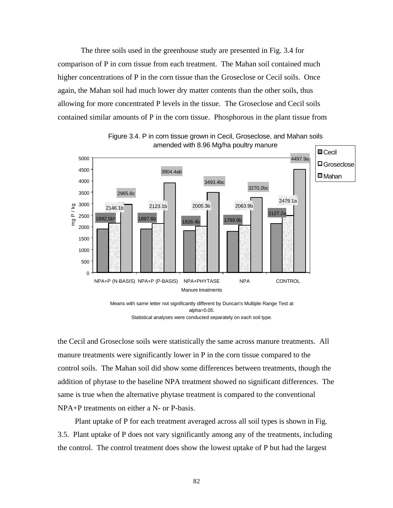The three soils used in the greenhouse study are presented in Fig. 3.4 for comparison of P in corn tissue from each treatment. The Mahan soil contained much higher concentrations of P in the corn tissue than the Groseclose or Cecil soils. Once again, the Mahan soil had much lower dry matter contents than the other soils, thus allowing for more concentrated P levels in the tissue. The Groseclose and Cecil soils contained similar amounts of P in the corn tissue. Phosphorous in the plant tissue from



Figure 3.4. P in corn tissue grown in Cecil, Groseclose, and Mahan soils amended with 8.96 Mg/ha poultry manure



the Cecil and Groseclose soils were statistically the same across manure treatments. All manure treatments were significantly lower in P in the corn tissue compared to the control soils. The Mahan soil did show some differences between treatments, though the addition of phytase to the baseline NPA treatment showed no significant differences. The same is true when the alternative phytase treatment is compared to the conventional NPA+P treatments on either a N- or P-basis.

 Plant uptake of P for each treatment averaged across all soil types is shown in Fig. 3.5. Plant uptake of P does not vary significantly among any of the treatments, including the control. The control treatment does show the lowest uptake of P but had the largest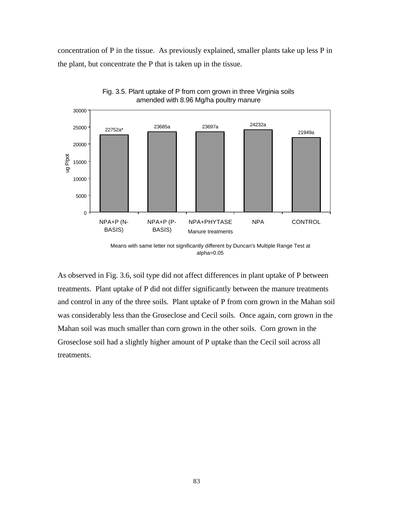concentration of P in the tissue. As previously explained, smaller plants take up less P in the plant, but concentrate the P that is taken up in the tissue.





As observed in Fig. 3.6, soil type did not affect differences in plant uptake of P between treatments. Plant uptake of P did not differ significantly between the manure treatments and control in any of the three soils. Plant uptake of P from corn grown in the Mahan soil was considerably less than the Groseclose and Cecil soils. Once again, corn grown in the Mahan soil was much smaller than corn grown in the other soils. Corn grown in the Groseclose soil had a slightly higher amount of P uptake than the Cecil soil across all treatments.

Means with same letter not significantly different by Duncan's Multiple Range Test at alpha=0.05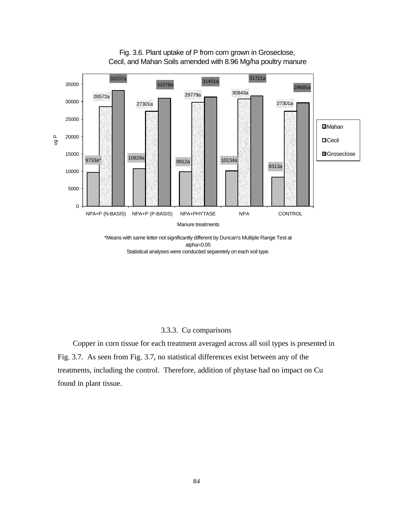

Fig. 3.6. Plant uptake of P from corn grown in Groseclose, Cecil, and Mahan Soils amended with 8.96 Mg/ha poultry manure

alpha=0.05 Statistical analyses were conducted separetely on each soil type.

## 3.3.3. Cu comparisons

 Copper in corn tissue for each treatment averaged across all soil types is presented in Fig. 3.7. As seen from Fig. 3.7, no statistical differences exist between any of the treatments, including the control. Therefore, addition of phytase had no impact on Cu found in plant tissue.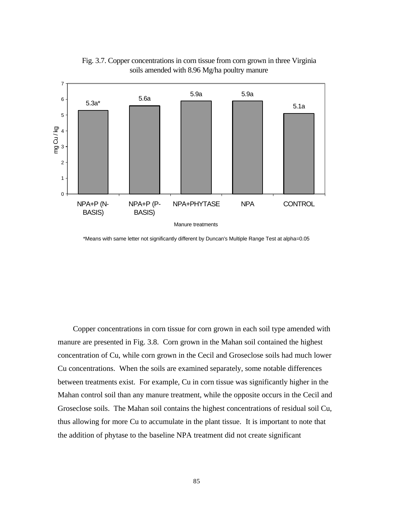

Fig. 3.7. Copper concentrations in corn tissue from corn grown in three Virginia soils amended with 8.96 Mg/ha poultry manure

\*Means with same letter not significantly different by Duncan's Multiple Range Test at alpha=0.05

 Copper concentrations in corn tissue for corn grown in each soil type amended with manure are presented in Fig. 3.8. Corn grown in the Mahan soil contained the highest concentration of Cu, while corn grown in the Cecil and Groseclose soils had much lower Cu concentrations. When the soils are examined separately, some notable differences between treatments exist. For example, Cu in corn tissue was significantly higher in the Mahan control soil than any manure treatment, while the opposite occurs in the Cecil and Groseclose soils. The Mahan soil contains the highest concentrations of residual soil Cu, thus allowing for more Cu to accumulate in the plant tissue. It is important to note that the addition of phytase to the baseline NPA treatment did not create significant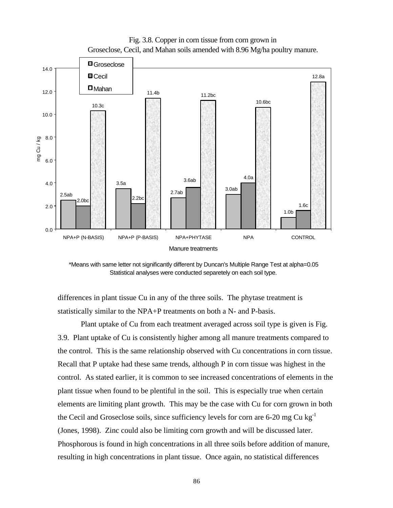



\*Means with same letter not significantly different by Duncan's Multiple Range Test at alpha=0.05 Statistical analyses were conducted separetely on each soil type.

differences in plant tissue Cu in any of the three soils. The phytase treatment is statistically similar to the NPA+P treatments on both a N- and P-basis.

Plant uptake of Cu from each treatment averaged across soil type is given is Fig. 3.9. Plant uptake of Cu is consistently higher among all manure treatments compared to the control. This is the same relationship observed with Cu concentrations in corn tissue. Recall that P uptake had these same trends, although P in corn tissue was highest in the control. As stated earlier, it is common to see increased concentrations of elements in the plant tissue when found to be plentiful in the soil. This is especially true when certain elements are limiting plant growth. This may be the case with Cu for corn grown in both the Cecil and Groseclose soils, since sufficiency levels for corn are  $6\n-20$  mg Cu kg<sup>-1</sup> (Jones, 1998). Zinc could also be limiting corn growth and will be discussed later. Phosphorous is found in high concentrations in all three soils before addition of manure, resulting in high concentrations in plant tissue. Once again, no statistical differences

86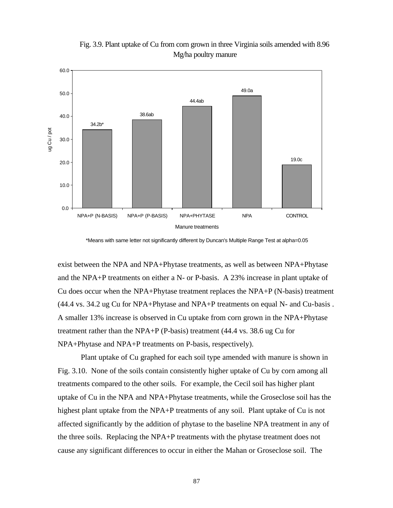

Fig. 3.9. Plant uptake of Cu from corn grown in three Virginia soils amended with 8.96 Mg/ha poultry manure

\*Means with same letter not significantly different by Duncan's Multiple Range Test at alpha=0.05

exist between the NPA and NPA+Phytase treatments, as well as between NPA+Phytase and the NPA+P treatments on either a N- or P-basis. A 23% increase in plant uptake of Cu does occur when the NPA+Phytase treatment replaces the NPA+P (N-basis) treatment (44.4 vs. 34.2 ug Cu for NPA+Phytase and NPA+P treatments on equal N- and Cu-basis . A smaller 13% increase is observed in Cu uptake from corn grown in the NPA+Phytase treatment rather than the NPA+P (P-basis) treatment (44.4 vs. 38.6 ug Cu for NPA+Phytase and NPA+P treatments on P-basis, respectively).

Plant uptake of Cu graphed for each soil type amended with manure is shown in Fig. 3.10. None of the soils contain consistently higher uptake of Cu by corn among all treatments compared to the other soils. For example, the Cecil soil has higher plant uptake of Cu in the NPA and NPA+Phytase treatments, while the Groseclose soil has the highest plant uptake from the NPA+P treatments of any soil. Plant uptake of Cu is not affected significantly by the addition of phytase to the baseline NPA treatment in any of the three soils. Replacing the NPA+P treatments with the phytase treatment does not cause any significant differences to occur in either the Mahan or Groseclose soil. The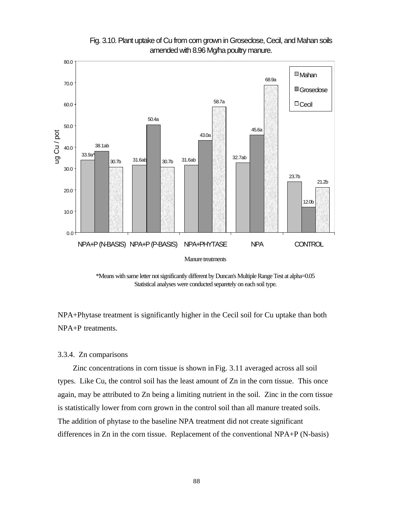

Fig. 3.10. Plant uptake of Cu from corn grown in Groseclose, Cecil, and Mahan soils amended with 8.96 Mg/ha poultry manure.

\*Means with same letter not significantly different by Duncan's Multiple Range Test at alpha=0.05 Statistical analyses were conducted separetely on each soil type.

NPA+Phytase treatment is significantly higher in the Cecil soil for Cu uptake than both NPA+P treatments.

## 3.3.4. Zn comparisons

 Zinc concentrations in corn tissue is shown in Fig. 3.11 averaged across all soil types. Like Cu, the control soil has the least amount of Zn in the corn tissue. This once again, may be attributed to Zn being a limiting nutrient in the soil. Zinc in the corn tissue is statistically lower from corn grown in the control soil than all manure treated soils. The addition of phytase to the baseline NPA treatment did not create significant differences in Zn in the corn tissue. Replacement of the conventional NPA+P (N-basis)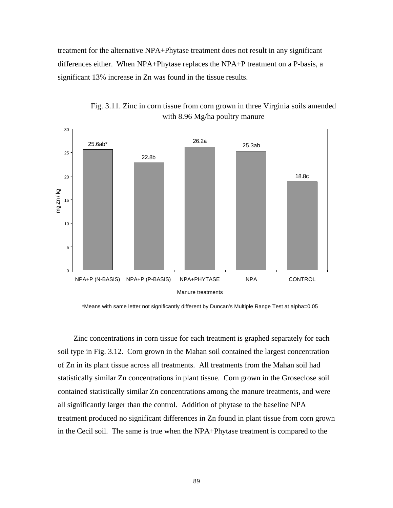treatment for the alternative NPA+Phytase treatment does not result in any significant differences either. When NPA+Phytase replaces the NPA+P treatment on a P-basis, a significant 13% increase in Zn was found in the tissue results.



Fig. 3.11. Zinc in corn tissue from corn grown in three Virginia soils amended with 8.96 Mg/ha poultry manure

\*Means with same letter not significantly different by Duncan's Multiple Range Test at alpha=0.05

 Zinc concentrations in corn tissue for each treatment is graphed separately for each soil type in Fig. 3.12. Corn grown in the Mahan soil contained the largest concentration of Zn in its plant tissue across all treatments. All treatments from the Mahan soil had statistically similar Zn concentrations in plant tissue. Corn grown in the Groseclose soil contained statistically similar Zn concentrations among the manure treatments, and were all significantly larger than the control. Addition of phytase to the baseline NPA treatment produced no significant differences in Zn found in plant tissue from corn grown in the Cecil soil. The same is true when the NPA+Phytase treatment is compared to the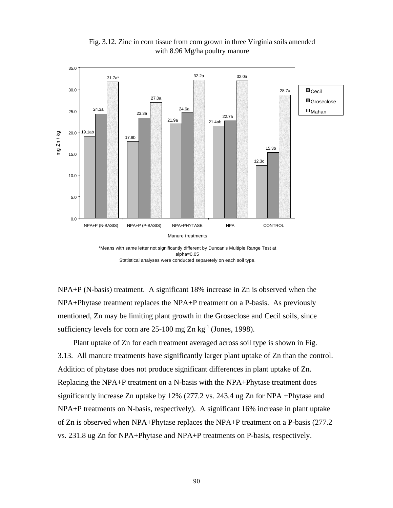

Fig. 3.12. Zinc in corn tissue from corn grown in three Virginia soils amended with 8.96 Mg/ha poultry manure

\*Means with same letter not significantly different by Duncan's Multiple Range Test at alpha=0.05 Statistical analyses were conducted separetely on each soil type.

NPA+P (N-basis) treatment. A significant 18% increase in Zn is observed when the NPA+Phytase treatment replaces the NPA+P treatment on a P-basis. As previously mentioned, Zn may be limiting plant growth in the Groseclose and Cecil soils, since sufficiency levels for corn are  $25-100$  mg Zn kg<sup>-1</sup> (Jones, 1998).

 Plant uptake of Zn for each treatment averaged across soil type is shown in Fig. 3.13. All manure treatments have significantly larger plant uptake of Zn than the control. Addition of phytase does not produce significant differences in plant uptake of Zn. Replacing the NPA+P treatment on a N-basis with the NPA+Phytase treatment does significantly increase Zn uptake by 12% (277.2 vs. 243.4 ug Zn for NPA +Phytase and NPA+P treatments on N-basis, respectively). A significant 16% increase in plant uptake of Zn is observed when NPA+Phytase replaces the NPA+P treatment on a P-basis (277.2 vs. 231.8 ug Zn for NPA+Phytase and NPA+P treatments on P-basis, respectively.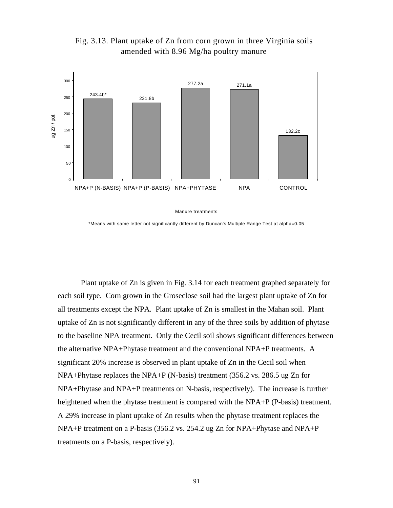

Fig. 3.13. Plant uptake of Zn from corn grown in three Virginia soils amended with 8.96 Mg/ha poultry manure

Manure treatments

\*Means with same letter not significantly different by Duncan's Multiple Range Test at alpha=0.05

Plant uptake of Zn is given in Fig. 3.14 for each treatment graphed separately for each soil type. Corn grown in the Groseclose soil had the largest plant uptake of Zn for all treatments except the NPA. Plant uptake of Zn is smallest in the Mahan soil. Plant uptake of Zn is not significantly different in any of the three soils by addition of phytase to the baseline NPA treatment. Only the Cecil soil shows significant differences between the alternative NPA+Phytase treatment and the conventional NPA+P treatments. A significant 20% increase is observed in plant uptake of Zn in the Cecil soil when NPA+Phytase replaces the NPA+P (N-basis) treatment (356.2 vs. 286.5 ug Zn for NPA+Phytase and NPA+P treatments on N-basis, respectively). The increase is further heightened when the phytase treatment is compared with the NPA+P (P-basis) treatment. A 29% increase in plant uptake of Zn results when the phytase treatment replaces the NPA+P treatment on a P-basis (356.2 vs. 254.2 ug Zn for NPA+Phytase and NPA+P treatments on a P-basis, respectively).

91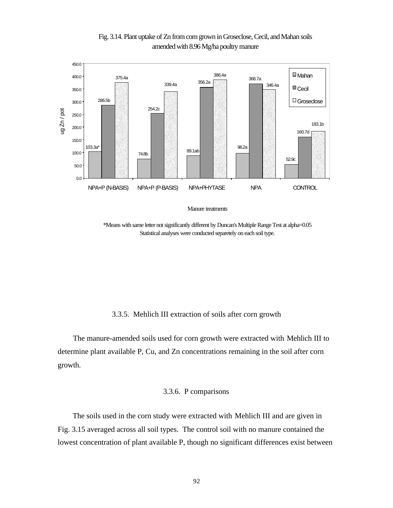

Fig. 3.14. Plant uptake of Zn from corn grown in Groseclose, Cecil, and Mahan soils amended with 8.96 Mg/ha poultry manure

Manure treatments

\*Means with same letter not significantly different by Duncan's Multiple Range Test at alpha=0.05 Statistical analyses were conducted separetely on each soil type.

## 3.3.5. Mehlich III extraction of soils after corn growth

 The manure-amended soils used for corn growth were extracted with Mehlich III to determine plant available P, Cu, and Zn concentrations remaining in the soil after corn growth.

## 3.3.6. P comparisons

 The soils used in the corn study were extracted with Mehlich III and are given in Fig. 3.15 averaged across all soil types. The control soil with no manure contained the lowest concentration of plant available P, though no significant differences exist between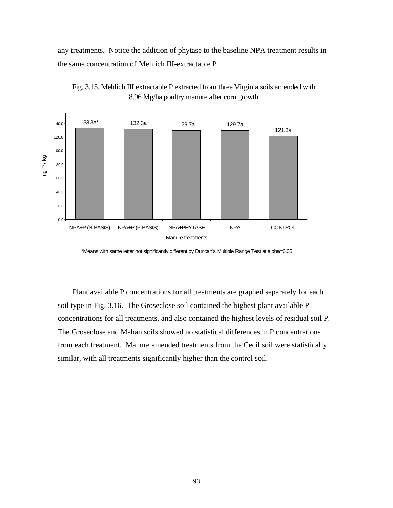any treatments. Notice the addition of phytase to the baseline NPA treatment results in the same concentration of Mehlich III-extractable P.





 Plant available P concentrations for all treatments are graphed separately for each soil type in Fig. 3.16. The Groseclose soil contained the highest plant available P concentrations for all treatments, and also contained the highest levels of residual soil P. The Groseclose and Mahan soils showed no statistical differences in P concentrations from each treatment. Manure amended treatments from the Cecil soil were statistically similar, with all treatments significantly higher than the control soil.

<sup>\*</sup>Means with same letter not significantly different by Duncan's Multiple Range Test at alpha=0.05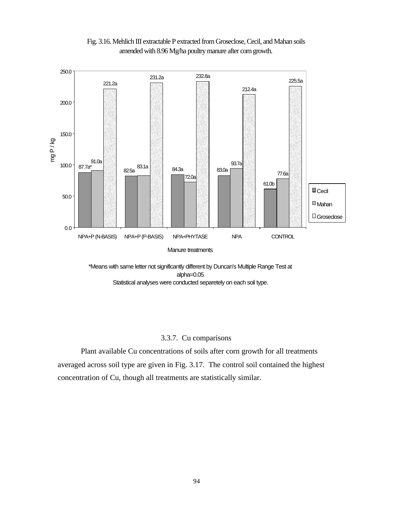



\*Means with same letter not significantly different by Duncan's Multiple Range Test at alpha=0.05 Statistical analyses were conducted separetely on each soil type.

# 3.3.7. Cu comparisons

Plant available Cu concentrations of soils after corn growth for all treatments averaged across soil type are given in Fig. 3.17. The control soil contained the highest concentration of Cu, though all treatments are statistically similar.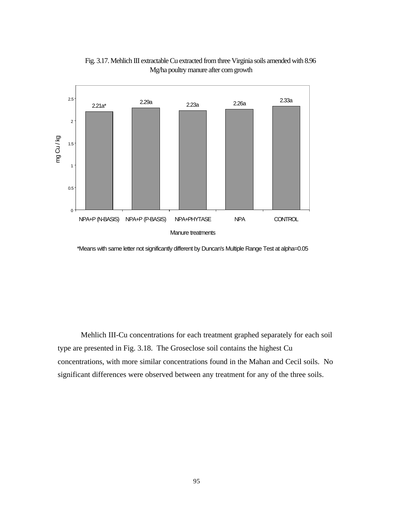

Fig. 3.17. Mehlich III extractable Cu extracted from three Virginia soils amended with 8.96 Mg/ha poultry manure after corn growth

\*Means with same letter not significantly different by Duncan's Multiple Range Test at alpha=0.05

Mehlich III-Cu concentrations for each treatment graphed separately for each soil type are presented in Fig. 3.18. The Groseclose soil contains the highest Cu concentrations, with more similar concentrations found in the Mahan and Cecil soils. No significant differences were observed between any treatment for any of the three soils.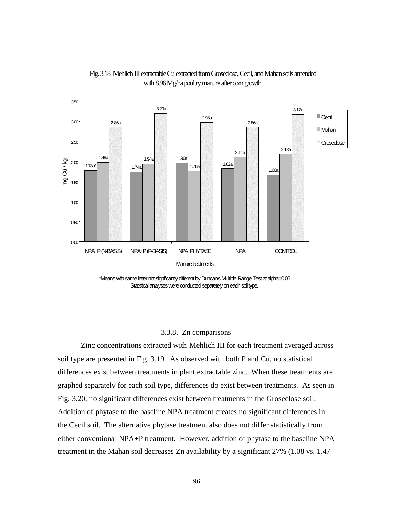

Fig. 3.18. Mehlich III extractable Cu extracted from Groseclose, Cecil, and Mahan soils amended with 8.96 Mg/ha poultry manure after corn growth.

\*Means with same letter not significantly different by Duncan's Multiple Range Test at alpha=0.05 Statistical analyses were conducted separetely on each soil type.

## 3.3.8. Zn comparisons

Zinc concentrations extracted with Mehlich III for each treatment averaged across soil type are presented in Fig. 3.19. As observed with both P and Cu, no statistical differences exist between treatments in plant extractable zinc. When these treatments are graphed separately for each soil type, differences do exist between treatments. As seen in Fig. 3.20, no significant differences exist between treatments in the Groseclose soil. Addition of phytase to the baseline NPA treatment creates no significant differences in the Cecil soil. The alternative phytase treatment also does not differ statistically from either conventional NPA+P treatment. However, addition of phytase to the baseline NPA treatment in the Mahan soil decreases Zn availability by a significant 27% (1.08 vs. 1.47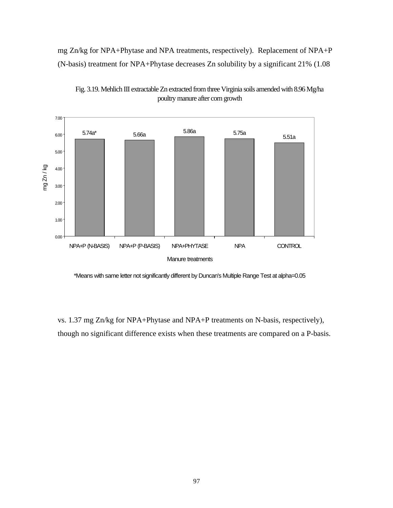mg Zn/kg for NPA+Phytase and NPA treatments, respectively). Replacement of NPA+P (N-basis) treatment for NPA+Phytase decreases Zn solubility by a significant 21% (1.08





\*Means with same letter not significantly different by Duncan's Multiple Range Test at alpha=0.05

vs. 1.37 mg Zn/kg for NPA+Phytase and NPA+P treatments on N-basis, respectively), though no significant difference exists when these treatments are compared on a P-basis.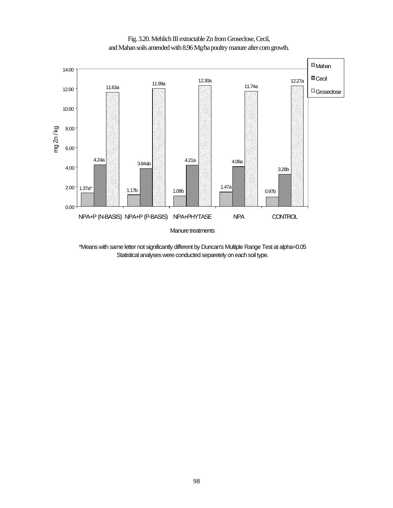



\*Means with same letter not significantly different by Duncan's Multiple Range Test at alpha=0.05 Statistical analyses were conducted separetely on each soil type.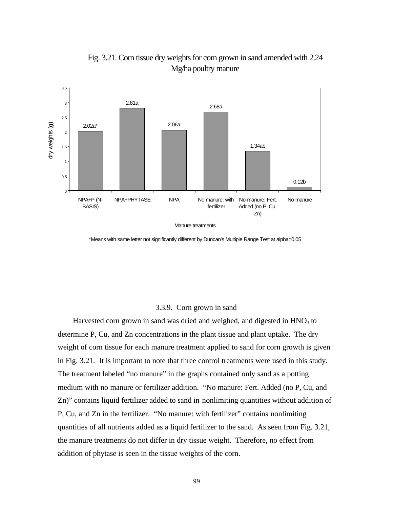

Fig. 3.21. Corn tissue dry weights for corn grown in sand amended with 2.24 Mg/ha poultry manure

Manure treatments

\*Means with same letter not significantly different by Duncan's Multiple Range Test at alpha=0.05

### 3.3.9. Corn grown in sand

Harvested corn grown in sand was dried and weighed, and digested in  $HNO<sub>3</sub>$  to determine P, Cu, and Zn concentrations in the plant tissue and plant uptake. The dry weight of corn tissue for each manure treatment applied to sand for corn growth is given in Fig. 3.21. It is important to note that three control treatments were used in this study. The treatment labeled "no manure" in the graphs contained only sand as a potting medium with no manure or fertilizer addition. "No manure: Fert. Added (no P, Cu, and Zn)" contains liquid fertilizer added to sand in nonlimiting quantities without addition of P, Cu, and Zn in the fertilizer. "No manure: with fertilizer" contains nonlimiting quantities of all nutrients added as a liquid fertilizer to the sand. As seen from Fig. 3.21, the manure treatments do not differ in dry tissue weight. Therefore, no effect from addition of phytase is seen in the tissue weights of the corn.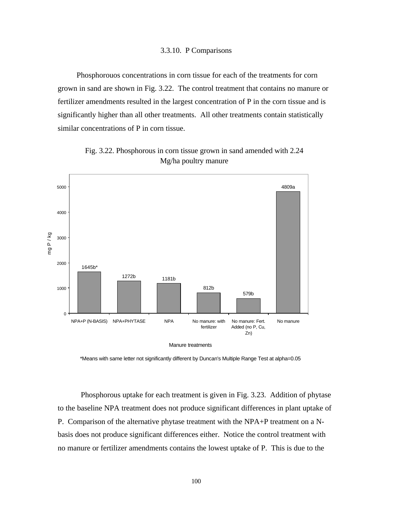### 3.3.10. P Comparisons

 Phosphorouos concentrations in corn tissue for each of the treatments for corn grown in sand are shown in Fig. 3.22. The control treatment that contains no manure or fertilizer amendments resulted in the largest concentration of P in the corn tissue and is significantly higher than all other treatments. All other treatments contain statistically similar concentrations of P in corn tissue.



Fig. 3.22. Phosphorous in corn tissue grown in sand amended with 2.24 Mg/ha poultry manure

\*Means with same letter not significantly different by Duncan's Multiple Range Test at alpha=0.05

Phosphorous uptake for each treatment is given in Fig. 3.23. Addition of phytase to the baseline NPA treatment does not produce significant differences in plant uptake of P. Comparison of the alternative phytase treatment with the NPA+P treatment on a Nbasis does not produce significant differences either. Notice the control treatment with no manure or fertilizer amendments contains the lowest uptake of P. This is due to the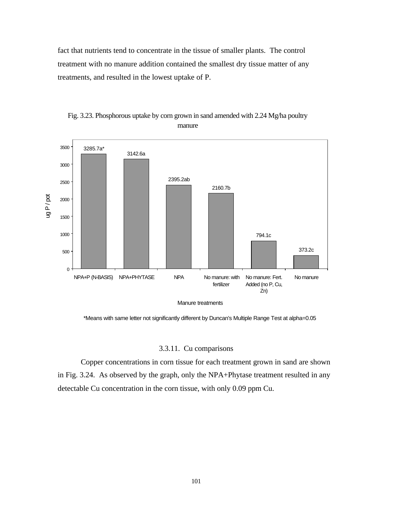fact that nutrients tend to concentrate in the tissue of smaller plants. The control treatment with no manure addition contained the smallest dry tissue matter of any treatments, and resulted in the lowest uptake of P.



Fig. 3.23. Phosphorous uptake by corn grown in sand amended with 2.24 Mg/ha poultry manure

Manure treatments

\*Means with same letter not significantly different by Duncan's Multiple Range Test at alpha=0.05

### 3.3.11. Cu comparisons

Copper concentrations in corn tissue for each treatment grown in sand are shown in Fig. 3.24. As observed by the graph, only the NPA+Phytase treatment resulted in any detectable Cu concentration in the corn tissue, with only 0.09 ppm Cu.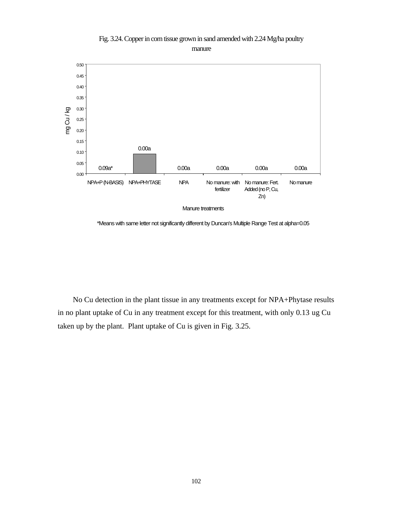

Fig. 3.24. Copper in corn tissue grown in sand amended with 2.24 Mg/ha poultry manure

\*Means with same letter not significantly different by Duncan's Multiple Range Test at alpha=0.05

 No Cu detection in the plant tissue in any treatments except for NPA+Phytase results in no plant uptake of Cu in any treatment except for this treatment, with only 0.13 ug Cu taken up by the plant. Plant uptake of Cu is given in Fig. 3.25.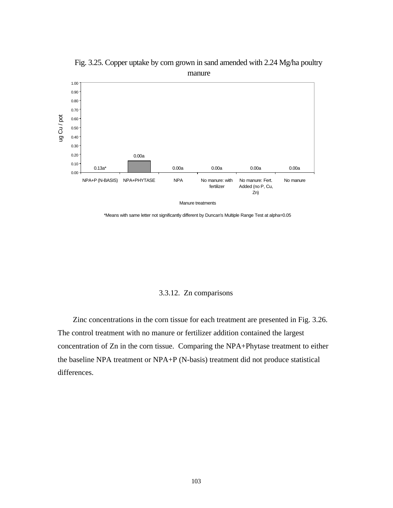

Fig. 3.25. Copper uptake by corn grown in sand amended with 2.24 Mg/ha poultry manure

\*Means with same letter not significantly different by Duncan's Multiple Range Test at alpha=0.05

# 3.3.12. Zn comparisons

 Zinc concentrations in the corn tissue for each treatment are presented in Fig. 3.26. The control treatment with no manure or fertilizer addition contained the largest concentration of Zn in the corn tissue. Comparing the NPA+Phytase treatment to either the baseline NPA treatment or NPA+P (N-basis) treatment did not produce statistical differences.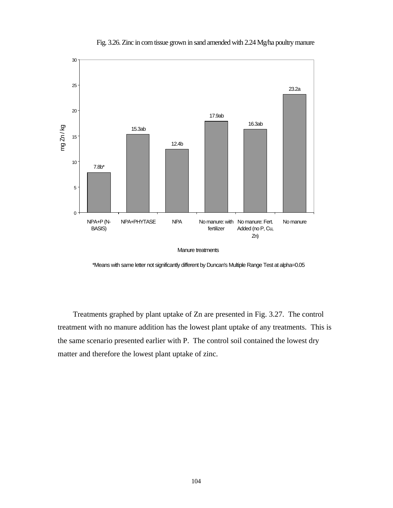

Fig. 3.26. Zinc in corn tissue grown in sand amended with 2.24 Mg/ha poultry manure

\*Means with same letter not significantly different by Duncan's Multiple Range Test at alpha=0.05

 Treatments graphed by plant uptake of Zn are presented in Fig. 3.27. The control treatment with no manure addition has the lowest plant uptake of any treatments. This is the same scenario presented earlier with P. The control soil contained the lowest dry matter and therefore the lowest plant uptake of zinc.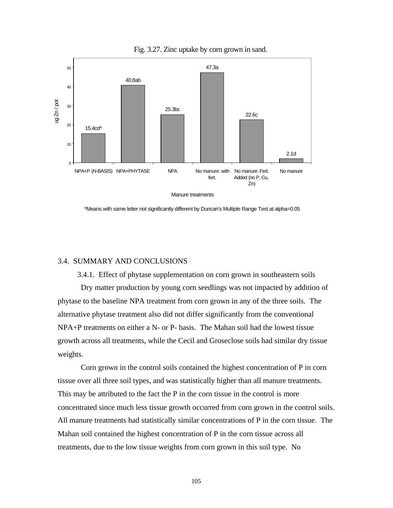

Fig. 3.27. Zinc uptake by corn grown in sand.

\*Means with same letter not significantly different by Duncan's Multiple Range Test at alpha=0.05

# 3.4. SUMMARY AND CONCLUSIONS

3.4.1. Effect of phytase supplementation on corn grown in southeastern soils Dry matter production by young corn seedlings was not impacted by addition of phytase to the baseline NPA treatment from corn grown in any of the three soils. The alternative phytase treatment also did not differ significantly from the conventional NPA+P treatments on either a N- or P- basis. The Mahan soil had the lowest tissue growth across all treatments, while the Cecil and Groseclose soils had similar dry tissue weights.

Corn grown in the control soils contained the highest concentration of P in corn tissue over all three soil types, and was statistically higher than all manure treatments. This may be attributed to the fact the P in the corn tissue in the control is more concentrated since much less tissue growth occurred from corn grown in the control soils. All manure treatments had statistically similar concentrations of P in the corn tissue. The Mahan soil contained the highest concentration of P in the corn tissue across all treatments, due to the low tissue weights from corn grown in this soil type. No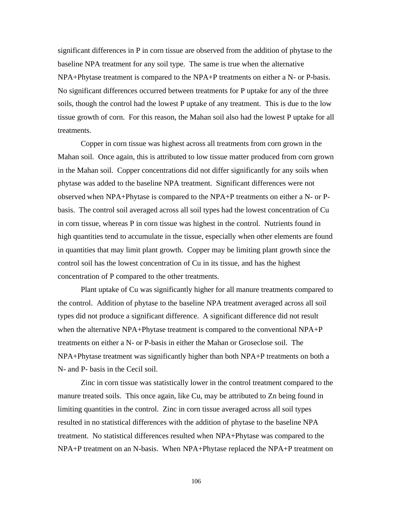significant differences in P in corn tissue are observed from the addition of phytase to the baseline NPA treatment for any soil type. The same is true when the alternative NPA+Phytase treatment is compared to the NPA+P treatments on either a N- or P-basis. No significant differences occurred between treatments for P uptake for any of the three soils, though the control had the lowest P uptake of any treatment. This is due to the low tissue growth of corn. For this reason, the Mahan soil also had the lowest P uptake for all treatments.

Copper in corn tissue was highest across all treatments from corn grown in the Mahan soil. Once again, this is attributed to low tissue matter produced from corn grown in the Mahan soil. Copper concentrations did not differ significantly for any soils when phytase was added to the baseline NPA treatment. Significant differences were not observed when NPA+Phytase is compared to the NPA+P treatments on either a N- or Pbasis. The control soil averaged across all soil types had the lowest concentration of Cu in corn tissue, whereas P in corn tissue was highest in the control. Nutrients found in high quantities tend to accumulate in the tissue, especially when other elements are found in quantities that may limit plant growth. Copper may be limiting plant growth since the control soil has the lowest concentration of Cu in its tissue, and has the highest concentration of P compared to the other treatments.

Plant uptake of Cu was significantly higher for all manure treatments compared to the control. Addition of phytase to the baseline NPA treatment averaged across all soil types did not produce a significant difference. A significant difference did not result when the alternative NPA+Phytase treatment is compared to the conventional NPA+P treatments on either a N- or P-basis in either the Mahan or Groseclose soil. The NPA+Phytase treatment was significantly higher than both NPA+P treatments on both a N- and P- basis in the Cecil soil.

Zinc in corn tissue was statistically lower in the control treatment compared to the manure treated soils. This once again, like Cu, may be attributed to Zn being found in limiting quantities in the control. Zinc in corn tissue averaged across all soil types resulted in no statistical differences with the addition of phytase to the baseline NPA treatment. No statistical differences resulted when NPA+Phytase was compared to the NPA+P treatment on an N-basis. When NPA+Phytase replaced the NPA+P treatment on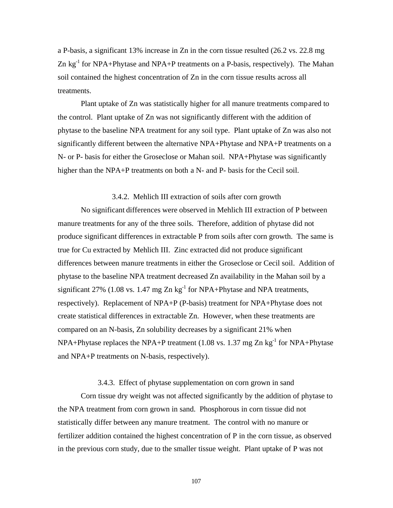a P-basis, a significant 13% increase in Zn in the corn tissue resulted (26.2 vs. 22.8 mg Zn  $kg^{-1}$  for NPA+Phytase and NPA+P treatments on a P-basis, respectively). The Mahan soil contained the highest concentration of Zn in the corn tissue results across all treatments.

Plant uptake of Zn was statistically higher for all manure treatments compared to the control. Plant uptake of Zn was not significantly different with the addition of phytase to the baseline NPA treatment for any soil type. Plant uptake of Zn was also not significantly different between the alternative NPA+Phytase and NPA+P treatments on a N- or P- basis for either the Groseclose or Mahan soil. NPA+Phytase was significantly higher than the NPA+P treatments on both a N- and P- basis for the Cecil soil.

#### 3.4.2. Mehlich III extraction of soils after corn growth

No significant differences were observed in Mehlich III extraction of P between manure treatments for any of the three soils. Therefore, addition of phytase did not produce significant differences in extractable P from soils after corn growth. The same is true for Cu extracted by Mehlich III. Zinc extracted did not produce significant differences between manure treatments in either the Groseclose or Cecil soil. Addition of phytase to the baseline NPA treatment decreased Zn availability in the Mahan soil by a significant 27% (1.08 vs. 1.47 mg  $Zn$  kg<sup>-1</sup> for NPA+Phytase and NPA treatments, respectively). Replacement of NPA+P (P-basis) treatment for NPA+Phytase does not create statistical differences in extractable Zn. However, when these treatments are compared on an N-basis, Zn solubility decreases by a significant 21% when NPA+Phytase replaces the NPA+P treatment (1.08 vs. 1.37 mg Zn kg<sup>-1</sup> for NPA+Phytase and NPA+P treatments on N-basis, respectively).

### 3.4.3. Effect of phytase supplementation on corn grown in sand

Corn tissue dry weight was not affected significantly by the addition of phytase to the NPA treatment from corn grown in sand. Phosphorous in corn tissue did not statistically differ between any manure treatment. The control with no manure or fertilizer addition contained the highest concentration of P in the corn tissue, as observed in the previous corn study, due to the smaller tissue weight. Plant uptake of P was not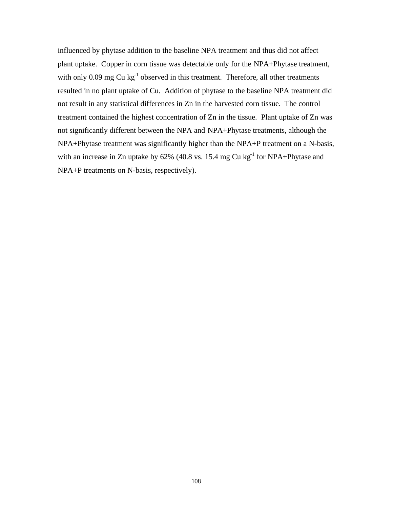influenced by phytase addition to the baseline NPA treatment and thus did not affect plant uptake. Copper in corn tissue was detectable only for the NPA+Phytase treatment, with only  $0.09$  mg Cu kg<sup>-1</sup> observed in this treatment. Therefore, all other treatments resulted in no plant uptake of Cu. Addition of phytase to the baseline NPA treatment did not result in any statistical differences in Zn in the harvested corn tissue. The control treatment contained the highest concentration of Zn in the tissue. Plant uptake of Zn was not significantly different between the NPA and NPA+Phytase treatments, although the NPA+Phytase treatment was significantly higher than the NPA+P treatment on a N-basis, with an increase in Zn uptake by  $62\%$  (40.8 vs. 15.4 mg Cu kg<sup>-1</sup> for NPA+Phytase and NPA+P treatments on N-basis, respectively).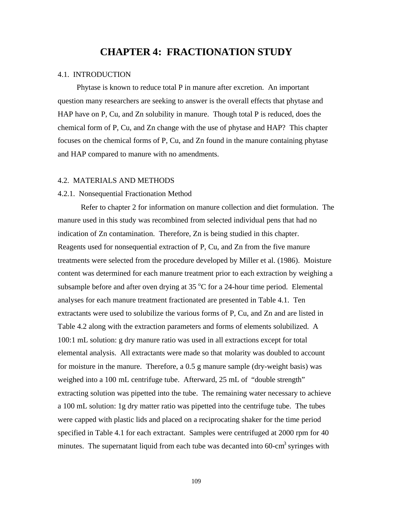# **CHAPTER 4: FRACTIONATION STUDY**

### 4.1. INTRODUCTION

 Phytase is known to reduce total P in manure after excretion. An important question many researchers are seeking to answer is the overall effects that phytase and HAP have on P, Cu, and Zn solubility in manure. Though total P is reduced, does the chemical form of P, Cu, and Zn change with the use of phytase and HAP? This chapter focuses on the chemical forms of P, Cu, and Zn found in the manure containing phytase and HAP compared to manure with no amendments.

# 4.2. MATERIALS AND METHODS

## 4.2.1. Nonsequential Fractionation Method

Refer to chapter 2 for information on manure collection and diet formulation. The manure used in this study was recombined from selected individual pens that had no indication of Zn contamination. Therefore, Zn is being studied in this chapter. Reagents used for nonsequential extraction of P, Cu, and Zn from the five manure treatments were selected from the procedure developed by Miller et al. (1986). Moisture content was determined for each manure treatment prior to each extraction by weighing a subsample before and after oven drying at  $35^{\circ}$ C for a 24-hour time period. Elemental analyses for each manure treatment fractionated are presented in Table 4.1. Ten extractants were used to solubilize the various forms of P, Cu, and Zn and are listed in Table 4.2 along with the extraction parameters and forms of elements solubilized. A 100:1 mL solution: g dry manure ratio was used in all extractions except for total elemental analysis. All extractants were made so that molarity was doubled to account for moisture in the manure. Therefore, a 0.5 g manure sample (dry-weight basis) was weighed into a 100 mL centrifuge tube. Afterward, 25 mL of "double strength" extracting solution was pipetted into the tube. The remaining water necessary to achieve a 100 mL solution: 1g dry matter ratio was pipetted into the centrifuge tube. The tubes were capped with plastic lids and placed on a reciprocating shaker for the time period specified in Table 4.1 for each extractant. Samples were centrifuged at 2000 rpm for 40 minutes. The supernatant liquid from each tube was decanted into  $60$ -cm<sup>3</sup> syringes with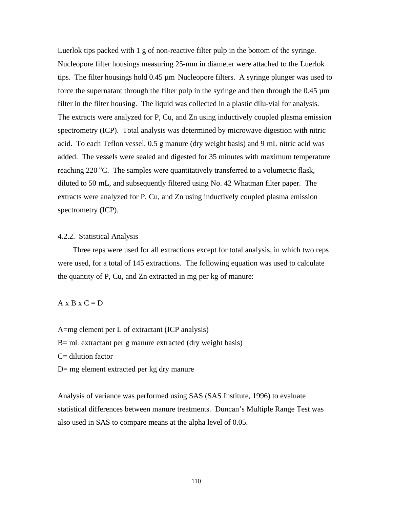Luerlok tips packed with 1 g of non-reactive filter pulp in the bottom of the syringe. Nucleopore filter housings measuring 25-mm in diameter were attached to the Luerlok tips. The filter housings hold 0.45 µm Nucleopore filters. A syringe plunger was used to force the supernatant through the filter pulp in the syringe and then through the  $0.45 \mu m$ filter in the filter housing. The liquid was collected in a plastic dilu-vial for analysis. The extracts were analyzed for P, Cu, and Zn using inductively coupled plasma emission spectrometry (ICP). Total analysis was determined by microwave digestion with nitric acid. To each Teflon vessel, 0.5 g manure (dry weight basis) and 9 mL nitric acid was added. The vessels were sealed and digested for 35 minutes with maximum temperature reaching  $220^{\circ}$ C. The samples were quantitatively transferred to a volumetric flask, diluted to 50 mL, and subsequently filtered using No. 42 Whatman filter paper. The extracts were analyzed for P, Cu, and Zn using inductively coupled plasma emission spectrometry (ICP).

### 4.2.2. Statistical Analysis

 Three reps were used for all extractions except for total analysis, in which two reps were used, for a total of 145 extractions. The following equation was used to calculate the quantity of P, Cu, and Zn extracted in mg per kg of manure:

### $A \times B \times C = D$

A=mg element per L of extractant (ICP analysis) B= mL extractant per g manure extracted (dry weight basis)  $C =$  dilution factor D= mg element extracted per kg dry manure

Analysis of variance was performed using SAS (SAS Institute, 1996) to evaluate statistical differences between manure treatments. Duncan's Multiple Range Test was also used in SAS to compare means at the alpha level of 0.05.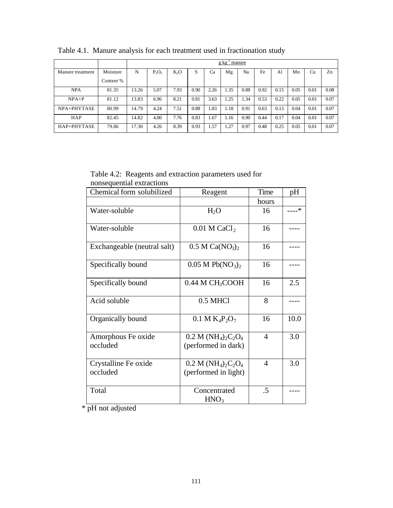|                  |           | $g kg^-$<br>manure |          |                  |      |      |      |      |      |      |      |      |      |
|------------------|-----------|--------------------|----------|------------------|------|------|------|------|------|------|------|------|------|
| Manure treatment | Moisture  | N                  | $P_2O_5$ | K <sub>2</sub> O | S    | Ca   | Mg   | Na   | Fe   | Al   | Mn   | Cu   | Zn   |
|                  | Content % |                    |          |                  |      |      |      |      |      |      |      |      |      |
| <b>NPA</b>       | 81.35     | 13.26              | 5.07     | 7.93             | 0.90 | 2.26 | 1.35 | 0.88 | 0.92 | 0.15 | 0.05 | 0.01 | 0.08 |
| $NPA+P$          | 81.12     | 13.83              | 6.96     | 8.21             | 0.81 | 3.63 | 1.25 | 1.34 | 0.53 | 0.22 | 0.05 | 0.01 | 0.07 |
| NPA+PHYTASE      | 80.99     | 14.79              | 4.24     | 7.51             | 0.88 | 1.83 | 1.18 | 0.91 | 0.63 | 0.13 | 0.04 | 0.01 | 0.07 |
| HAP              | 82.45     | 14.82              | 4.00     | 7.76             | 0.83 | 1.67 | 1.16 | 0.90 | 0.44 | 0.17 | 0.04 | 0.01 | 0.07 |
| HAP+PHYTASE      | 79.86     | 17.30              | 4.26     | 8.39             | 0.93 | 1.57 | 1.27 | 0.97 | 0.48 | 0.25 | 0.05 | 0.01 | 0.07 |

Table 4.1. Manure analysis for each treatment used in fractionation study

Table 4.2: Reagents and extraction parameters used for nonsequential extractions

| Chemical form solubilized        | Reagent                                    | Time           | pH   |
|----------------------------------|--------------------------------------------|----------------|------|
|                                  |                                            | hours          |      |
| Water-soluble                    | $H_2O$                                     | 16             | …–*  |
| Water-soluble                    | $0.01$ M CaCl <sub>2</sub>                 | 16             |      |
| Exchangeable (neutral salt)      | 0.5 M Ca(NO <sub>3</sub> ) <sub>2</sub>    | 16             |      |
| Specifically bound               | 0.05 M Pb(NO <sub>3</sub> ) <sub>2</sub>   | 16             |      |
| Specifically bound               | 0.44 M CH <sub>3</sub> COOH                | 16             | 2.5  |
| Acid soluble                     | 0.5 MHCl                                   | 8              |      |
| Organically bound                | $0.1 M K_4 P_2 O_7$                        | 16             | 10.0 |
| Amorphous Fe oxide<br>occluded   | $0.2 M (NH4)2C2O4$<br>(performed in dark)  | 4              | 3.0  |
| Crystalline Fe oxide<br>occluded | $0.2 M (NH4)2C2O4$<br>(performed in light) | $\overline{4}$ | 3.0  |
| Total                            | Concentrated<br>HNO <sub>3</sub>           | .5             |      |

\* pH not adjusted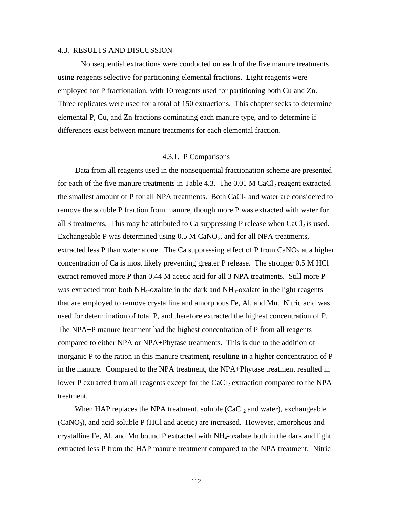# 4.3. RESULTS AND DISCUSSION

Nonsequential extractions were conducted on each of the five manure treatments using reagents selective for partitioning elemental fractions. Eight reagents were employed for P fractionation, with 10 reagents used for partitioning both Cu and Zn. Three replicates were used for a total of 150 extractions. This chapter seeks to determine elemental P, Cu, and Zn fractions dominating each manure type, and to determine if differences exist between manure treatments for each elemental fraction.

### 4.3.1. P Comparisons

 Data from all reagents used in the nonsequential fractionation scheme are presented for each of the five manure treatments in Table 4.3. The  $0.01$  M CaCl<sub>2</sub> reagent extracted the smallest amount of P for all NPA treatments. Both  $CaCl<sub>2</sub>$  and water are considered to remove the soluble P fraction from manure, though more P was extracted with water for all 3 treatments. This may be attributed to Ca suppressing P release when  $CaCl<sub>2</sub>$  is used. Exchangeable P was determined using  $0.5$  M CaNO<sub>3</sub>, and for all NPA treatments, extracted less P than water alone. The Ca suppressing effect of P from  $CaNO<sub>3</sub>$  at a higher concentration of Ca is most likely preventing greater P release. The stronger 0.5 M HCl extract removed more P than 0.44 M acetic acid for all 3 NPA treatments. Still more P was extracted from both NH4-oxalate in the dark and NH4-oxalate in the light reagents that are employed to remove crystalline and amorphous Fe, Al, and Mn. Nitric acid was used for determination of total P, and therefore extracted the highest concentration of P. The NPA+P manure treatment had the highest concentration of P from all reagents compared to either NPA or NPA+Phytase treatments. This is due to the addition of inorganic P to the ration in this manure treatment, resulting in a higher concentration of P in the manure. Compared to the NPA treatment, the NPA+Phytase treatment resulted in lower P extracted from all reagents except for the  $CaCl<sub>2</sub>$  extraction compared to the NPA treatment.

When HAP replaces the NPA treatment, soluble  $(CaCl<sub>2</sub>$  and water), exchangeable  $(CaNO<sub>3</sub>)$ , and acid soluble P (HCl and acetic) are increased. However, amorphous and crystalline Fe, Al, and Mn bound P extracted with NH4-oxalate both in the dark and light extracted less P from the HAP manure treatment compared to the NPA treatment. Nitric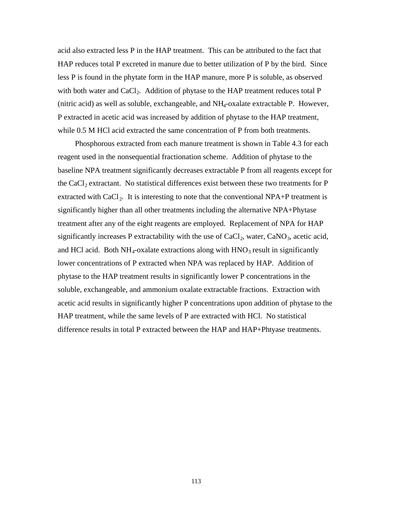acid also extracted less P in the HAP treatment. This can be attributed to the fact that HAP reduces total P excreted in manure due to better utilization of P by the bird. Since less P is found in the phytate form in the HAP manure, more P is soluble, as observed with both water and  $CaCl<sub>2</sub>$ . Addition of phytase to the HAP treatment reduces total P (nitric acid) as well as soluble, exchangeable, and NH4-oxalate extractable P. However, P extracted in acetic acid was increased by addition of phytase to the HAP treatment, while 0.5 M HCl acid extracted the same concentration of P from both treatments.

 Phosphorous extracted from each manure treatment is shown in Table 4.3 for each reagent used in the nonsequential fractionation scheme. Addition of phytase to the baseline NPA treatment significantly decreases extractable P from all reagents except for the CaCl<sub>2</sub> extractant. No statistical differences exist between these two treatments for  $P$ extracted with CaCl<sub>2</sub>. It is interesting to note that the conventional NPA+P treatment is significantly higher than all other treatments including the alternative NPA+Phytase treatment after any of the eight reagents are employed. Replacement of NPA for HAP significantly increases P extractability with the use of  $CaCl<sub>2</sub>$ , water,  $CaNO<sub>3</sub>$ , acetic acid, and HCl acid. Both  $NH_4$ -oxalate extractions along with  $HNO_3$  result in significantly lower concentrations of P extracted when NPA was replaced by HAP. Addition of phytase to the HAP treatment results in significantly lower P concentrations in the soluble, exchangeable, and ammonium oxalate extractable fractions. Extraction with acetic acid results in significantly higher P concentrations upon addition of phytase to the HAP treatment, while the same levels of P are extracted with HCl. No statistical difference results in total P extracted between the HAP and HAP+Phtyase treatments.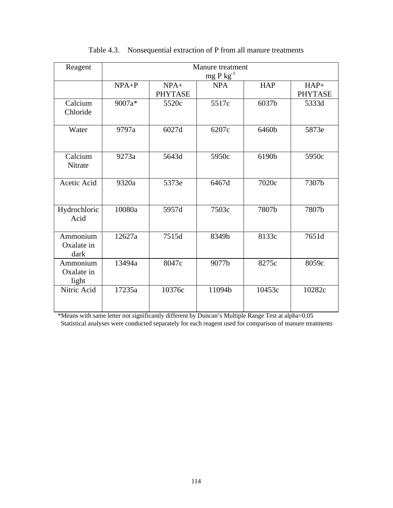| Reagent                         | Manure treatment<br>$mg P kg^{-1}$ |                          |            |            |                          |  |  |
|---------------------------------|------------------------------------|--------------------------|------------|------------|--------------------------|--|--|
|                                 | $NPA+P$                            | $NPA+$<br><b>PHYTASE</b> | <b>NPA</b> | <b>HAP</b> | $HAP+$<br><b>PHYTASE</b> |  |  |
| Calcium<br>Chloride             | 9007a*                             | 5520c                    | 5517c      | 6037b      | 5333d                    |  |  |
| Water                           | 9797a                              | 6027d                    | 6207c      | 6460b      | 5873e                    |  |  |
| Calcium<br>Nitrate              | 9273a                              | 5643d                    | 5950c      | 6190b      | 5950c                    |  |  |
| Acetic Acid                     | 9320a                              | 5373e                    | 6467d      | 7020c      | 7307b                    |  |  |
| Hydrochloric<br>Acid            | 10080a                             | 5957d                    | 7503c      | 7807b      | 7807b                    |  |  |
| Ammonium<br>Oxalate in<br>dark  | 12627a                             | 7515d                    | 8349b      | 8133c      | 7651d                    |  |  |
| Ammonium<br>Oxalate in<br>light | 13494a                             | 8047c                    | 9077b      | 8275c      | 8059c                    |  |  |
| Nitric Acid                     | 17235a                             | 10376c                   | 11094b     | 10453c     | 10282c                   |  |  |

# Table 4.3. Nonsequential extraction of P from all manure treatments

\*Means with same letter not significantly different by Duncan's Multiple Range Test at alpha=0.05 Statistical analyses were conducted separately for each reagent used for comparison of manure treatments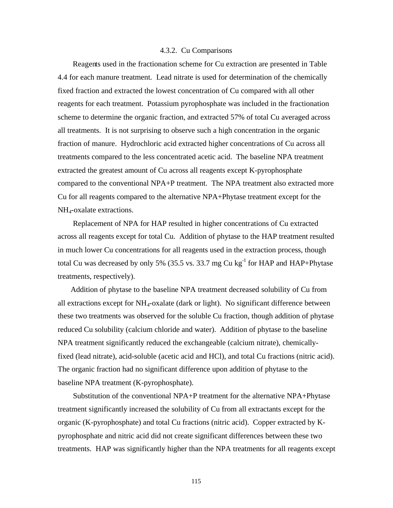#### 4.3.2. Cu Comparisons

 Reagents used in the fractionation scheme for Cu extraction are presented in Table 4.4 for each manure treatment. Lead nitrate is used for determination of the chemically fixed fraction and extracted the lowest concentration of Cu compared with all other reagents for each treatment. Potassium pyrophosphate was included in the fractionation scheme to determine the organic fraction, and extracted 57% of total Cu averaged across all treatments. It is not surprising to observe such a high concentration in the organic fraction of manure. Hydrochloric acid extracted higher concentrations of Cu across all treatments compared to the less concentrated acetic acid. The baseline NPA treatment extracted the greatest amount of Cu across all reagents except K-pyrophosphate compared to the conventional NPA+P treatment. The NPA treatment also extracted more Cu for all reagents compared to the alternative NPA+Phytase treatment except for the NH4-oxalate extractions.

 Replacement of NPA for HAP resulted in higher concentrations of Cu extracted across all reagents except for total Cu. Addition of phytase to the HAP treatment resulted in much lower Cu concentrations for all reagents used in the extraction process, though total Cu was decreased by only 5% (35.5 vs. 33.7 mg Cu kg<sup>-1</sup> for HAP and HAP+Phytase treatments, respectively).

 Addition of phytase to the baseline NPA treatment decreased solubility of Cu from all extractions except for  $NH_4$ -oxalate (dark or light). No significant difference between these two treatments was observed for the soluble Cu fraction, though addition of phytase reduced Cu solubility (calcium chloride and water). Addition of phytase to the baseline NPA treatment significantly reduced the exchangeable (calcium nitrate), chemicallyfixed (lead nitrate), acid-soluble (acetic acid and HCl), and total Cu fractions (nitric acid). The organic fraction had no significant difference upon addition of phytase to the baseline NPA treatment (K-pyrophosphate).

 Substitution of the conventional NPA+P treatment for the alternative NPA+Phytase treatment significantly increased the solubility of Cu from all extractants except for the organic (K-pyrophosphate) and total Cu fractions (nitric acid). Copper extracted by Kpyrophosphate and nitric acid did not create significant differences between these two treatments. HAP was significantly higher than the NPA treatments for all reagents except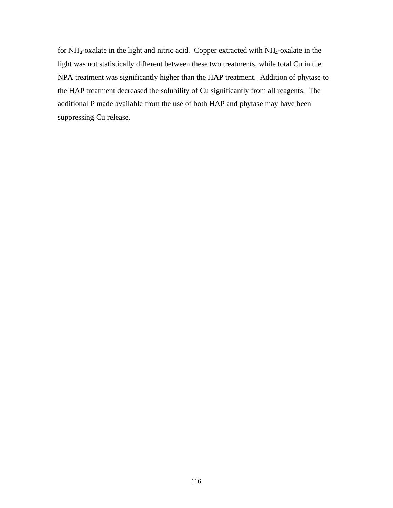for  $NH_4$ -oxalate in the light and nitric acid. Copper extracted with  $NH_4$ -oxalate in the light was not statistically different between these two treatments, while total Cu in the NPA treatment was significantly higher than the HAP treatment. Addition of phytase to the HAP treatment decreased the solubility of Cu significantly from all reagents. The additional P made available from the use of both HAP and phytase may have been suppressing Cu release.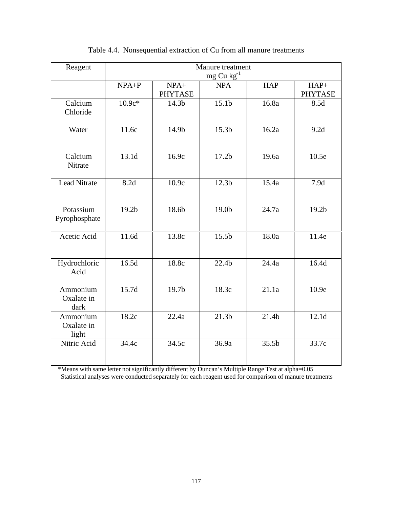| Reagent                         | Manure treatment  |                   |                   |                   |                   |  |  |
|---------------------------------|-------------------|-------------------|-------------------|-------------------|-------------------|--|--|
|                                 | $mg$ Cu $kg^{-1}$ |                   |                   |                   |                   |  |  |
|                                 | $NPA+P$           | $NPA+$            | <b>NPA</b>        | <b>HAP</b>        | $HAP+$            |  |  |
|                                 |                   | <b>PHYTASE</b>    |                   |                   | <b>PHYTASE</b>    |  |  |
| Calcium                         | $10.9c*$          | 14.3b             | 15.1 <sub>b</sub> | 16.8a             | 8.5d              |  |  |
| Chloride                        |                   |                   |                   |                   |                   |  |  |
| Water                           | 11.6c             | 14.9b             | 15.3 <sub>b</sub> | 16.2a             | 9.2d              |  |  |
| Calcium<br>Nitrate              | 13.1d             | 16.9c             | 17.2 <sub>b</sub> | 19.6a             | 10.5e             |  |  |
| <b>Lead Nitrate</b>             | 8.2d              | 10.9c             | 12.3 <sub>b</sub> | 15.4a             | 7.9d              |  |  |
| Potassium<br>Pyrophosphate      | 19.2 <sub>b</sub> | 18.6b             | 19.0b             | 24.7a             | 19.2 <sub>b</sub> |  |  |
| Acetic Acid                     | 11.6d             | 13.8c             | 15.5 <sub>b</sub> | 18.0a             | 11.4e             |  |  |
| Hydrochloric<br>Acid            | 16.5d             | 18.8c             | 22.4 <sub>b</sub> | 24.4a             | 16.4d             |  |  |
| Ammonium<br>Oxalate in<br>dark  | 15.7d             | 19.7 <sub>b</sub> | 18.3c             | 21.1a             | 10.9e             |  |  |
| Ammonium<br>Oxalate in<br>light | 18.2c             | 22.4a             | 21.3 <sub>b</sub> | 21.4 <sub>b</sub> | 12.1 <sub>d</sub> |  |  |
| Nitric Acid                     | 34.4c             | 34.5c             | 36.9a             | 35.5b             | 33.7c             |  |  |

# Table 4.4. Nonsequential extraction of Cu from all manure treatments

\*Means with same letter not significantly different by Duncan's Multiple Range Test at alpha=0.05 Statistical analyses were conducted separately for each reagent used for comparison of manure treatments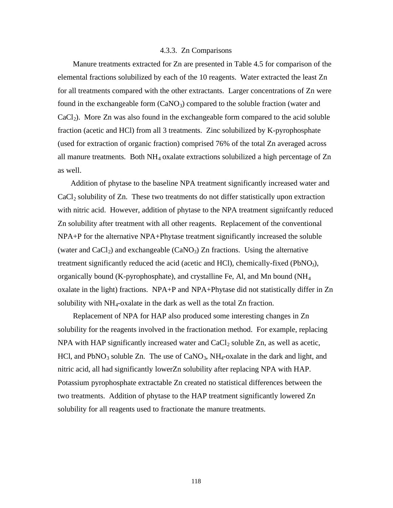### 4.3.3. Zn Comparisons

 Manure treatments extracted for Zn are presented in Table 4.5 for comparison of the elemental fractions solubilized by each of the 10 reagents. Water extracted the least Zn for all treatments compared with the other extractants. Larger concentrations of Zn were found in the exchangeable form  $(CaNO<sub>3</sub>)$  compared to the soluble fraction (water and  $CaCl<sub>2</sub>$ ). More Zn was also found in the exchangeable form compared to the acid soluble fraction (acetic and HCl) from all 3 treatments. Zinc solubilized by K-pyrophosphate (used for extraction of organic fraction) comprised 76% of the total Zn averaged across all manure treatments. Both  $NH_4$  oxalate extractions solubilized a high percentage of  $Zn$ as well.

 Addition of phytase to the baseline NPA treatment significantly increased water and  $CaCl<sub>2</sub>$  solubility of Zn. These two treatments do not differ statistically upon extraction with nitric acid. However, addition of phytase to the NPA treatment signifcantly reduced Zn solubility after treatment with all other reagents. Replacement of the conventional NPA+P for the alternative NPA+Phytase treatment significantly increased the soluble (water and  $CaCl<sub>2</sub>$ ) and exchangeable (CaNO<sub>3</sub>) Zn fractions. Using the alternative treatment significantly reduced the acid (acetic and HCl), chemically-fixed (PbNO<sub>3</sub>), organically bound (K-pyrophosphate), and crystalline Fe, Al, and Mn bound (NH<sup>4</sup> oxalate in the light) fractions. NPA+P and NPA+Phytase did not statistically differ in Zn solubility with  $NH_4$ -oxalate in the dark as well as the total Zn fraction.

 Replacement of NPA for HAP also produced some interesting changes in Zn solubility for the reagents involved in the fractionation method. For example, replacing NPA with HAP significantly increased water and  $CaCl<sub>2</sub>$  soluble Zn, as well as acetic, HCl, and PbNO<sub>3</sub> soluble Zn. The use of CaNO<sub>3</sub>, NH<sub>4</sub>-oxalate in the dark and light, and nitric acid, all had significantly lowerZn solubility after replacing NPA with HAP. Potassium pyrophosphate extractable Zn created no statistical differences between the two treatments. Addition of phytase to the HAP treatment significantly lowered Zn solubility for all reagents used to fractionate the manure treatments.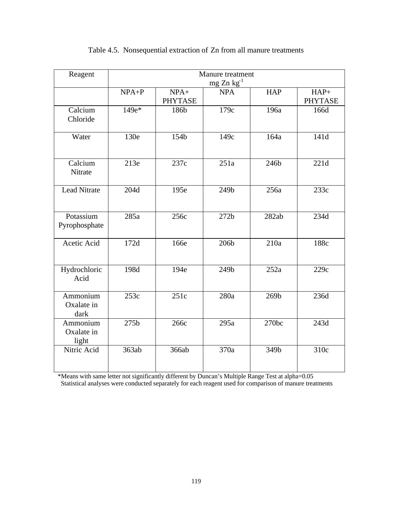| Reagent             | Manure treatment |                |                  |            |                |  |  |
|---------------------|------------------|----------------|------------------|------------|----------------|--|--|
|                     | $mg Zn kg^{-1}$  |                |                  |            |                |  |  |
|                     | $NPA+P$          | $NPA+$         | <b>NPA</b>       | <b>HAP</b> | $HAP+$         |  |  |
|                     |                  | <b>PHYTASE</b> |                  |            | <b>PHYTASE</b> |  |  |
| Calcium             | 149e*            | 186b           | 179c             | 196a       | 166d           |  |  |
| Chloride            |                  |                |                  |            |                |  |  |
|                     |                  |                |                  |            |                |  |  |
| Water               | 130e             | 154b           | 149c             | 164a       | 141d           |  |  |
|                     |                  |                |                  |            |                |  |  |
| Calcium             | 213e             | 237c           | 251a             |            |                |  |  |
| Nitrate             |                  |                |                  | 246b       | 221d           |  |  |
|                     |                  |                |                  |            |                |  |  |
| <b>Lead Nitrate</b> | 204d             | 195e           | 249b             | 256a       | 233c           |  |  |
|                     |                  |                |                  |            |                |  |  |
|                     |                  |                |                  |            |                |  |  |
| Potassium           | 285a             | 256c           | 272 <sub>b</sub> | 282ab      | 234d           |  |  |
| Pyrophosphate       |                  |                |                  |            |                |  |  |
|                     |                  |                |                  |            |                |  |  |
| Acetic Acid         | 172d             | 166e           | 206b             | 210a       | 188c           |  |  |
|                     |                  |                |                  |            |                |  |  |
|                     |                  |                |                  |            |                |  |  |
| Hydrochloric        | 198d             | 194e           | 249b             | 252a       | 229c           |  |  |
| Acid                |                  |                |                  |            |                |  |  |
| Ammonium            | 253c             | 251c           | 280a             | 269b       | 236d           |  |  |
| Oxalate in          |                  |                |                  |            |                |  |  |
| dark                |                  |                |                  |            |                |  |  |
| Ammonium            | 275b             | 266с           | 295a             | 270bc      | 243d           |  |  |
| Oxalate in          |                  |                |                  |            |                |  |  |
| light               |                  |                |                  |            |                |  |  |
| Nitric Acid         | 363ab            | 366ab          | 370a             | 349b       | 310c           |  |  |
|                     |                  |                |                  |            |                |  |  |
|                     |                  |                |                  |            |                |  |  |

# Table 4.5. Nonsequential extraction of Zn from all manure treatments

\*Means with same letter not significantly different by Duncan's Multiple Range Test at alpha=0.05 Statistical analyses were conducted separately for each reagent used for comparison of manure treatments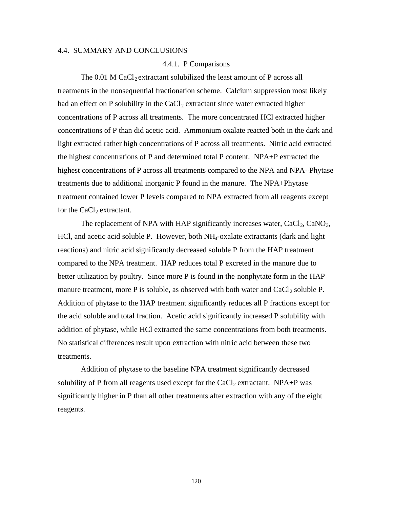### 4.4. SUMMARY AND CONCLUSIONS

## 4.4.1. P Comparisons

The  $0.01$  M CaCl<sub>2</sub> extractant solubilized the least amount of P across all treatments in the nonsequential fractionation scheme. Calcium suppression most likely had an effect on P solubility in the  $CaCl<sub>2</sub>$  extractant since water extracted higher concentrations of P across all treatments. The more concentrated HCl extracted higher concentrations of P than did acetic acid. Ammonium oxalate reacted both in the dark and light extracted rather high concentrations of P across all treatments. Nitric acid extracted the highest concentrations of P and determined total P content. NPA+P extracted the highest concentrations of P across all treatments compared to the NPA and NPA+Phytase treatments due to additional inorganic P found in the manure. The NPA+Phytase treatment contained lower P levels compared to NPA extracted from all reagents except for the  $CaCl<sub>2</sub>$  extractant.

The replacement of NPA with HAP significantly increases water,  $CaCl<sub>2</sub>$ ,  $CaNO<sub>3</sub>$ , HCl, and acetic acid soluble P. However, both NH4-oxalate extractants (dark and light reactions) and nitric acid significantly decreased soluble P from the HAP treatment compared to the NPA treatment. HAP reduces total P excreted in the manure due to better utilization by poultry. Since more P is found in the nonphytate form in the HAP manure treatment, more P is soluble, as observed with both water and  $CaCl<sub>2</sub>$  soluble P. Addition of phytase to the HAP treatment significantly reduces all P fractions except for the acid soluble and total fraction. Acetic acid significantly increased P solubility with addition of phytase, while HCl extracted the same concentrations from both treatments. No statistical differences result upon extraction with nitric acid between these two treatments.

Addition of phytase to the baseline NPA treatment significantly decreased solubility of P from all reagents used except for the  $CaCl<sub>2</sub>$  extractant. NPA+P was significantly higher in P than all other treatments after extraction with any of the eight reagents.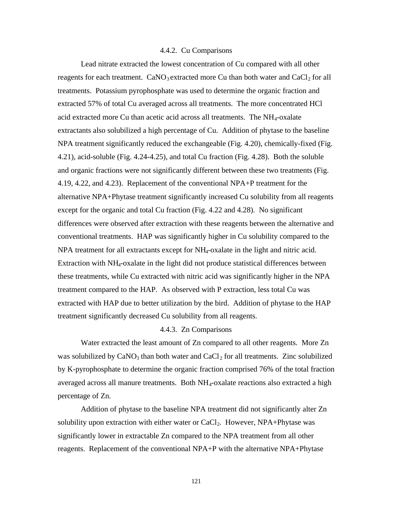### 4.4.2. Cu Comparisons

Lead nitrate extracted the lowest concentration of Cu compared with all other reagents for each treatment.  $CaNO<sub>3</sub>$  extracted more Cu than both water and  $CaCl<sub>2</sub>$  for all treatments. Potassium pyrophosphate was used to determine the organic fraction and extracted 57% of total Cu averaged across all treatments. The more concentrated HCl acid extracted more Cu than acetic acid across all treatments. The  $NH<sub>4</sub>$ -oxalate extractants also solubilized a high percentage of Cu. Addition of phytase to the baseline NPA treatment significantly reduced the exchangeable (Fig. 4.20), chemically-fixed (Fig. 4.21), acid-soluble (Fig. 4.24-4.25), and total Cu fraction (Fig. 4.28). Both the soluble and organic fractions were not significantly different between these two treatments (Fig. 4.19, 4.22, and 4.23). Replacement of the conventional NPA+P treatment for the alternative NPA+Phytase treatment significantly increased Cu solubility from all reagents except for the organic and total Cu fraction (Fig. 4.22 and 4.28). No significant differences were observed after extraction with these reagents between the alternative and conventional treatments. HAP was significantly higher in Cu solubility compared to the NPA treatment for all extractants except for NH<sub>4</sub>-oxalate in the light and nitric acid. Extraction with NH4-oxalate in the light did not produce statistical differences between these treatments, while Cu extracted with nitric acid was significantly higher in the NPA treatment compared to the HAP. As observed with P extraction, less total Cu was extracted with HAP due to better utilization by the bird. Addition of phytase to the HAP treatment significantly decreased Cu solubility from all reagents.

# 4.4.3. Zn Comparisons

Water extracted the least amount of Zn compared to all other reagents. More Zn was solubilized by  $CaNO<sub>3</sub>$  than both water and  $CaCl<sub>2</sub>$  for all treatments. Zinc solubilized by K-pyrophosphate to determine the organic fraction comprised 76% of the total fraction averaged across all manure treatments. Both NH4-oxalate reactions also extracted a high percentage of Zn.

Addition of phytase to the baseline NPA treatment did not significantly alter Zn solubility upon extraction with either water or  $CaCl<sub>2</sub>$ . However, NPA+Phytase was significantly lower in extractable Zn compared to the NPA treatment from all other reagents. Replacement of the conventional NPA+P with the alternative NPA+Phytase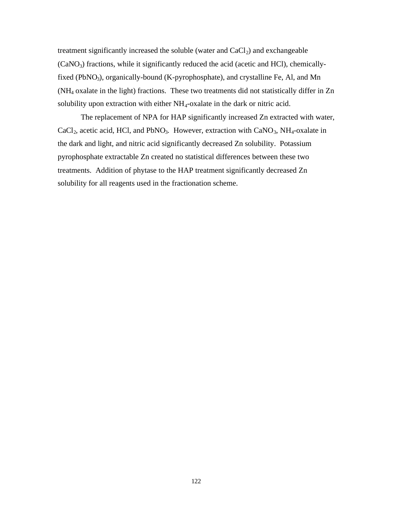treatment significantly increased the soluble (water and  $CaCl<sub>2</sub>$ ) and exchangeable  $(CaNO<sub>3</sub>)$  fractions, while it significantly reduced the acid (acetic and HCl), chemicallyfixed (PbNO<sub>3</sub>), organically-bound (K-pyrophosphate), and crystalline Fe, Al, and Mn (NH4 oxalate in the light) fractions. These two treatments did not statistically differ in Zn solubility upon extraction with either  $NH_4$ -oxalate in the dark or nitric acid.

The replacement of NPA for HAP significantly increased Zn extracted with water, CaCl<sub>2</sub>, acetic acid, HCl, and PbNO<sub>3</sub>. However, extraction with CaNO<sub>3</sub>, NH<sub>4</sub>-oxalate in the dark and light, and nitric acid significantly decreased Zn solubility. Potassium pyrophosphate extractable Zn created no statistical differences between these two treatments. Addition of phytase to the HAP treatment significantly decreased Zn solubility for all reagents used in the fractionation scheme.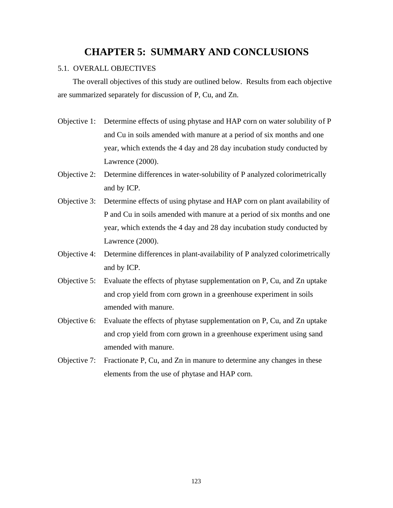# **CHAPTER 5: SUMMARY AND CONCLUSIONS**

# 5.1. OVERALL OBJECTIVES

 The overall objectives of this study are outlined below. Results from each objective are summarized separately for discussion of P, Cu, and Zn.

- Objective 1: Determine effects of using phytase and HAP corn on water solubility of P and Cu in soils amended with manure at a period of six months and one year, which extends the 4 day and 28 day incubation study conducted by Lawrence (2000).
- Objective 2: Determine differences in water-solubility of P analyzed colorimetrically and by ICP.
- Objective 3: Determine effects of using phytase and HAP corn on plant availability of P and Cu in soils amended with manure at a period of six months and one year, which extends the 4 day and 28 day incubation study conducted by Lawrence (2000).
- Objective 4: Determine differences in plant-availability of P analyzed colorimetrically and by ICP.
- Objective 5: Evaluate the effects of phytase supplementation on P, Cu, and Zn uptake and crop yield from corn grown in a greenhouse experiment in soils amended with manure.
- Objective 6: Evaluate the effects of phytase supplementation on P, Cu, and Zn uptake and crop yield from corn grown in a greenhouse experiment using sand amended with manure.
- Objective 7: Fractionate P, Cu, and Zn in manure to determine any changes in these elements from the use of phytase and HAP corn.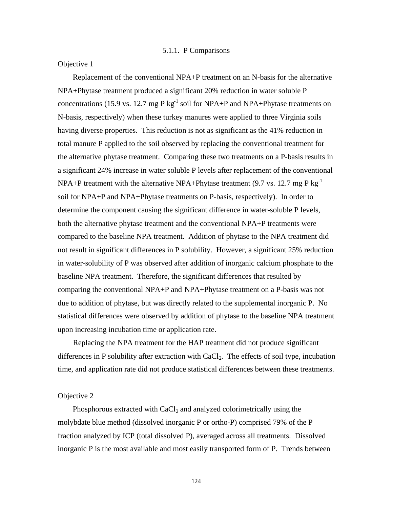Objective 1

 Replacement of the conventional NPA+P treatment on an N-basis for the alternative NPA+Phytase treatment produced a significant 20% reduction in water soluble P concentrations (15.9 vs. 12.7 mg P kg<sup>-1</sup> soil for NPA+P and NPA+Phytase treatments on N-basis, respectively) when these turkey manures were applied to three Virginia soils having diverse properties. This reduction is not as significant as the 41% reduction in total manure P applied to the soil observed by replacing the conventional treatment for the alternative phytase treatment. Comparing these two treatments on a P-basis results in a significant 24% increase in water soluble P levels after replacement of the conventional NPA+P treatment with the alternative NPA+Phytase treatment (9.7 vs. 12.7 mg P kg<sup>-1</sup> soil for NPA+P and NPA+Phytase treatments on P-basis, respectively). In order to determine the component causing the significant difference in water-soluble P levels, both the alternative phytase treatment and the conventional NPA+P treatments were compared to the baseline NPA treatment. Addition of phytase to the NPA treatment did not result in significant differences in P solubility. However, a significant 25% reduction in water-solubility of P was observed after addition of inorganic calcium phosphate to the baseline NPA treatment. Therefore, the significant differences that resulted by comparing the conventional NPA+P and NPA+Phytase treatment on a P-basis was not due to addition of phytase, but was directly related to the supplemental inorganic P. No statistical differences were observed by addition of phytase to the baseline NPA treatment upon increasing incubation time or application rate.

 Replacing the NPA treatment for the HAP treatment did not produce significant differences in P solubility after extraction with  $CaCl<sub>2</sub>$ . The effects of soil type, incubation time, and application rate did not produce statistical differences between these treatments.

### Objective 2

Phosphorous extracted with  $CaCl<sub>2</sub>$  and analyzed colorimetrically using the molybdate blue method (dissolved inorganic P or ortho-P) comprised 79% of the P fraction analyzed by ICP (total dissolved P), averaged across all treatments. Dissolved inorganic P is the most available and most easily transported form of P. Trends between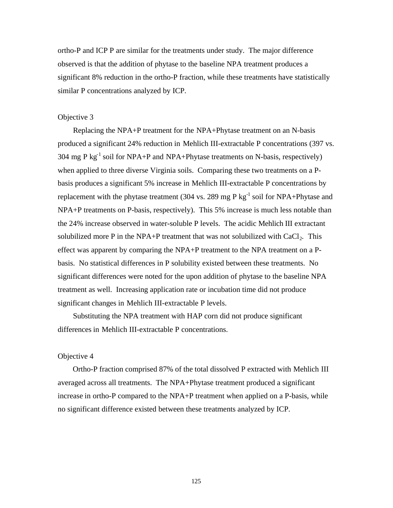ortho-P and ICP P are similar for the treatments under study. The major difference observed is that the addition of phytase to the baseline NPA treatment produces a significant 8% reduction in the ortho-P fraction, while these treatments have statistically similar P concentrations analyzed by ICP.

## Objective 3

 Replacing the NPA+P treatment for the NPA+Phytase treatment on an N-basis produced a significant 24% reduction in Mehlich III-extractable P concentrations (397 vs. 304 mg P kg<sup>-1</sup> soil for NPA+P and NPA+Phytase treatments on N-basis, respectively) when applied to three diverse Virginia soils. Comparing these two treatments on a Pbasis produces a significant 5% increase in Mehlich III-extractable P concentrations by replacement with the phytase treatment (304 vs. 289 mg P kg<sup>-1</sup> soil for NPA+Phytase and NPA+P treatments on P-basis, respectively). This 5% increase is much less notable than the 24% increase observed in water-soluble P levels. The acidic Mehlich III extractant solubilized more P in the NPA+P treatment that was not solubilized with  $CaCl<sub>2</sub>$ . This effect was apparent by comparing the NPA+P treatment to the NPA treatment on a Pbasis. No statistical differences in P solubility existed between these treatments. No significant differences were noted for the upon addition of phytase to the baseline NPA treatment as well. Increasing application rate or incubation time did not produce significant changes in Mehlich III-extractable P levels.

 Substituting the NPA treatment with HAP corn did not produce significant differences in Mehlich III-extractable P concentrations.

# Objective 4

 Ortho-P fraction comprised 87% of the total dissolved P extracted with Mehlich III averaged across all treatments. The NPA+Phytase treatment produced a significant increase in ortho-P compared to the NPA+P treatment when applied on a P-basis, while no significant difference existed between these treatments analyzed by ICP.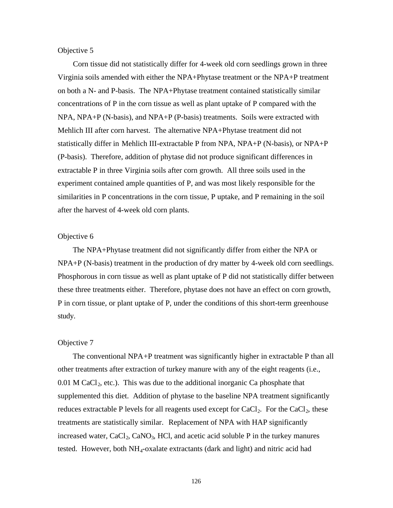### Objective 5

 Corn tissue did not statistically differ for 4-week old corn seedlings grown in three Virginia soils amended with either the NPA+Phytase treatment or the NPA+P treatment on both a N- and P-basis. The NPA+Phytase treatment contained statistically similar concentrations of P in the corn tissue as well as plant uptake of P compared with the NPA, NPA+P (N-basis), and NPA+P (P-basis) treatments. Soils were extracted with Mehlich III after corn harvest. The alternative NPA+Phytase treatment did not statistically differ in Mehlich III-extractable P from NPA, NPA+P (N-basis), or NPA+P (P-basis). Therefore, addition of phytase did not produce significant differences in extractable P in three Virginia soils after corn growth. All three soils used in the experiment contained ample quantities of P, and was most likely responsible for the similarities in P concentrations in the corn tissue, P uptake, and P remaining in the soil after the harvest of 4-week old corn plants.

## Objective 6

 The NPA+Phytase treatment did not significantly differ from either the NPA or NPA+P (N-basis) treatment in the production of dry matter by 4-week old corn seedlings. Phosphorous in corn tissue as well as plant uptake of P did not statistically differ between these three treatments either. Therefore, phytase does not have an effect on corn growth, P in corn tissue, or plant uptake of P, under the conditions of this short-term greenhouse study.

## Objective 7

 The conventional NPA+P treatment was significantly higher in extractable P than all other treatments after extraction of turkey manure with any of the eight reagents (i.e.,  $0.01$  M CaCl<sub>2</sub>, etc.). This was due to the additional inorganic Ca phosphate that supplemented this diet. Addition of phytase to the baseline NPA treatment significantly reduces extractable P levels for all reagents used except for  $CaCl<sub>2</sub>$ . For the  $CaCl<sub>2</sub>$ , these treatments are statistically similar. Replacement of NPA with HAP significantly increased water,  $CaCl<sub>2</sub>$ ,  $CaNO<sub>3</sub>$ , HCl, and acetic acid soluble P in the turkey manures tested. However, both  $NH_4$ -oxalate extractants (dark and light) and nitric acid had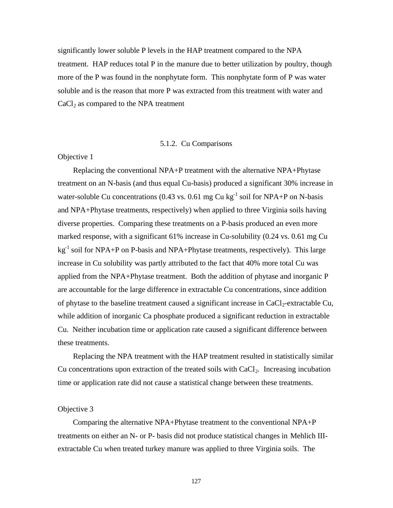significantly lower soluble P levels in the HAP treatment compared to the NPA treatment. HAP reduces total P in the manure due to better utilization by poultry, though more of the P was found in the nonphytate form. This nonphytate form of P was water soluble and is the reason that more P was extracted from this treatment with water and  $CaCl<sub>2</sub>$  as compared to the NPA treatment

### 5.1.2. Cu Comparisons

# Objective 1

 Replacing the conventional NPA+P treatment with the alternative NPA+Phytase treatment on an N-basis (and thus equal Cu-basis) produced a significant 30% increase in water-soluble Cu concentrations (0.43 vs. 0.61 mg Cu kg<sup>-1</sup> soil for NPA+P on N-basis and NPA+Phytase treatments, respectively) when applied to three Virginia soils having diverse properties. Comparing these treatments on a P-basis produced an even more marked response, with a significant 61% increase in Cu-solubility (0.24 vs. 0.61 mg Cu  $kg<sup>-1</sup>$  soil for NPA+P on P-basis and NPA+Phytase treatments, respectively). This large increase in Cu solubility was partly attributed to the fact that 40% more total Cu was applied from the NPA+Phytase treatment. Both the addition of phytase and inorganic P are accountable for the large difference in extractable Cu concentrations, since addition of phytase to the baseline treatment caused a significant increase in  $CaCl<sub>2</sub>$ -extractable Cu, while addition of inorganic Ca phosphate produced a significant reduction in extractable Cu. Neither incubation time or application rate caused a significant difference between these treatments.

 Replacing the NPA treatment with the HAP treatment resulted in statistically similar Cu concentrations upon extraction of the treated soils with  $CaCl<sub>2</sub>$ . Increasing incubation time or application rate did not cause a statistical change between these treatments.

### Objective 3

 Comparing the alternative NPA+Phytase treatment to the conventional NPA+P treatments on either an N- or P- basis did not produce statistical changes in Mehlich IIIextractable Cu when treated turkey manure was applied to three Virginia soils. The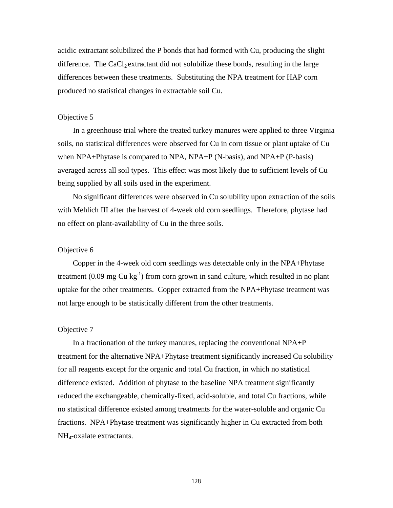acidic extractant solubilized the P bonds that had formed with Cu, producing the slight difference. The CaCl<sub>2</sub> extractant did not solubilize these bonds, resulting in the large differences between these treatments. Substituting the NPA treatment for HAP corn produced no statistical changes in extractable soil Cu.

### Objective 5

 In a greenhouse trial where the treated turkey manures were applied to three Virginia soils, no statistical differences were observed for Cu in corn tissue or plant uptake of Cu when NPA+Phytase is compared to NPA, NPA+P (N-basis), and NPA+P (P-basis) averaged across all soil types. This effect was most likely due to sufficient levels of Cu being supplied by all soils used in the experiment.

 No significant differences were observed in Cu solubility upon extraction of the soils with Mehlich III after the harvest of 4-week old corn seedlings. Therefore, phytase had no effect on plant-availability of Cu in the three soils.

# Objective 6

 Copper in the 4-week old corn seedlings was detectable only in the NPA+Phytase treatment  $(0.09 \text{ mg Cu kg}^{-1})$  from corn grown in sand culture, which resulted in no plant uptake for the other treatments. Copper extracted from the NPA+Phytase treatment was not large enough to be statistically different from the other treatments.

# Objective 7

 In a fractionation of the turkey manures, replacing the conventional NPA+P treatment for the alternative NPA+Phytase treatment significantly increased Cu solubility for all reagents except for the organic and total Cu fraction, in which no statistical difference existed. Addition of phytase to the baseline NPA treatment significantly reduced the exchangeable, chemically-fixed, acid-soluble, and total Cu fractions, while no statistical difference existed among treatments for the water-soluble and organic Cu fractions. NPA+Phytase treatment was significantly higher in Cu extracted from both NH4-oxalate extractants.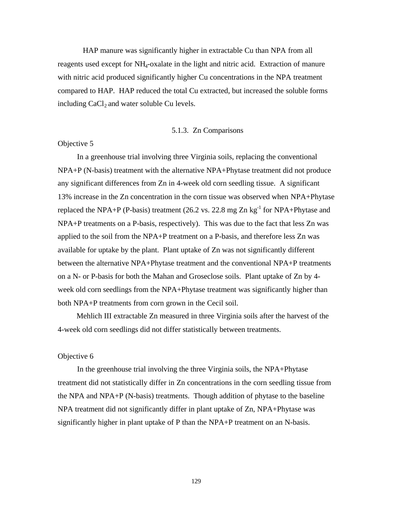HAP manure was significantly higher in extractable Cu than NPA from all reagents used except for NH4-oxalate in the light and nitric acid. Extraction of manure with nitric acid produced significantly higher Cu concentrations in the NPA treatment compared to HAP. HAP reduced the total Cu extracted, but increased the soluble forms including  $CaCl<sub>2</sub>$  and water soluble Cu levels.

### 5.1.3. Zn Comparisons

### Objective 5

 In a greenhouse trial involving three Virginia soils, replacing the conventional NPA+P (N-basis) treatment with the alternative NPA+Phytase treatment did not produce any significant differences from Zn in 4-week old corn seedling tissue. A significant 13% increase in the Zn concentration in the corn tissue was observed when NPA+Phytase replaced the NPA+P (P-basis) treatment (26.2 vs. 22.8 mg Zn kg<sup>-1</sup> for NPA+Phytase and NPA+P treatments on a P-basis, respectively). This was due to the fact that less Zn was applied to the soil from the NPA+P treatment on a P-basis, and therefore less Zn was available for uptake by the plant. Plant uptake of Zn was not significantly different between the alternative NPA+Phytase treatment and the conventional NPA+P treatments on a N- or P-basis for both the Mahan and Groseclose soils. Plant uptake of Zn by 4 week old corn seedlings from the NPA+Phytase treatment was significantly higher than both NPA+P treatments from corn grown in the Cecil soil.

 Mehlich III extractable Zn measured in three Virginia soils after the harvest of the 4-week old corn seedlings did not differ statistically between treatments.

# Objective 6

 In the greenhouse trial involving the three Virginia soils, the NPA+Phytase treatment did not statistically differ in Zn concentrations in the corn seedling tissue from the NPA and NPA+P (N-basis) treatments. Though addition of phytase to the baseline NPA treatment did not significantly differ in plant uptake of Zn, NPA+Phytase was significantly higher in plant uptake of P than the NPA+P treatment on an N-basis.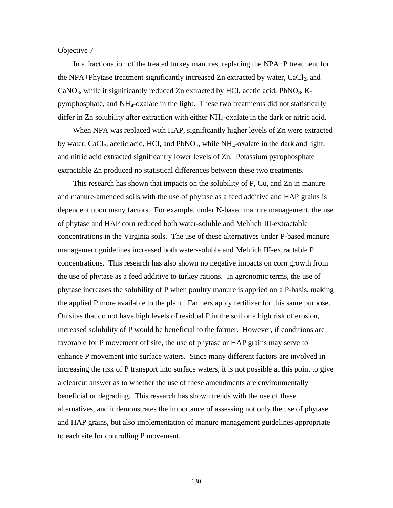### Objective 7

 In a fractionation of the treated turkey manures, replacing the NPA+P treatment for the NPA+Phytase treatment significantly increased Zn extracted by water,  $CaCl<sub>2</sub>$ , and  $CaNO<sub>3</sub>$ , while it significantly reduced Zn extracted by HCl, acetic acid, PbNO<sub>3</sub>, Kpyrophosphate, and  $NH_4$ -oxalate in the light. These two treatments did not statistically differ in Zn solubility after extraction with either NH4-oxalate in the dark or nitric acid.

When NPA was replaced with HAP, significantly higher levels of Zn were extracted by water, CaCl<sub>2</sub>, acetic acid, HCl, and  $PbNO<sub>3</sub>$ , while  $NH<sub>4</sub>$ -oxalate in the dark and light, and nitric acid extracted significantly lower levels of Zn. Potassium pyrophosphate extractable Zn produced no statistical differences between these two treatments.

 This research has shown that impacts on the solubility of P, Cu, and Zn in manure and manure-amended soils with the use of phytase as a feed additive and HAP grains is dependent upon many factors. For example, under N-based manure management, the use of phytase and HAP corn reduced both water-soluble and Mehlich III-extractable concentrations in the Virginia soils. The use of these alternatives under P-based manure management guidelines increased both water-soluble and Mehlich III-extractable P concentrations. This research has also shown no negative impacts on corn growth from the use of phytase as a feed additive to turkey rations. In agronomic terms, the use of phytase increases the solubility of P when poultry manure is applied on a P-basis, making the applied P more available to the plant. Farmers apply fertilizer for this same purpose. On sites that do not have high levels of residual P in the soil or a high risk of erosion, increased solubility of P would be beneficial to the farmer. However, if conditions are favorable for P movement off site, the use of phytase or HAP grains may serve to enhance P movement into surface waters. Since many different factors are involved in increasing the risk of P transport into surface waters, it is not possible at this point to give a clearcut answer as to whether the use of these amendments are environmentally beneficial or degrading. This research has shown trends with the use of these alternatives, and it demonstrates the importance of assessing not only the use of phytase and HAP grains, but also implementation of manure management guidelines appropriate to each site for controlling P movement.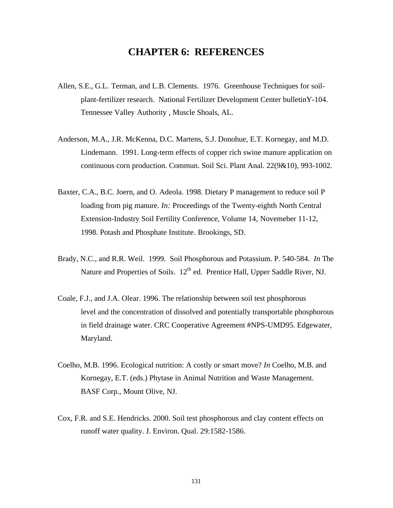# **CHAPTER 6: REFERENCES**

- Allen, S.E., G.L. Terman, and L.B. Clements. 1976. Greenhouse Techniques for soilplant-fertilizer research. National Fertilizer Development Center bulletinY-104. Tennessee Valley Authority , Muscle Shoals, AL.
- Anderson, M.A., J.R. McKenna, D.C. Martens, S.J. Donohue, E.T. Kornegay, and M.D. Lindemann. 1991. Long-term effects of copper rich swine manure application on continuous corn production. Commun. Soil Sci. Plant Anal. 22(9&10), 993-1002.
- Baxter, C.A., B.C. Joern, and O. Adeola. 1998. Dietary P management to reduce soil P loading from pig manure. *In:* Proceedings of the Twenty-eighth North Central Extension-Industry Soil Fertility Conference, Volume 14, Novemeber 11-12, 1998. Potash and Phosphate Institute. Brookings, SD.
- Brady, N.C., and R.R. Weil. 1999. Soil Phosphorous and Potassium. P. 540-584. *In* The Nature and Properties of Soils. 12<sup>th</sup> ed. Prentice Hall, Upper Saddle River, NJ.
- Coale, F.J., and J.A. Olear. 1996. The relationship between soil test phosphorous level and the concentration of dissolved and potentially transportable phosphorous in field drainage water. CRC Cooperative Agreement #NPS-UMD95. Edgewater, Maryland.
- Coelho, M.B. 1996. Ecological nutrition: A costly or smart move? *In* Coelho, M.B. and Kornegay, E.T. (eds.) Phytase in Animal Nutrition and Waste Management. BASF Corp., Mount Olive, NJ.
- Cox, F.R. and S.E. Hendricks. 2000. Soil test phosphorous and clay content effects on runoff water quality. J. Environ. Qual. 29:1582-1586.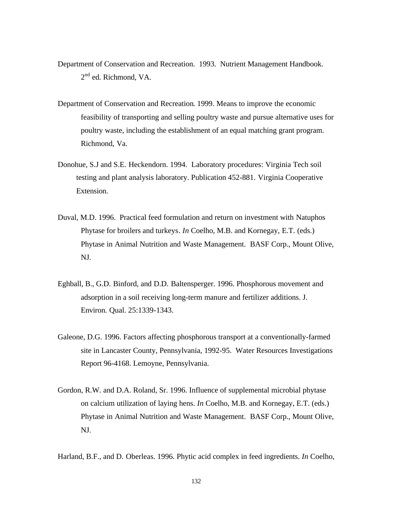- Department of Conservation and Recreation. 1993. Nutrient Management Handbook. 2<sup>nd</sup> ed. Richmond, VA.
- Department of Conservation and Recreation. 1999. Means to improve the economic feasibility of transporting and selling poultry waste and pursue alternative uses for poultry waste, including the establishment of an equal matching grant program. Richmond, Va.
- Donohue, S.J and S.E. Heckendorn. 1994. Laboratory procedures: Virginia Tech soil testing and plant analysis laboratory. Publication 452-881. Virginia Cooperative Extension.
- Duval, M.D. 1996. Practical feed formulation and return on investment with Natuphos Phytase for broilers and turkeys. *In* Coelho, M.B. and Kornegay, E.T. (eds.) Phytase in Animal Nutrition and Waste Management. BASF Corp., Mount Olive, NJ.
- Eghball, B., G.D. Binford, and D.D. Baltensperger. 1996. Phosphorous movement and adsorption in a soil receiving long-term manure and fertilizer additions. J. Environ. Qual. 25:1339-1343.
- Galeone, D.G. 1996. Factors affecting phosphorous transport at a conventionally-farmed site in Lancaster County, Pennsylvania, 1992-95. Water Resources Investigations Report 96-4168. Lemoyne, Pennsylvania.
- Gordon, R.W. and D.A. Roland, Sr. 1996. Influence of supplemental microbial phytase on calcium utilization of laying hens. *In* Coelho, M.B. and Kornegay, E.T. (eds.) Phytase in Animal Nutrition and Waste Management. BASF Corp., Mount Olive, NJ.

Harland, B.F., and D. Oberleas. 1996. Phytic acid complex in feed ingredients. *In* Coelho,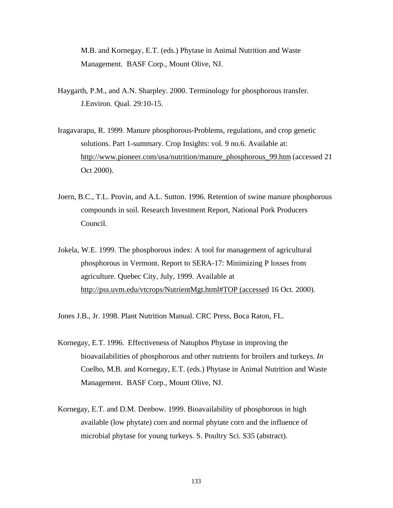M.B. and Kornegay, E.T. (eds.) Phytase in Animal Nutrition and Waste Management. BASF Corp., Mount Olive, NJ.

- Haygarth, P.M., and A.N. Sharpley. 2000. Terminology for phosphorous transfer. J.Environ. Qual. 29:10-15.
- Iragavarapu, R. 1999. Manure phosphorous-Problems, regulations, and crop genetic solutions. Part 1-summary. Crop Insights: vol. 9 no.6. Available at: http://www.pioneer.com/usa/nutrition/manure\_phosphorous\_99.htm (accessed 21 Oct 2000).
- Joern, B.C., T.L. Provin, and A.L. Sutton. 1996. Retention of swine manure phosphorous compounds in soil. Research Investment Report, National Pork Producers Council.
- Jokela, W.E. 1999. The phosphorous index: A tool for management of agricultural phosphorous in Vermont. Report to SERA-17: Minimizing P losses from agriculture. Quebec City, July, 1999. Available at http://pss.uvm.edu/vtcrops/NutrientMgt.html#TOP (accessed 16 Oct. 2000).

Jones J.B., Jr. 1998. Plant Nutrition Manual. CRC Press, Boca Raton, FL.

- Kornegay, E.T. 1996. Effectiveness of Natuphos Phytase in improving the bioavailabilities of phosphorous and other nutrients for broilers and turkeys. *In* Coelho, M.B. and Kornegay, E.T. (eds.) Phytase in Animal Nutrition and Waste Management. BASF Corp., Mount Olive, NJ.
- Kornegay, E.T. and D.M. Denbow. 1999. Bioavailability of phosphorous in high available (low phytate) corn and normal phytate corn and the influence of microbial phytase for young turkeys. S. Poultry Sci. S35 (abstract).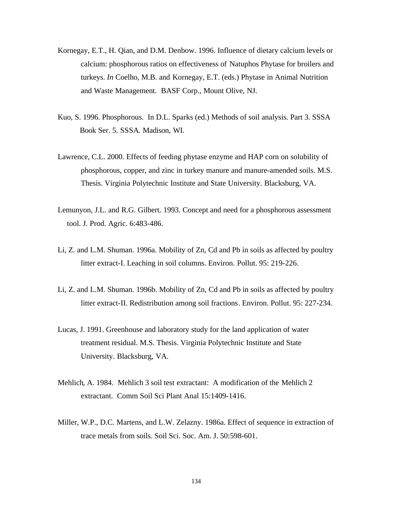- Kornegay, E.T., H. Qian, and D.M. Denbow. 1996. Influence of dietary calcium levels or calcium: phosphorous ratios on effectiveness of Natuphos Phytase for broilers and turkeys. *In* Coelho, M.B. and Kornegay, E.T. (eds.) Phytase in Animal Nutrition and Waste Management. BASF Corp., Mount Olive, NJ.
- Kuo, S. 1996. Phosphorous. In D.L. Sparks (ed.) Methods of soil analysis. Part 3. SSSA Book Ser. 5. SSSA. Madison, WI.
- Lawrence, C.L. 2000. Effects of feeding phytase enzyme and HAP corn on solubility of phosphorous, copper, and zinc in turkey manure and manure-amended soils. M.S. Thesis. Virginia Polytechnic Institute and State University. Blacksburg, VA.
- Lemunyon, J.L. and R.G. Gilbert. 1993. Concept and need for a phosphorous assessment tool. J. Prod. Agric. 6:483-486.
- Li, Z. and L.M. Shuman. 1996a. Mobility of Zn, Cd and Pb in soils as affected by poultry litter extract-I. Leaching in soil columns. Environ. Pollut. 95: 219-226.
- Li, Z. and L.M. Shuman. 1996b. Mobility of Zn, Cd and Pb in soils as affected by poultry litter extract-II. Redistribution among soil fractions. Environ. Pollut. 95: 227-234.
- Lucas, J. 1991. Greenhouse and laboratory study for the land application of water treatment residual. M.S. Thesis. Virginia Polytechnic Institute and State University. Blacksburg, VA.
- Mehlich, A. 1984. Mehlich 3 soil test extractant: A modification of the Mehlich 2 extractant. Comm Soil Sci Plant Anal 15:1409-1416.
- Miller, W.P., D.C. Martens, and L.W. Zelazny. 1986a. Effect of sequence in extraction of trace metals from soils. Soil Sci. Soc. Am. J. 50:598-601.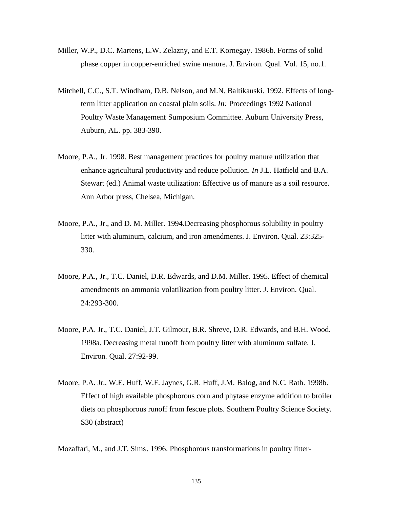- Miller, W.P., D.C. Martens, L.W. Zelazny, and E.T. Kornegay. 1986b. Forms of solid phase copper in copper-enriched swine manure. J. Environ. Qual. Vol. 15, no.1.
- Mitchell, C.C., S.T. Windham, D.B. Nelson, and M.N. Baltikauski. 1992. Effects of longterm litter application on coastal plain soils. *In:* Proceedings 1992 National Poultry Waste Management Sumposium Committee. Auburn University Press, Auburn, AL. pp. 383-390.
- Moore, P.A., Jr. 1998. Best management practices for poultry manure utilization that enhance agricultural productivity and reduce pollution. *In* J.L. Hatfield and B.A. Stewart (ed.) Animal waste utilization: Effective us of manure as a soil resource. Ann Arbor press, Chelsea, Michigan.
- Moore, P.A., Jr., and D. M. Miller. 1994.Decreasing phosphorous solubility in poultry litter with aluminum, calcium, and iron amendments. J. Environ. Qual. 23:325- 330.
- Moore, P.A., Jr., T.C. Daniel, D.R. Edwards, and D.M. Miller. 1995. Effect of chemical amendments on ammonia volatilization from poultry litter. J. Environ. Qual. 24:293-300.
- Moore, P.A. Jr., T.C. Daniel, J.T. Gilmour, B.R. Shreve, D.R. Edwards, and B.H. Wood. 1998a. Decreasing metal runoff from poultry litter with aluminum sulfate. J. Environ. Qual. 27:92-99.
- Moore, P.A. Jr., W.E. Huff, W.F. Jaynes, G.R. Huff, J.M. Balog, and N.C. Rath. 1998b. Effect of high available phosphorous corn and phytase enzyme addition to broiler diets on phosphorous runoff from fescue plots. Southern Poultry Science Society. S30 (abstract)

Mozaffari, M., and J.T. Sims. 1996. Phosphorous transformations in poultry litter-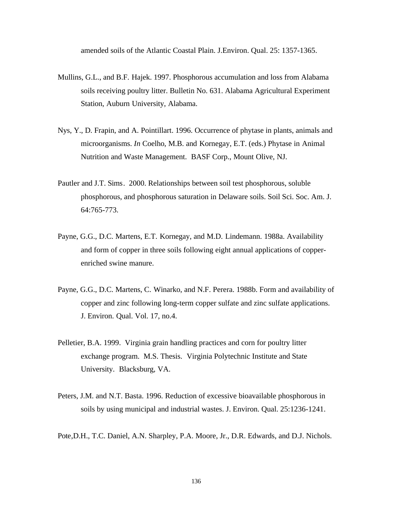amended soils of the Atlantic Coastal Plain. J.Environ. Qual. 25: 1357-1365.

- Mullins, G.L., and B.F. Hajek. 1997. Phosphorous accumulation and loss from Alabama soils receiving poultry litter. Bulletin No. 631. Alabama Agricultural Experiment Station, Auburn University, Alabama.
- Nys, Y., D. Frapin, and A. Pointillart. 1996. Occurrence of phytase in plants, animals and microorganisms. *In* Coelho, M.B. and Kornegay, E.T. (eds.) Phytase in Animal Nutrition and Waste Management. BASF Corp., Mount Olive, NJ.
- Pautler and J.T. Sims. 2000. Relationships between soil test phosphorous, soluble phosphorous, and phosphorous saturation in Delaware soils. Soil Sci. Soc. Am. J. 64:765-773.
- Payne, G.G., D.C. Martens, E.T. Kornegay, and M.D. Lindemann. 1988a. Availability and form of copper in three soils following eight annual applications of copperenriched swine manure.
- Payne, G.G., D.C. Martens, C. Winarko, and N.F. Perera. 1988b. Form and availability of copper and zinc following long-term copper sulfate and zinc sulfate applications. J. Environ. Qual. Vol. 17, no.4.
- Pelletier, B.A. 1999. Virginia grain handling practices and corn for poultry litter exchange program. M.S. Thesis. Virginia Polytechnic Institute and State University. Blacksburg, VA.
- Peters, J.M. and N.T. Basta. 1996. Reduction of excessive bioavailable phosphorous in soils by using municipal and industrial wastes. J. Environ. Qual. 25:1236-1241.
- Pote,D.H., T.C. Daniel, A.N. Sharpley, P.A. Moore, Jr., D.R. Edwards, and D.J. Nichols.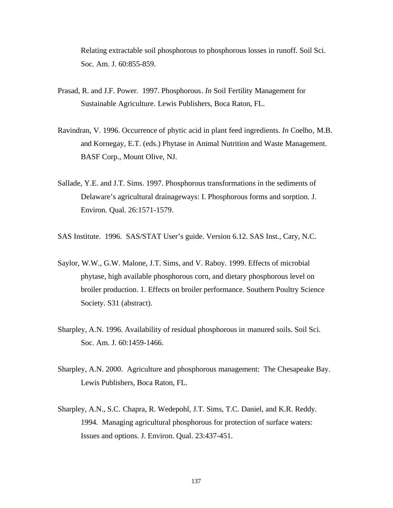Relating extractable soil phosphorous to phosphorous losses in runoff. Soil Sci. Soc. Am. J. 60:855-859.

- Prasad, R. and J.F. Power. 1997. Phosphorous. *In* Soil Fertility Management for Sustainable Agriculture. Lewis Publishers, Boca Raton, FL.
- Ravindran, V. 1996. Occurrence of phytic acid in plant feed ingredients. *In* Coelho, M.B. and Kornegay, E.T. (eds.) Phytase in Animal Nutrition and Waste Management. BASF Corp., Mount Olive, NJ.
- Sallade, Y.E. and J.T. Sims. 1997. Phosphorous transformations in the sediments of Delaware's agricultural drainageways: I. Phosphorous forms and sorption. J. Environ. Qual. 26:1571-1579.
- SAS Institute. 1996. SAS/STAT User's guide. Version 6.12. SAS Inst., Cary, N.C.
- Saylor, W.W., G.W. Malone, J.T. Sims, and V. Raboy. 1999. Effects of microbial phytase, high available phosphorous corn, and dietary phosphorous level on broiler production. 1. Effects on broiler performance. Southern Poultry Science Society. S31 (abstract).
- Sharpley, A.N. 1996. Availability of residual phosphorous in manured soils. Soil Sci. Soc. Am. J. 60:1459-1466.
- Sharpley, A.N. 2000. Agriculture and phosphorous management: The Chesapeake Bay. Lewis Publishers, Boca Raton, FL.
- Sharpley, A.N., S.C. Chapra, R. Wedepohl, J.T. Sims, T.C. Daniel, and K.R. Reddy. 1994. Managing agricultural phosphorous for protection of surface waters: Issues and options. J. Environ. Qual. 23:437-451.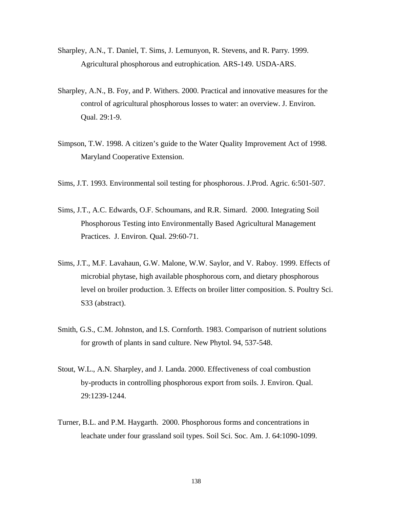- Sharpley, A.N., T. Daniel, T. Sims, J. Lemunyon, R. Stevens, and R. Parry. 1999. Agricultural phosphorous and eutrophication. ARS-149. USDA-ARS.
- Sharpley, A.N., B. Foy, and P. Withers. 2000. Practical and innovative measures for the control of agricultural phosphorous losses to water: an overview. J. Environ. Qual. 29:1-9.
- Simpson, T.W. 1998. A citizen's guide to the Water Quality Improvement Act of 1998. Maryland Cooperative Extension.
- Sims, J.T. 1993. Environmental soil testing for phosphorous. J.Prod. Agric. 6:501-507.
- Sims, J.T., A.C. Edwards, O.F. Schoumans, and R.R. Simard. 2000. Integrating Soil Phosphorous Testing into Environmentally Based Agricultural Management Practices. J. Environ. Qual. 29:60-71.
- Sims, J.T., M.F. Lavahaun, G.W. Malone, W.W. Saylor, and V. Raboy. 1999. Effects of microbial phytase, high available phosphorous corn, and dietary phosphorous level on broiler production. 3. Effects on broiler litter composition. S. Poultry Sci. S33 (abstract).
- Smith, G.S., C.M. Johnston, and I.S. Cornforth. 1983. Comparison of nutrient solutions for growth of plants in sand culture. New Phytol. 94, 537-548.
- Stout, W.L., A.N. Sharpley, and J. Landa. 2000. Effectiveness of coal combustion by-products in controlling phosphorous export from soils. J. Environ. Qual. 29:1239-1244.
- Turner, B.L. and P.M. Haygarth. 2000. Phosphorous forms and concentrations in leachate under four grassland soil types. Soil Sci. Soc. Am. J. 64:1090-1099.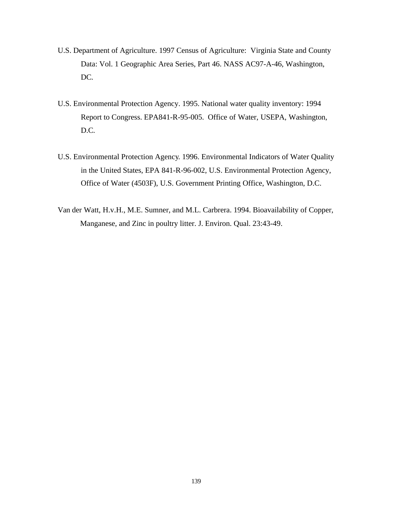- U.S. Department of Agriculture. 1997 Census of Agriculture: Virginia State and County Data: Vol. 1 Geographic Area Series, Part 46. NASS AC97-A-46, Washington, DC.
- U.S. Environmental Protection Agency. 1995. National water quality inventory: 1994 Report to Congress. EPA841-R-95-005. Office of Water, USEPA, Washington, D.C.
- U.S. Environmental Protection Agency. 1996. Environmental Indicators of Water Quality in the United States, EPA 841-R-96-002, U.S. Environmental Protection Agency, Office of Water (4503F), U.S. Government Printing Office, Washington, D.C.
- Van der Watt, H.v.H., M.E. Sumner, and M.L. Carbrera. 1994. Bioavailability of Copper, Manganese, and Zinc in poultry litter. J. Environ. Qual. 23:43-49.